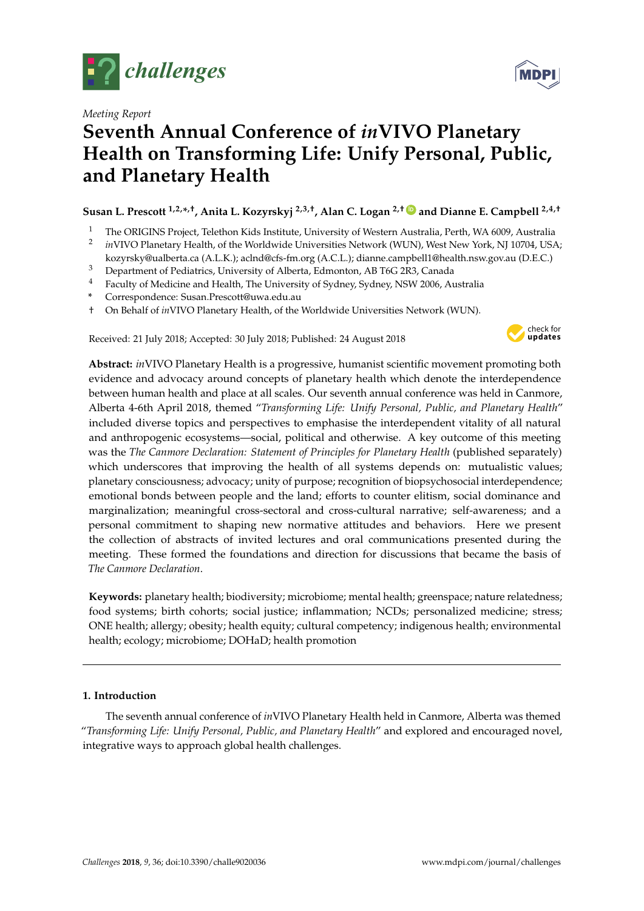

*Meeting Report*

# **MDP**

# **Seventh Annual Conference of** *in***VIVO Planetary Health on Transforming Life: Unify Personal, Public, and Planetary Health**

**Susan L. Prescott 1,2,\* ,†, Anita L. Kozyrskyj 2,3,†, Alan C. Logan 2,† [ID](https://orcid.org/0000-0002-9304-666X) and Dianne E. Campbell 2,4,†**

- <sup>1</sup> The ORIGINS Project, Telethon Kids Institute, University of Western Australia, Perth, WA 6009, Australia
- 2 *in*VIVO Planetary Health, of the Worldwide Universities Network (WUN), West New York, NJ 10704, USA; kozyrsky@ualberta.ca (A.L.K.); aclnd@cfs-fm.org (A.C.L.); dianne.campbell1@health.nsw.gov.au (D.E.C.)
- <sup>3</sup> Department of Pediatrics, University of Alberta, Edmonton, AB T6G 2R3, Canada
- <sup>4</sup> Faculty of Medicine and Health, The University of Sydney, Sydney, NSW 2006, Australia
- **\*** Correspondence: Susan.Prescott@uwa.edu.au
- † On Behalf of *in*VIVO Planetary Health, of the Worldwide Universities Network (WUN).

Received: 21 July 2018; Accepted: 30 July 2018; Published: 24 August 2018



**Abstract:** *in*VIVO Planetary Health is a progressive, humanist scientific movement promoting both evidence and advocacy around concepts of planetary health which denote the interdependence between human health and place at all scales. Our seventh annual conference was held in Canmore, Alberta 4-6th April 2018, themed "*Transforming Life: Unify Personal, Public, and Planetary Health*" included diverse topics and perspectives to emphasise the interdependent vitality of all natural and anthropogenic ecosystems—social, political and otherwise. A key outcome of this meeting was the *The Canmore Declaration: Statement of Principles for Planetary Health* (published separately) which underscores that improving the health of all systems depends on: mutualistic values; planetary consciousness; advocacy; unity of purpose; recognition of biopsychosocial interdependence; emotional bonds between people and the land; efforts to counter elitism, social dominance and marginalization; meaningful cross-sectoral and cross-cultural narrative; self-awareness; and a personal commitment to shaping new normative attitudes and behaviors. Here we present the collection of abstracts of invited lectures and oral communications presented during the meeting. These formed the foundations and direction for discussions that became the basis of *The Canmore Declaration*.

**Keywords:** planetary health; biodiversity; microbiome; mental health; greenspace; nature relatedness; food systems; birth cohorts; social justice; inflammation; NCDs; personalized medicine; stress; ONE health; allergy; obesity; health equity; cultural competency; indigenous health; environmental health; ecology; microbiome; DOHaD; health promotion

# **1. Introduction**

The seventh annual conference of *in*VIVO Planetary Health held in Canmore, Alberta was themed "*Transforming Life: Unify Personal, Public, and Planetary Health*" and explored and encouraged novel, integrative ways to approach global health challenges.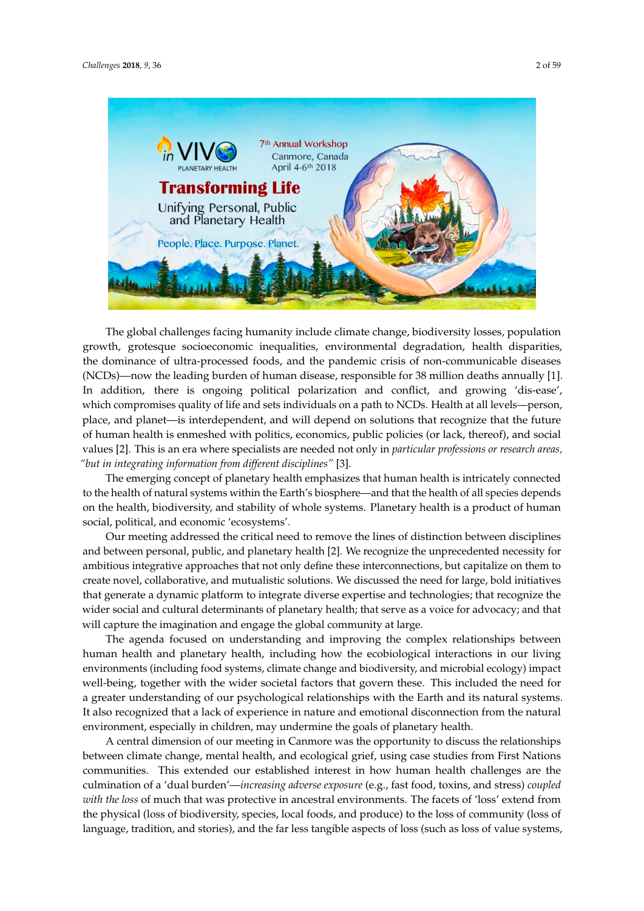



The global challenges facing humanity include climate change, biodiversity losses, population The global challenges facing humanity include climate change, biodiversity losses, population growth, grotesque socioeconomic inequalities, environmental degradation, health disparities, dominance of ultra-processed foods, and the pandemic crisis of non-communications of  $\frac{1}{2}$ the dominance of ultra-processed foods, and the pandemic crisis of non-communicable diseases (NCDs)—now the leading burden of human disease, responsible for 38 million deaths annually [1].  $\,$ In addition, there is ongoing political polarization and conflict, and growing 'dis-ease', which compromises quality of life and sets individuals on a path to NCDs. Health at all levels—person, place, and planet—is interdependent, and will depend on solutions that recognize that the future of human health is enmeshed with politics, economics, public policies (or lack, thereof), and social values [2]. This is an era where specialists are needed not only in *particular professions or research areas*, The emerging concept of planetary health emphasizes that human health is intricately connected *"but in integrating information from different disciplines"* [3].

The emerging concept of planetary health emphasizes that human health is intricately connected depends on the health, biodiversity, and stability of whole systems. Planetary health is a product of whole systems  $\frac{1}{2}$ to the health of natural systems within the Earth's biosphere—and that the health of all species depends<br>
The contract of the little state of the little state of the contract of the little state of the contract of the cont on the health, biodiversity, and stability of whole systems. Planetary health is a product of human social, political, and economic 'ecosystems'.

Our meeting addressed the critical need to remove the lines of distinction between disciplines and between personal, public, and planetary health [2]. We recognize the unprecedented necessity for ambitious integrative approaches that not only define these interconnections, but capitalize on them to create novel, collaborative, and mutualistic solutions. We discussed the need for large, bold initiatives that generate a dynamic platform to integrate diverse expertise and technologies; that recognize the wider social and cultural determinants of planetary health; that serve as a voice for advocacy; and that health and planetary health and planetary health, including how the economic states interactions in our living will capture the imagination and engage the global community at large.<br>Will capture the imagination and engage the global community at large.

The agenda focused on understanding and improving the complex relationships between human health and planetary health, including how the ecobiological interactions in our living environments (including food systems, climate change and biodiversity, and microbial ecology) impact well-being, together with the wider societal factors that govern these. This included the need for a greater understanding of our psychological relationships with the Earth and its natural systems. It also recognized that a lack of experience in nature and emotional disconnection from the natural environment, especially in children, may undermine the goals of planetary health.

A central dimension of our meeting in Canmore was the opportunity to discuss the relationships *with the loss of much that was protective in anche was the opposition* to the facets the facets of 'loss' extendi between climate change, mental health, and ecological grief, using case studies from First Nations<br>
The loss of contract of contract of contract of contract of contract of contract of contract of contract of co communities. This extended our established interest in how human health challenges are the culmination of a 'dual burden'—*increasing adverse exposure* (e.g., fast food, toxins, and stress) *coupled with the loss* of much that was protective in ancestral environments. The facets of 'loss' extend from the physical (loss of biodiversity, species, local foods, and produce) to the loss of community (loss of language, tradition, and stories), and the far less tangible aspects of loss (such as loss of value systems,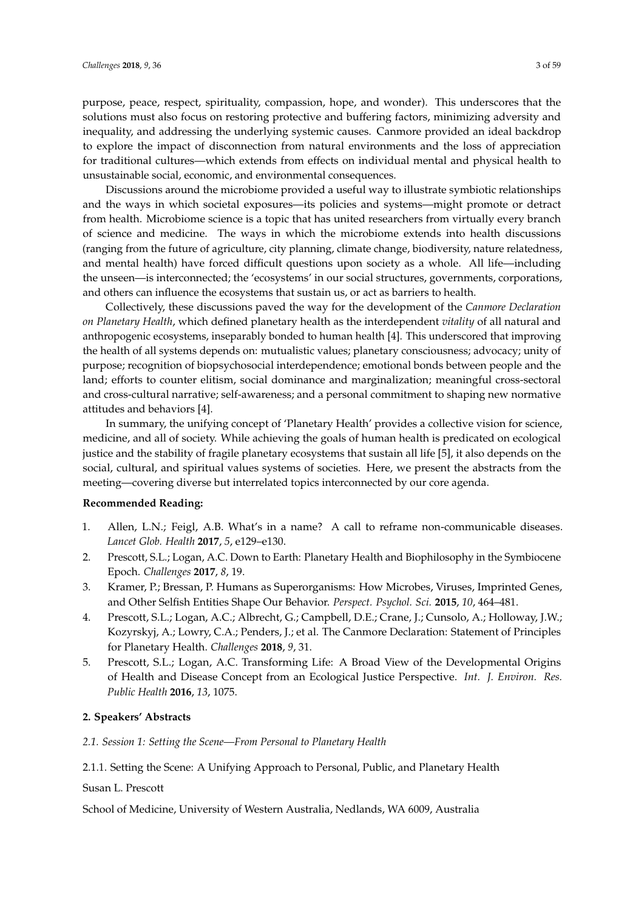purpose, peace, respect, spirituality, compassion, hope, and wonder). This underscores that the solutions must also focus on restoring protective and buffering factors, minimizing adversity and inequality, and addressing the underlying systemic causes. Canmore provided an ideal backdrop to explore the impact of disconnection from natural environments and the loss of appreciation for traditional cultures—which extends from effects on individual mental and physical health to unsustainable social, economic, and environmental consequences.

Discussions around the microbiome provided a useful way to illustrate symbiotic relationships and the ways in which societal exposures—its policies and systems—might promote or detract from health. Microbiome science is a topic that has united researchers from virtually every branch of science and medicine. The ways in which the microbiome extends into health discussions (ranging from the future of agriculture, city planning, climate change, biodiversity, nature relatedness, and mental health) have forced difficult questions upon society as a whole. All life—including the unseen—is interconnected; the 'ecosystems' in our social structures, governments, corporations, and others can influence the ecosystems that sustain us, or act as barriers to health.

Collectively, these discussions paved the way for the development of the *Canmore Declaration on Planetary Health*, which defined planetary health as the interdependent *vitality* of all natural and anthropogenic ecosystems, inseparably bonded to human health [4]. This underscored that improving the health of all systems depends on: mutualistic values; planetary consciousness; advocacy; unity of purpose; recognition of biopsychosocial interdependence; emotional bonds between people and the land; efforts to counter elitism, social dominance and marginalization; meaningful cross-sectoral and cross-cultural narrative; self-awareness; and a personal commitment to shaping new normative attitudes and behaviors [4].

In summary, the unifying concept of 'Planetary Health' provides a collective vision for science, medicine, and all of society. While achieving the goals of human health is predicated on ecological justice and the stability of fragile planetary ecosystems that sustain all life [5], it also depends on the social, cultural, and spiritual values systems of societies. Here, we present the abstracts from the meeting—covering diverse but interrelated topics interconnected by our core agenda.

#### **Recommended Reading:**

- 1. Allen, L.N.; Feigl, A.B. What's in a name? A call to reframe non-communicable diseases. *Lancet Glob. Health* **2017**, *5*, e129–e130.
- 2. Prescott, S.L.; Logan, A.C. Down to Earth: Planetary Health and Biophilosophy in the Symbiocene Epoch. *Challenges* **2017**, *8*, 19.
- 3. Kramer, P.; Bressan, P. Humans as Superorganisms: How Microbes, Viruses, Imprinted Genes, and Other Selfish Entities Shape Our Behavior. *Perspect. Psychol. Sci.* **2015**, *10*, 464–481.
- 4. Prescott, S.L.; Logan, A.C.; Albrecht, G.; Campbell, D.E.; Crane, J.; Cunsolo, A.; Holloway, J.W.; Kozyrskyj, A.; Lowry, C.A.; Penders, J.; et al. The Canmore Declaration: Statement of Principles for Planetary Health. *Challenges* **2018**, *9*, 31.
- 5. Prescott, S.L.; Logan, A.C. Transforming Life: A Broad View of the Developmental Origins of Health and Disease Concept from an Ecological Justice Perspective. *Int. J. Environ. Res. Public Health* **2016**, *13*, 1075.

#### **2. Speakers' Abstracts**

- *2.1. Session 1: Setting the Scene—From Personal to Planetary Health*
- 2.1.1. Setting the Scene: A Unifying Approach to Personal, Public, and Planetary Health

Susan L. Prescott

School of Medicine, University of Western Australia, Nedlands, WA 6009, Australia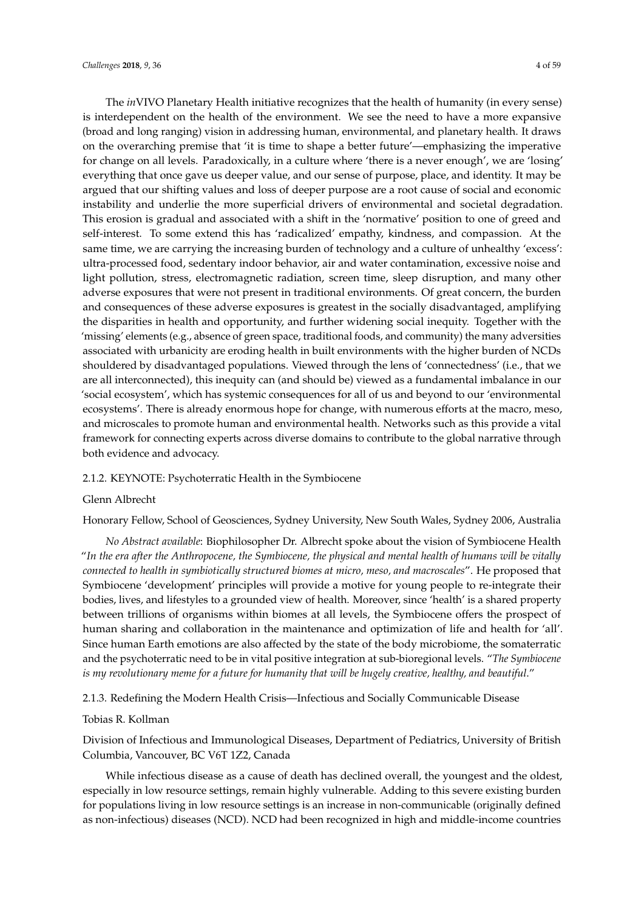The *in*VIVO Planetary Health initiative recognizes that the health of humanity (in every sense) is interdependent on the health of the environment. We see the need to have a more expansive (broad and long ranging) vision in addressing human, environmental, and planetary health. It draws on the overarching premise that 'it is time to shape a better future'—emphasizing the imperative for change on all levels. Paradoxically, in a culture where 'there is a never enough', we are 'losing' everything that once gave us deeper value, and our sense of purpose, place, and identity. It may be argued that our shifting values and loss of deeper purpose are a root cause of social and economic instability and underlie the more superficial drivers of environmental and societal degradation. This erosion is gradual and associated with a shift in the 'normative' position to one of greed and self-interest. To some extend this has 'radicalized' empathy, kindness, and compassion. At the same time, we are carrying the increasing burden of technology and a culture of unhealthy 'excess': ultra-processed food, sedentary indoor behavior, air and water contamination, excessive noise and light pollution, stress, electromagnetic radiation, screen time, sleep disruption, and many other adverse exposures that were not present in traditional environments. Of great concern, the burden and consequences of these adverse exposures is greatest in the socially disadvantaged, amplifying the disparities in health and opportunity, and further widening social inequity. Together with the 'missing' elements (e.g., absence of green space, traditional foods, and community) the many adversities associated with urbanicity are eroding health in built environments with the higher burden of NCDs shouldered by disadvantaged populations. Viewed through the lens of 'connectedness' (i.e., that we are all interconnected), this inequity can (and should be) viewed as a fundamental imbalance in our 'social ecosystem', which has systemic consequences for all of us and beyond to our 'environmental ecosystems'. There is already enormous hope for change, with numerous efforts at the macro, meso, and microscales to promote human and environmental health. Networks such as this provide a vital framework for connecting experts across diverse domains to contribute to the global narrative through both evidence and advocacy.

#### 2.1.2. KEYNOTE: Psychoterratic Health in the Symbiocene

#### Glenn Albrecht

Honorary Fellow, School of Geosciences, Sydney University, New South Wales, Sydney 2006, Australia

*No Abstract available*: Biophilosopher Dr. Albrecht spoke about the vision of Symbiocene Health "*In the era after the Anthropocene, the Symbiocene, the physical and mental health of humans will be vitally connected to health in symbiotically structured biomes at micro, meso, and macroscales*". He proposed that Symbiocene 'development' principles will provide a motive for young people to re-integrate their bodies, lives, and lifestyles to a grounded view of health. Moreover, since 'health' is a shared property between trillions of organisms within biomes at all levels, the Symbiocene offers the prospect of human sharing and collaboration in the maintenance and optimization of life and health for 'all'. Since human Earth emotions are also affected by the state of the body microbiome, the somaterratic and the psychoterratic need to be in vital positive integration at sub-bioregional levels. "*The Symbiocene is my revolutionary meme for a future for humanity that will be hugely creative, healthy, and beautiful*."

2.1.3. Redefining the Modern Health Crisis—Infectious and Socially Communicable Disease

#### Tobias R. Kollman

Division of Infectious and Immunological Diseases, Department of Pediatrics, University of British Columbia, Vancouver, BC V6T 1Z2, Canada

While infectious disease as a cause of death has declined overall, the youngest and the oldest, especially in low resource settings, remain highly vulnerable. Adding to this severe existing burden for populations living in low resource settings is an increase in non-communicable (originally defined as non-infectious) diseases (NCD). NCD had been recognized in high and middle-income countries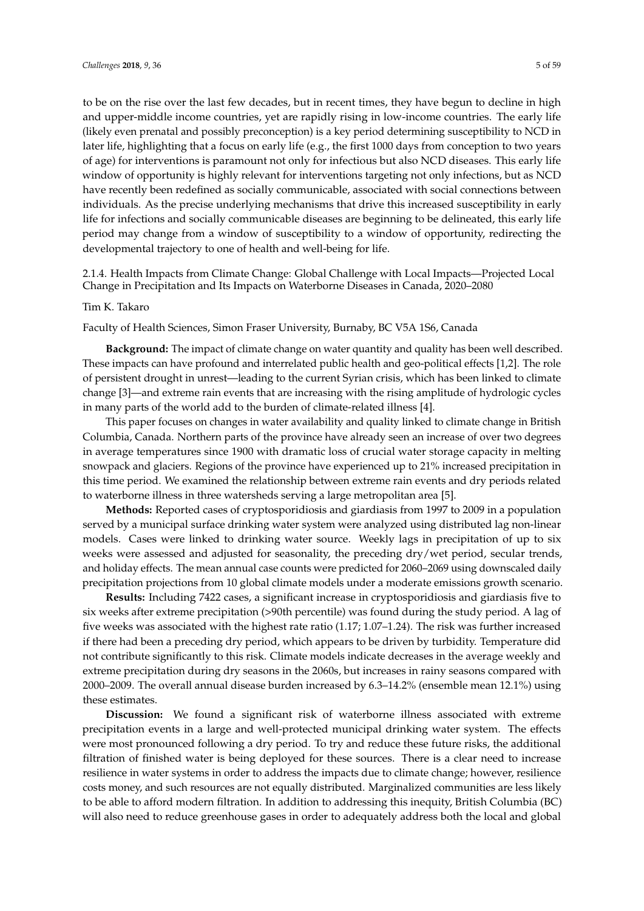to be on the rise over the last few decades, but in recent times, they have begun to decline in high and upper-middle income countries, yet are rapidly rising in low-income countries. The early life (likely even prenatal and possibly preconception) is a key period determining susceptibility to NCD in later life, highlighting that a focus on early life (e.g., the first 1000 days from conception to two years of age) for interventions is paramount not only for infectious but also NCD diseases. This early life window of opportunity is highly relevant for interventions targeting not only infections, but as NCD have recently been redefined as socially communicable, associated with social connections between individuals. As the precise underlying mechanisms that drive this increased susceptibility in early life for infections and socially communicable diseases are beginning to be delineated, this early life period may change from a window of susceptibility to a window of opportunity, redirecting the developmental trajectory to one of health and well-being for life.

2.1.4. Health Impacts from Climate Change: Global Challenge with Local Impacts—Projected Local Change in Precipitation and Its Impacts on Waterborne Diseases in Canada, 2020–2080

# Tim K. Takaro

Faculty of Health Sciences, Simon Fraser University, Burnaby, BC V5A 1S6, Canada

**Background:** The impact of climate change on water quantity and quality has been well described. These impacts can have profound and interrelated public health and geo-political effects [1,2]. The role of persistent drought in unrest—leading to the current Syrian crisis, which has been linked to climate change [3]—and extreme rain events that are increasing with the rising amplitude of hydrologic cycles in many parts of the world add to the burden of climate-related illness [4].

This paper focuses on changes in water availability and quality linked to climate change in British Columbia, Canada. Northern parts of the province have already seen an increase of over two degrees in average temperatures since 1900 with dramatic loss of crucial water storage capacity in melting snowpack and glaciers. Regions of the province have experienced up to 21% increased precipitation in this time period. We examined the relationship between extreme rain events and dry periods related to waterborne illness in three watersheds serving a large metropolitan area [5].

**Methods:** Reported cases of cryptosporidiosis and giardiasis from 1997 to 2009 in a population served by a municipal surface drinking water system were analyzed using distributed lag non-linear models. Cases were linked to drinking water source. Weekly lags in precipitation of up to six weeks were assessed and adjusted for seasonality, the preceding dry/wet period, secular trends, and holiday effects. The mean annual case counts were predicted for 2060–2069 using downscaled daily precipitation projections from 10 global climate models under a moderate emissions growth scenario.

**Results:** Including 7422 cases, a significant increase in cryptosporidiosis and giardiasis five to six weeks after extreme precipitation (>90th percentile) was found during the study period. A lag of five weeks was associated with the highest rate ratio (1.17; 1.07–1.24). The risk was further increased if there had been a preceding dry period, which appears to be driven by turbidity. Temperature did not contribute significantly to this risk. Climate models indicate decreases in the average weekly and extreme precipitation during dry seasons in the 2060s, but increases in rainy seasons compared with 2000–2009. The overall annual disease burden increased by 6.3–14.2% (ensemble mean 12.1%) using these estimates.

**Discussion:** We found a significant risk of waterborne illness associated with extreme precipitation events in a large and well-protected municipal drinking water system. The effects were most pronounced following a dry period. To try and reduce these future risks, the additional filtration of finished water is being deployed for these sources. There is a clear need to increase resilience in water systems in order to address the impacts due to climate change; however, resilience costs money, and such resources are not equally distributed. Marginalized communities are less likely to be able to afford modern filtration. In addition to addressing this inequity, British Columbia (BC) will also need to reduce greenhouse gases in order to adequately address both the local and global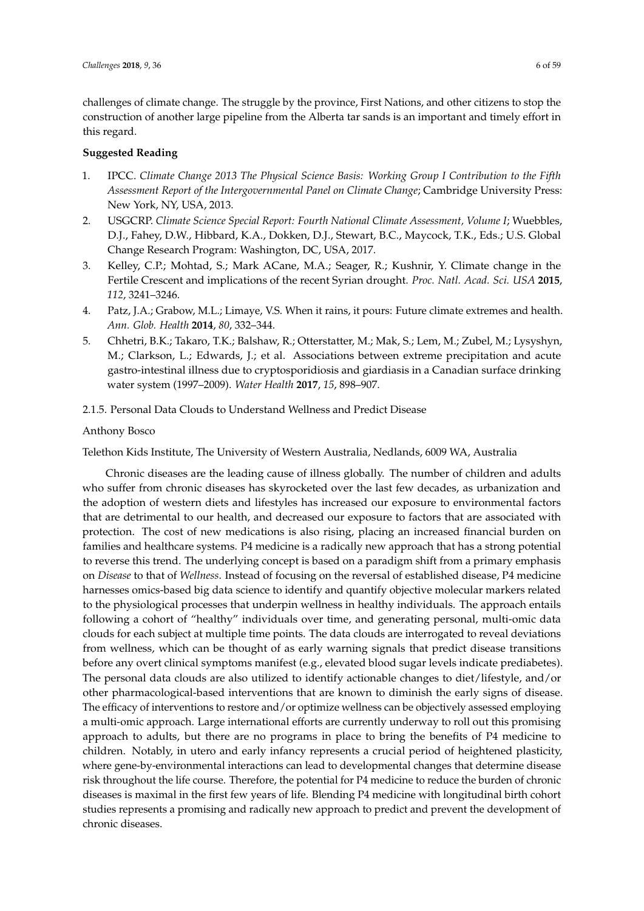challenges of climate change. The struggle by the province, First Nations, and other citizens to stop the construction of another large pipeline from the Alberta tar sands is an important and timely effort in this regard.

#### **Suggested Reading**

- 1. IPCC. *Climate Change 2013 The Physical Science Basis: Working Group I Contribution to the Fifth Assessment Report of the Intergovernmental Panel on Climate Change*; Cambridge University Press: New York, NY, USA, 2013.
- 2. USGCRP. *Climate Science Special Report: Fourth National Climate Assessment, Volume I*; Wuebbles, D.J., Fahey, D.W., Hibbard, K.A., Dokken, D.J., Stewart, B.C., Maycock, T.K., Eds.; U.S. Global Change Research Program: Washington, DC, USA, 2017.
- 3. Kelley, C.P.; Mohtad, S.; Mark ACane, M.A.; Seager, R.; Kushnir, Y. Climate change in the Fertile Crescent and implications of the recent Syrian drought. *Proc. Natl. Acad. Sci. USA* **2015**, *112*, 3241–3246.
- 4. Patz, J.A.; Grabow, M.L.; Limaye, V.S. When it rains, it pours: Future climate extremes and health. *Ann. Glob. Health* **2014**, *80*, 332–344.
- 5. Chhetri, B.K.; Takaro, T.K.; Balshaw, R.; Otterstatter, M.; Mak, S.; Lem, M.; Zubel, M.; Lysyshyn, M.; Clarkson, L.; Edwards, J.; et al. Associations between extreme precipitation and acute gastro-intestinal illness due to cryptosporidiosis and giardiasis in a Canadian surface drinking water system (1997–2009). *Water Health* **2017**, *15*, 898–907.

2.1.5. Personal Data Clouds to Understand Wellness and Predict Disease

Anthony Bosco

Telethon Kids Institute, The University of Western Australia, Nedlands, 6009 WA, Australia

Chronic diseases are the leading cause of illness globally. The number of children and adults who suffer from chronic diseases has skyrocketed over the last few decades, as urbanization and the adoption of western diets and lifestyles has increased our exposure to environmental factors that are detrimental to our health, and decreased our exposure to factors that are associated with protection. The cost of new medications is also rising, placing an increased financial burden on families and healthcare systems. P4 medicine is a radically new approach that has a strong potential to reverse this trend. The underlying concept is based on a paradigm shift from a primary emphasis on *Disease* to that of *Wellness*. Instead of focusing on the reversal of established disease, P4 medicine harnesses omics-based big data science to identify and quantify objective molecular markers related to the physiological processes that underpin wellness in healthy individuals. The approach entails following a cohort of "healthy" individuals over time, and generating personal, multi-omic data clouds for each subject at multiple time points. The data clouds are interrogated to reveal deviations from wellness, which can be thought of as early warning signals that predict disease transitions before any overt clinical symptoms manifest (e.g., elevated blood sugar levels indicate prediabetes). The personal data clouds are also utilized to identify actionable changes to diet/lifestyle, and/or other pharmacological-based interventions that are known to diminish the early signs of disease. The efficacy of interventions to restore and/or optimize wellness can be objectively assessed employing a multi-omic approach. Large international efforts are currently underway to roll out this promising approach to adults, but there are no programs in place to bring the benefits of P4 medicine to children. Notably, in utero and early infancy represents a crucial period of heightened plasticity, where gene-by-environmental interactions can lead to developmental changes that determine disease risk throughout the life course. Therefore, the potential for P4 medicine to reduce the burden of chronic diseases is maximal in the first few years of life. Blending P4 medicine with longitudinal birth cohort studies represents a promising and radically new approach to predict and prevent the development of chronic diseases.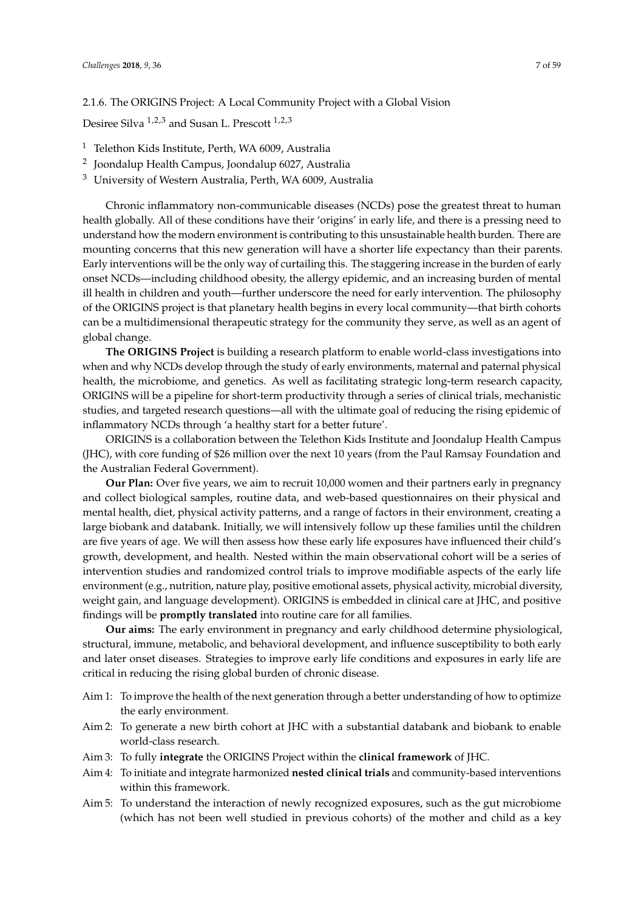Desiree Silva <sup>1,2,3</sup> and Susan L. Prescott <sup>1,2,3</sup>

- <sup>1</sup> Telethon Kids Institute, Perth, WA 6009, Australia
- 2 Joondalup Health Campus, Joondalup 6027, Australia
- <sup>3</sup> University of Western Australia, Perth, WA 6009, Australia

Chronic inflammatory non-communicable diseases (NCDs) pose the greatest threat to human health globally. All of these conditions have their 'origins' in early life, and there is a pressing need to understand how the modern environment is contributing to this unsustainable health burden. There are mounting concerns that this new generation will have a shorter life expectancy than their parents. Early interventions will be the only way of curtailing this. The staggering increase in the burden of early onset NCDs—including childhood obesity, the allergy epidemic, and an increasing burden of mental ill health in children and youth—further underscore the need for early intervention. The philosophy of the ORIGINS project is that planetary health begins in every local community—that birth cohorts can be a multidimensional therapeutic strategy for the community they serve, as well as an agent of global change.

**The ORIGINS Project** is building a research platform to enable world-class investigations into when and why NCDs develop through the study of early environments, maternal and paternal physical health, the microbiome, and genetics. As well as facilitating strategic long-term research capacity, ORIGINS will be a pipeline for short-term productivity through a series of clinical trials, mechanistic studies, and targeted research questions—all with the ultimate goal of reducing the rising epidemic of inflammatory NCDs through 'a healthy start for a better future'.

ORIGINS is a collaboration between the Telethon Kids Institute and Joondalup Health Campus (JHC), with core funding of \$26 million over the next 10 years (from the Paul Ramsay Foundation and the Australian Federal Government).

**Our Plan:** Over five years, we aim to recruit 10,000 women and their partners early in pregnancy and collect biological samples, routine data, and web-based questionnaires on their physical and mental health, diet, physical activity patterns, and a range of factors in their environment, creating a large biobank and databank. Initially, we will intensively follow up these families until the children are five years of age. We will then assess how these early life exposures have influenced their child's growth, development, and health. Nested within the main observational cohort will be a series of intervention studies and randomized control trials to improve modifiable aspects of the early life environment (e.g., nutrition, nature play, positive emotional assets, physical activity, microbial diversity, weight gain, and language development). ORIGINS is embedded in clinical care at JHC, and positive findings will be **promptly translated** into routine care for all families.

**Our aims:** The early environment in pregnancy and early childhood determine physiological, structural, immune, metabolic, and behavioral development, and influence susceptibility to both early and later onset diseases. Strategies to improve early life conditions and exposures in early life are critical in reducing the rising global burden of chronic disease.

- Aim 1: To improve the health of the next generation through a better understanding of how to optimize the early environment.
- Aim 2: To generate a new birth cohort at JHC with a substantial databank and biobank to enable world-class research.
- Aim 3: To fully **integrate** the ORIGINS Project within the **clinical framework** of JHC.
- Aim 4: To initiate and integrate harmonized **nested clinical trials** and community-based interventions within this framework.
- Aim 5: To understand the interaction of newly recognized exposures, such as the gut microbiome (which has not been well studied in previous cohorts) of the mother and child as a key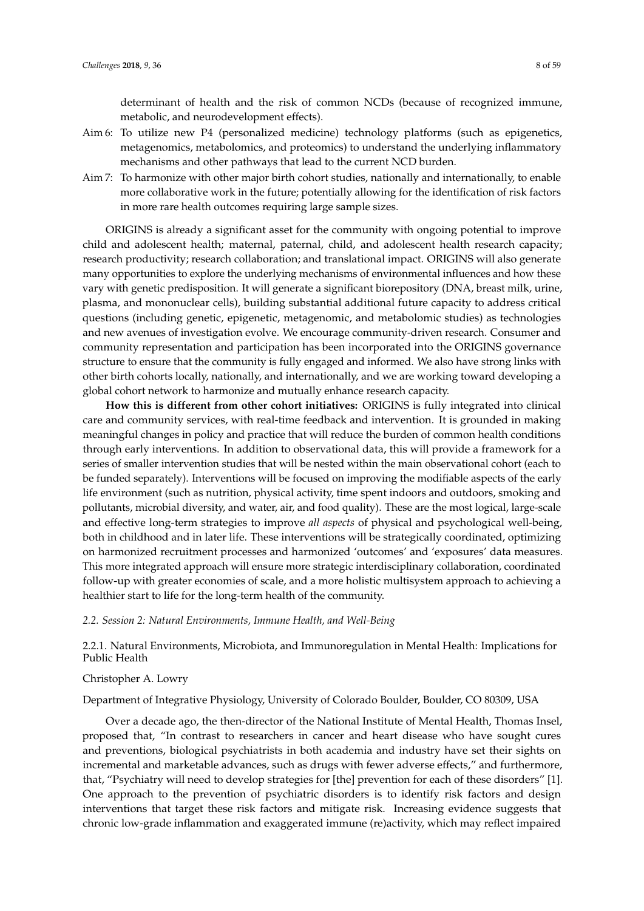determinant of health and the risk of common NCDs (because of recognized immune, metabolic, and neurodevelopment effects).

- Aim 6: To utilize new P4 (personalized medicine) technology platforms (such as epigenetics, metagenomics, metabolomics, and proteomics) to understand the underlying inflammatory mechanisms and other pathways that lead to the current NCD burden.
- Aim 7: To harmonize with other major birth cohort studies, nationally and internationally, to enable more collaborative work in the future; potentially allowing for the identification of risk factors in more rare health outcomes requiring large sample sizes.

ORIGINS is already a significant asset for the community with ongoing potential to improve child and adolescent health; maternal, paternal, child, and adolescent health research capacity; research productivity; research collaboration; and translational impact. ORIGINS will also generate many opportunities to explore the underlying mechanisms of environmental influences and how these vary with genetic predisposition. It will generate a significant biorepository (DNA, breast milk, urine, plasma, and mononuclear cells), building substantial additional future capacity to address critical questions (including genetic, epigenetic, metagenomic, and metabolomic studies) as technologies and new avenues of investigation evolve. We encourage community-driven research. Consumer and community representation and participation has been incorporated into the ORIGINS governance structure to ensure that the community is fully engaged and informed. We also have strong links with other birth cohorts locally, nationally, and internationally, and we are working toward developing a global cohort network to harmonize and mutually enhance research capacity.

**How this is different from other cohort initiatives:** ORIGINS is fully integrated into clinical care and community services, with real-time feedback and intervention. It is grounded in making meaningful changes in policy and practice that will reduce the burden of common health conditions through early interventions. In addition to observational data, this will provide a framework for a series of smaller intervention studies that will be nested within the main observational cohort (each to be funded separately). Interventions will be focused on improving the modifiable aspects of the early life environment (such as nutrition, physical activity, time spent indoors and outdoors, smoking and pollutants, microbial diversity, and water, air, and food quality). These are the most logical, large-scale and effective long-term strategies to improve *all aspects* of physical and psychological well-being, both in childhood and in later life. These interventions will be strategically coordinated, optimizing on harmonized recruitment processes and harmonized 'outcomes' and 'exposures' data measures. This more integrated approach will ensure more strategic interdisciplinary collaboration, coordinated follow-up with greater economies of scale, and a more holistic multisystem approach to achieving a healthier start to life for the long-term health of the community.

#### *2.2. Session 2: Natural Environments, Immune Health, and Well-Being*

2.2.1. Natural Environments, Microbiota, and Immunoregulation in Mental Health: Implications for Public Health

#### Christopher A. Lowry

Department of Integrative Physiology, University of Colorado Boulder, Boulder, CO 80309, USA

Over a decade ago, the then-director of the National Institute of Mental Health, Thomas Insel, proposed that, "In contrast to researchers in cancer and heart disease who have sought cures and preventions, biological psychiatrists in both academia and industry have set their sights on incremental and marketable advances, such as drugs with fewer adverse effects," and furthermore, that, "Psychiatry will need to develop strategies for [the] prevention for each of these disorders" [1]. One approach to the prevention of psychiatric disorders is to identify risk factors and design interventions that target these risk factors and mitigate risk. Increasing evidence suggests that chronic low-grade inflammation and exaggerated immune (re)activity, which may reflect impaired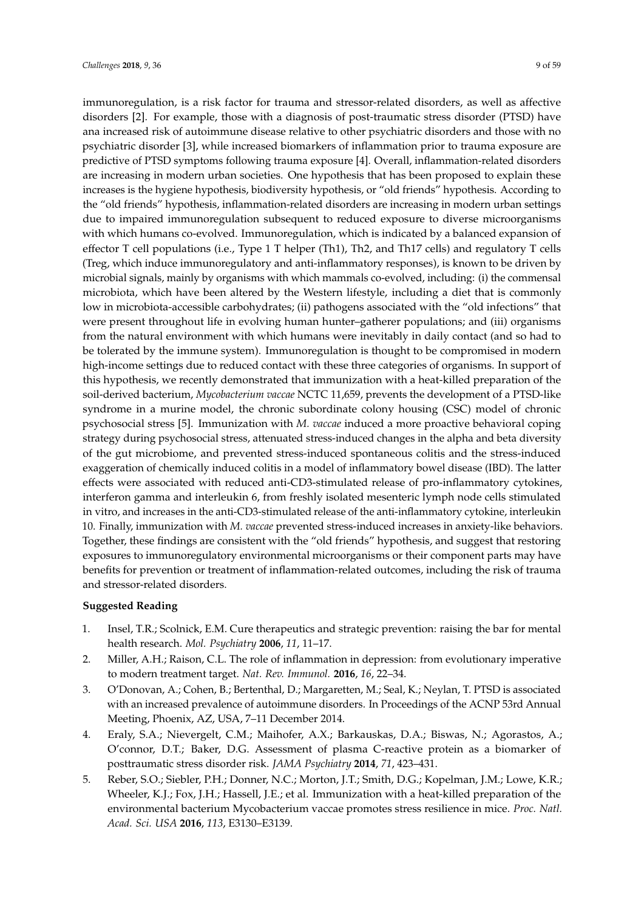immunoregulation, is a risk factor for trauma and stressor-related disorders, as well as affective disorders [2]. For example, those with a diagnosis of post-traumatic stress disorder (PTSD) have ana increased risk of autoimmune disease relative to other psychiatric disorders and those with no psychiatric disorder [3], while increased biomarkers of inflammation prior to trauma exposure are predictive of PTSD symptoms following trauma exposure [4]. Overall, inflammation-related disorders are increasing in modern urban societies. One hypothesis that has been proposed to explain these increases is the hygiene hypothesis, biodiversity hypothesis, or "old friends" hypothesis. According to the "old friends" hypothesis, inflammation-related disorders are increasing in modern urban settings due to impaired immunoregulation subsequent to reduced exposure to diverse microorganisms with which humans co-evolved. Immunoregulation, which is indicated by a balanced expansion of effector T cell populations (i.e., Type 1 T helper (Th1), Th2, and Th17 cells) and regulatory T cells (Treg, which induce immunoregulatory and anti-inflammatory responses), is known to be driven by microbial signals, mainly by organisms with which mammals co-evolved, including: (i) the commensal microbiota, which have been altered by the Western lifestyle, including a diet that is commonly low in microbiota-accessible carbohydrates; (ii) pathogens associated with the "old infections" that were present throughout life in evolving human hunter–gatherer populations; and (iii) organisms from the natural environment with which humans were inevitably in daily contact (and so had to be tolerated by the immune system). Immunoregulation is thought to be compromised in modern high-income settings due to reduced contact with these three categories of organisms. In support of this hypothesis, we recently demonstrated that immunization with a heat-killed preparation of the soil-derived bacterium, *Mycobacterium vaccae* NCTC 11,659, prevents the development of a PTSD-like syndrome in a murine model, the chronic subordinate colony housing (CSC) model of chronic psychosocial stress [5]. Immunization with *M. vaccae* induced a more proactive behavioral coping strategy during psychosocial stress, attenuated stress-induced changes in the alpha and beta diversity of the gut microbiome, and prevented stress-induced spontaneous colitis and the stress-induced exaggeration of chemically induced colitis in a model of inflammatory bowel disease (IBD). The latter effects were associated with reduced anti-CD3-stimulated release of pro-inflammatory cytokines, interferon gamma and interleukin 6, from freshly isolated mesenteric lymph node cells stimulated in vitro, and increases in the anti-CD3-stimulated release of the anti-inflammatory cytokine, interleukin 10. Finally, immunization with *M. vaccae* prevented stress-induced increases in anxiety-like behaviors. Together, these findings are consistent with the "old friends" hypothesis, and suggest that restoring exposures to immunoregulatory environmental microorganisms or their component parts may have benefits for prevention or treatment of inflammation-related outcomes, including the risk of trauma and stressor-related disorders.

#### **Suggested Reading**

- 1. Insel, T.R.; Scolnick, E.M. Cure therapeutics and strategic prevention: raising the bar for mental health research. *Mol. Psychiatry* **2006**, *11*, 11–17.
- 2. Miller, A.H.; Raison, C.L. The role of inflammation in depression: from evolutionary imperative to modern treatment target. *Nat. Rev. Immunol.* **2016**, *16*, 22–34.
- 3. O'Donovan, A.; Cohen, B.; Bertenthal, D.; Margaretten, M.; Seal, K.; Neylan, T. PTSD is associated with an increased prevalence of autoimmune disorders. In Proceedings of the ACNP 53rd Annual Meeting, Phoenix, AZ, USA, 7–11 December 2014.
- 4. Eraly, S.A.; Nievergelt, C.M.; Maihofer, A.X.; Barkauskas, D.A.; Biswas, N.; Agorastos, A.; O'connor, D.T.; Baker, D.G. Assessment of plasma C-reactive protein as a biomarker of posttraumatic stress disorder risk. *JAMA Psychiatry* **2014**, *71*, 423–431.
- 5. Reber, S.O.; Siebler, P.H.; Donner, N.C.; Morton, J.T.; Smith, D.G.; Kopelman, J.M.; Lowe, K.R.; Wheeler, K.J.; Fox, J.H.; Hassell, J.E.; et al. Immunization with a heat-killed preparation of the environmental bacterium Mycobacterium vaccae promotes stress resilience in mice. *Proc. Natl. Acad. Sci. USA* **2016**, *113*, E3130–E3139.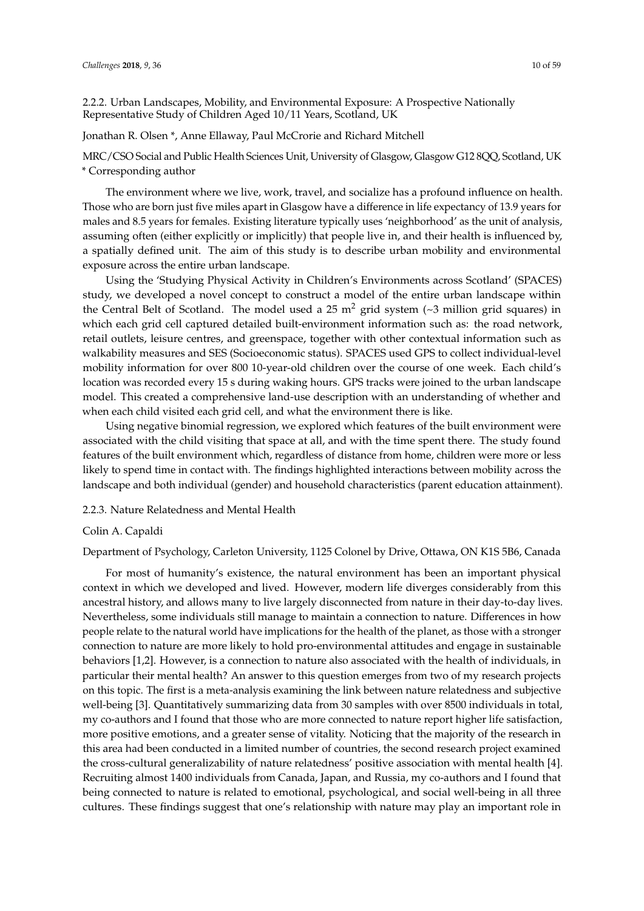Representative Study of Children Aged 10/11 Years, Scotland, UK

#### Jonathan R. Olsen \*, Anne Ellaway, Paul McCrorie and Richard Mitchell

MRC/CSO Social and Public Health Sciences Unit, University of Glasgow, Glasgow G12 8QQ, Scotland, UK \* Corresponding author

The environment where we live, work, travel, and socialize has a profound influence on health. Those who are born just five miles apart in Glasgow have a difference in life expectancy of 13.9 years for males and 8.5 years for females. Existing literature typically uses 'neighborhood' as the unit of analysis, assuming often (either explicitly or implicitly) that people live in, and their health is influenced by, a spatially defined unit. The aim of this study is to describe urban mobility and environmental exposure across the entire urban landscape.

Using the 'Studying Physical Activity in Children's Environments across Scotland' (SPACES) study, we developed a novel concept to construct a model of the entire urban landscape within the Central Belt of Scotland. The model used a 25 m<sup>2</sup> grid system ( $\sim$ 3 million grid squares) in which each grid cell captured detailed built-environment information such as: the road network, retail outlets, leisure centres, and greenspace, together with other contextual information such as walkability measures and SES (Socioeconomic status). SPACES used GPS to collect individual-level mobility information for over 800 10-year-old children over the course of one week. Each child's location was recorded every 15 s during waking hours. GPS tracks were joined to the urban landscape model. This created a comprehensive land-use description with an understanding of whether and when each child visited each grid cell, and what the environment there is like.

Using negative binomial regression, we explored which features of the built environment were associated with the child visiting that space at all, and with the time spent there. The study found features of the built environment which, regardless of distance from home, children were more or less likely to spend time in contact with. The findings highlighted interactions between mobility across the landscape and both individual (gender) and household characteristics (parent education attainment).

# 2.2.3. Nature Relatedness and Mental Health

# Colin A. Capaldi

# Department of Psychology, Carleton University, 1125 Colonel by Drive, Ottawa, ON K1S 5B6, Canada

For most of humanity's existence, the natural environment has been an important physical context in which we developed and lived. However, modern life diverges considerably from this ancestral history, and allows many to live largely disconnected from nature in their day-to-day lives. Nevertheless, some individuals still manage to maintain a connection to nature. Differences in how people relate to the natural world have implications for the health of the planet, as those with a stronger connection to nature are more likely to hold pro-environmental attitudes and engage in sustainable behaviors [1,2]. However, is a connection to nature also associated with the health of individuals, in particular their mental health? An answer to this question emerges from two of my research projects on this topic. The first is a meta-analysis examining the link between nature relatedness and subjective well-being [3]. Quantitatively summarizing data from 30 samples with over 8500 individuals in total, my co-authors and I found that those who are more connected to nature report higher life satisfaction, more positive emotions, and a greater sense of vitality. Noticing that the majority of the research in this area had been conducted in a limited number of countries, the second research project examined the cross-cultural generalizability of nature relatedness' positive association with mental health [4]. Recruiting almost 1400 individuals from Canada, Japan, and Russia, my co-authors and I found that being connected to nature is related to emotional, psychological, and social well-being in all three cultures. These findings suggest that one's relationship with nature may play an important role in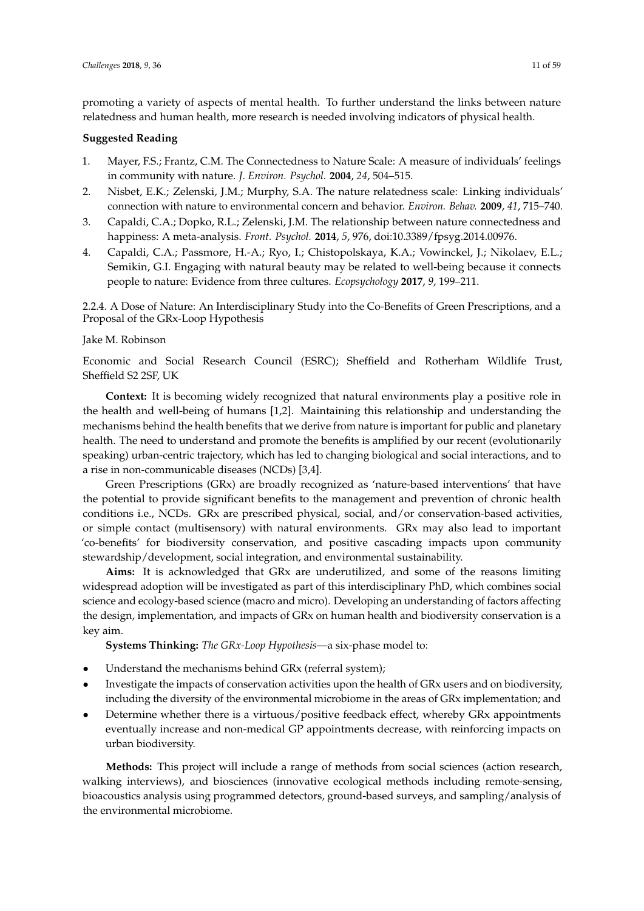promoting a variety of aspects of mental health. To further understand the links between nature relatedness and human health, more research is needed involving indicators of physical health.

# **Suggested Reading**

- 1. Mayer, F.S.; Frantz, C.M. The Connectedness to Nature Scale: A measure of individuals' feelings in community with nature. *J. Environ. Psychol.* **2004**, *24*, 504–515.
- 2. Nisbet, E.K.; Zelenski, J.M.; Murphy, S.A. The nature relatedness scale: Linking individuals' connection with nature to environmental concern and behavior. *Environ. Behav.* **2009**, *41*, 715–740.
- 3. Capaldi, C.A.; Dopko, R.L.; Zelenski, J.M. The relationship between nature connectedness and happiness: A meta-analysis. *Front. Psychol.* **2014**, *5*, 976, doi:10.3389/fpsyg.2014.00976.
- 4. Capaldi, C.A.; Passmore, H.-A.; Ryo, I.; Chistopolskaya, K.A.; Vowinckel, J.; Nikolaev, E.L.; Semikin, G.I. Engaging with natural beauty may be related to well-being because it connects people to nature: Evidence from three cultures. *Ecopsychology* **2017**, *9*, 199–211.

2.2.4. A Dose of Nature: An Interdisciplinary Study into the Co-Benefits of Green Prescriptions, and a Proposal of the GRx-Loop Hypothesis

# Jake M. Robinson

Economic and Social Research Council (ESRC); Sheffield and Rotherham Wildlife Trust, Sheffield S2 2SF, UK

**Context:** It is becoming widely recognized that natural environments play a positive role in the health and well-being of humans [1,2]. Maintaining this relationship and understanding the mechanisms behind the health benefits that we derive from nature is important for public and planetary health. The need to understand and promote the benefits is amplified by our recent (evolutionarily speaking) urban-centric trajectory, which has led to changing biological and social interactions, and to a rise in non-communicable diseases (NCDs) [3,4].

Green Prescriptions (GRx) are broadly recognized as 'nature-based interventions' that have the potential to provide significant benefits to the management and prevention of chronic health conditions i.e., NCDs. GRx are prescribed physical, social, and/or conservation-based activities, or simple contact (multisensory) with natural environments. GRx may also lead to important 'co-benefits' for biodiversity conservation, and positive cascading impacts upon community stewardship/development, social integration, and environmental sustainability.

**Aims:** It is acknowledged that GRx are underutilized, and some of the reasons limiting widespread adoption will be investigated as part of this interdisciplinary PhD, which combines social science and ecology-based science (macro and micro). Developing an understanding of factors affecting the design, implementation, and impacts of GRx on human health and biodiversity conservation is a key aim.

**Systems Thinking:** *The GRx-Loop Hypothesis*—a six-phase model to:

- Understand the mechanisms behind GRx (referral system);
- Investigate the impacts of conservation activities upon the health of GRx users and on biodiversity, including the diversity of the environmental microbiome in the areas of GRx implementation; and
- Determine whether there is a virtuous/positive feedback effect, whereby GRx appointments eventually increase and non-medical GP appointments decrease, with reinforcing impacts on urban biodiversity.

**Methods:** This project will include a range of methods from social sciences (action research, walking interviews), and biosciences (innovative ecological methods including remote-sensing, bioacoustics analysis using programmed detectors, ground-based surveys, and sampling/analysis of the environmental microbiome.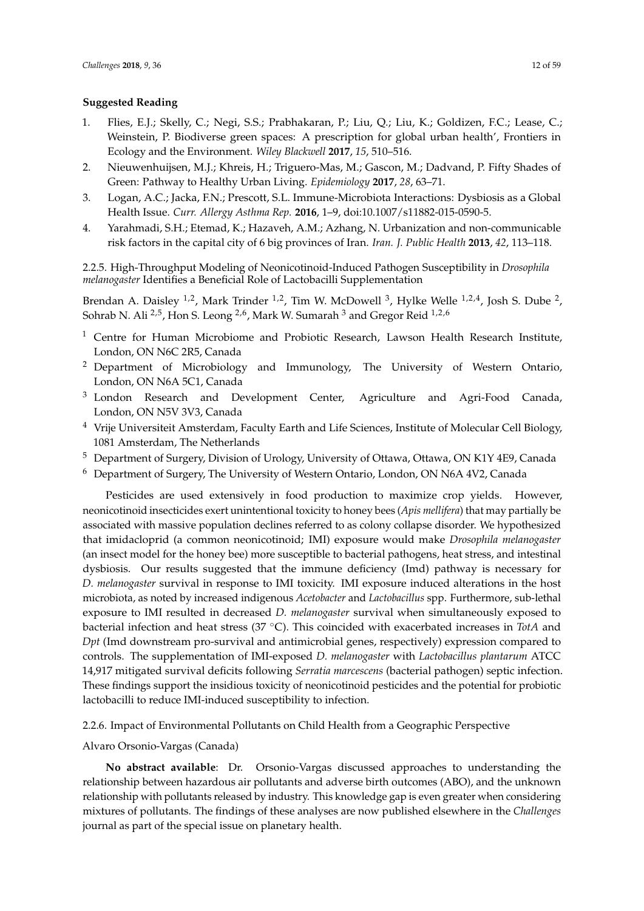# **Suggested Reading**

- 1. Flies, E.J.; Skelly, C.; Negi, S.S.; Prabhakaran, P.; Liu, Q.; Liu, K.; Goldizen, F.C.; Lease, C.; Weinstein, P. Biodiverse green spaces: A prescription for global urban health', Frontiers in Ecology and the Environment. *Wiley Blackwell* **2017**, *15*, 510–516.
- 2. Nieuwenhuijsen, M.J.; Khreis, H.; Triguero-Mas, M.; Gascon, M.; Dadvand, P. Fifty Shades of Green: Pathway to Healthy Urban Living. *Epidemiology* **2017**, *28*, 63–71.
- 3. Logan, A.C.; Jacka, F.N.; Prescott, S.L. Immune-Microbiota Interactions: Dysbiosis as a Global Health Issue. *Curr. Allergy Asthma Rep.* **2016**, 1–9, doi:10.1007/s11882-015-0590-5.
- 4. Yarahmadi, S.H.; Etemad, K.; Hazaveh, A.M.; Azhang, N. Urbanization and non-communicable risk factors in the capital city of 6 big provinces of Iran. *Iran. J. Public Health* **2013**, *42*, 113–118.

2.2.5. High-Throughput Modeling of Neonicotinoid-Induced Pathogen Susceptibility in *Drosophila melanogaster* Identifies a Beneficial Role of Lactobacilli Supplementation

Brendan A. Daisley <sup>1,2</sup>, Mark Trinder <sup>1,2</sup>, Tim W. McDowell <sup>3</sup>, Hylke Welle <sup>1,2,4</sup>, Josh S. Dube <sup>2</sup>, Sohrab N. Ali  $^{2,5}$ , Hon S. Leong  $^{2,6}$ , Mark W. Sumarah  $^3$  and Gregor Reid  $^{1,2,6}$ 

- $1$  Centre for Human Microbiome and Probiotic Research, Lawson Health Research Institute, London, ON N6C 2R5, Canada
- <sup>2</sup> Department of Microbiology and Immunology, The University of Western Ontario, London, ON N6A 5C1, Canada
- <sup>3</sup> London Research and Development Center, Agriculture and Agri-Food Canada, London, ON N5V 3V3, Canada
- <sup>4</sup> Vrije Universiteit Amsterdam, Faculty Earth and Life Sciences, Institute of Molecular Cell Biology, 1081 Amsterdam, The Netherlands
- <sup>5</sup> Department of Surgery, Division of Urology, University of Ottawa, Ottawa, ON K1Y 4E9, Canada
- $6$  Department of Surgery, The University of Western Ontario, London, ON N6A 4V2, Canada

Pesticides are used extensively in food production to maximize crop yields. However, neonicotinoid insecticides exert unintentional toxicity to honey bees (*Apis mellifera*) that may partially be associated with massive population declines referred to as colony collapse disorder. We hypothesized that imidacloprid (a common neonicotinoid; IMI) exposure would make *Drosophila melanogaster* (an insect model for the honey bee) more susceptible to bacterial pathogens, heat stress, and intestinal dysbiosis. Our results suggested that the immune deficiency (Imd) pathway is necessary for *D. melanogaster* survival in response to IMI toxicity. IMI exposure induced alterations in the host microbiota, as noted by increased indigenous *Acetobacter* and *Lactobacillus* spp. Furthermore, sub-lethal exposure to IMI resulted in decreased *D. melanogaster* survival when simultaneously exposed to bacterial infection and heat stress (37 ◦C). This coincided with exacerbated increases in *TotA* and *Dpt* (Imd downstream pro-survival and antimicrobial genes, respectively) expression compared to controls. The supplementation of IMI-exposed *D. melanogaster* with *Lactobacillus plantarum* ATCC 14,917 mitigated survival deficits following *Serratia marcescens* (bacterial pathogen) septic infection. These findings support the insidious toxicity of neonicotinoid pesticides and the potential for probiotic lactobacilli to reduce IMI-induced susceptibility to infection.

2.2.6. Impact of Environmental Pollutants on Child Health from a Geographic Perspective

# Alvaro Orsonio-Vargas (Canada)

**No abstract available**: Dr. Orsonio-Vargas discussed approaches to understanding the relationship between hazardous air pollutants and adverse birth outcomes (ABO), and the unknown relationship with pollutants released by industry. This knowledge gap is even greater when considering mixtures of pollutants. The findings of these analyses are now published elsewhere in the *Challenges* journal as part of the special issue on planetary health.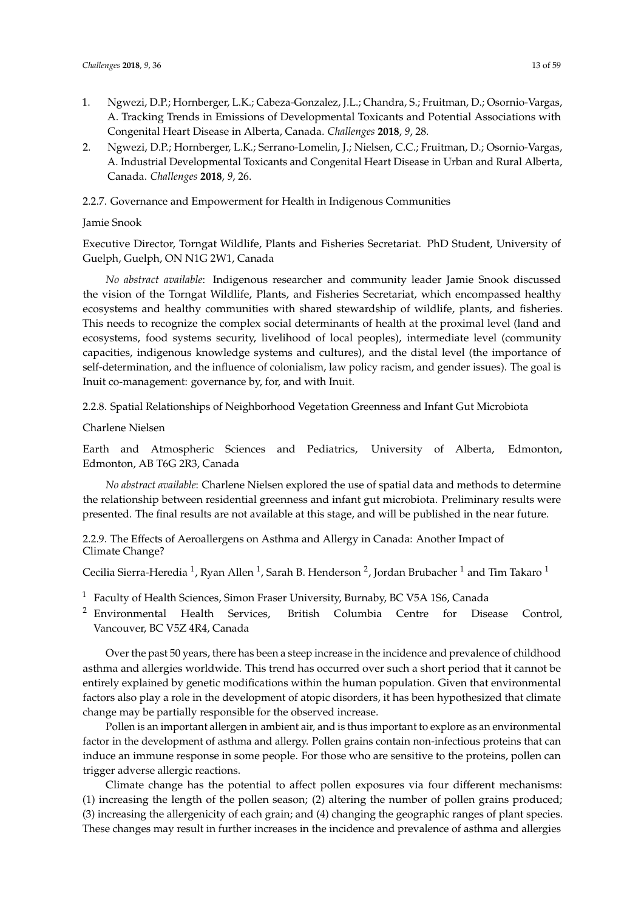- 1. Ngwezi, D.P.; Hornberger, L.K.; Cabeza-Gonzalez, J.L.; Chandra, S.; Fruitman, D.; Osornio-Vargas, A. Tracking Trends in Emissions of Developmental Toxicants and Potential Associations with Congenital Heart Disease in Alberta, Canada. *Challenges* **2018**, *9*, 28.
- 2. Ngwezi, D.P.; Hornberger, L.K.; Serrano-Lomelin, J.; Nielsen, C.C.; Fruitman, D.; Osornio-Vargas, A. Industrial Developmental Toxicants and Congenital Heart Disease in Urban and Rural Alberta, Canada. *Challenges* **2018**, *9*, 26.

#### 2.2.7. Governance and Empowerment for Health in Indigenous Communities

#### Jamie Snook

Executive Director, Torngat Wildlife, Plants and Fisheries Secretariat. PhD Student, University of Guelph, Guelph, ON N1G 2W1, Canada

*No abstract available*: Indigenous researcher and community leader Jamie Snook discussed the vision of the Torngat Wildlife, Plants, and Fisheries Secretariat, which encompassed healthy ecosystems and healthy communities with shared stewardship of wildlife, plants, and fisheries. This needs to recognize the complex social determinants of health at the proximal level (land and ecosystems, food systems security, livelihood of local peoples), intermediate level (community capacities, indigenous knowledge systems and cultures), and the distal level (the importance of self-determination, and the influence of colonialism, law policy racism, and gender issues). The goal is Inuit co-management: governance by, for, and with Inuit.

2.2.8. Spatial Relationships of Neighborhood Vegetation Greenness and Infant Gut Microbiota

#### Charlene Nielsen

Earth and Atmospheric Sciences and Pediatrics, University of Alberta, Edmonton, Edmonton, AB T6G 2R3, Canada

*No abstract available*: Charlene Nielsen explored the use of spatial data and methods to determine the relationship between residential greenness and infant gut microbiota. Preliminary results were presented. The final results are not available at this stage, and will be published in the near future.

2.2.9. The Effects of Aeroallergens on Asthma and Allergy in Canada: Another Impact of Climate Change?

Cecilia Sierra-Heredia  $^1$ , Ryan Allen  $^1$ , Sarah B. Henderson  $^2$ , Jordan Brubacher  $^1$  and Tim Takaro  $^1$ 

- <sup>1</sup> Faculty of Health Sciences, Simon Fraser University, Burnaby, BC V5A 1S6, Canada
- <sup>2</sup> Environmental Health Services, British Columbia Centre for Disease Control, Vancouver, BC V5Z 4R4, Canada

Over the past 50 years, there has been a steep increase in the incidence and prevalence of childhood asthma and allergies worldwide. This trend has occurred over such a short period that it cannot be entirely explained by genetic modifications within the human population. Given that environmental factors also play a role in the development of atopic disorders, it has been hypothesized that climate change may be partially responsible for the observed increase.

Pollen is an important allergen in ambient air, and is thus important to explore as an environmental factor in the development of asthma and allergy. Pollen grains contain non-infectious proteins that can induce an immune response in some people. For those who are sensitive to the proteins, pollen can trigger adverse allergic reactions.

Climate change has the potential to affect pollen exposures via four different mechanisms: (1) increasing the length of the pollen season; (2) altering the number of pollen grains produced; (3) increasing the allergenicity of each grain; and (4) changing the geographic ranges of plant species. These changes may result in further increases in the incidence and prevalence of asthma and allergies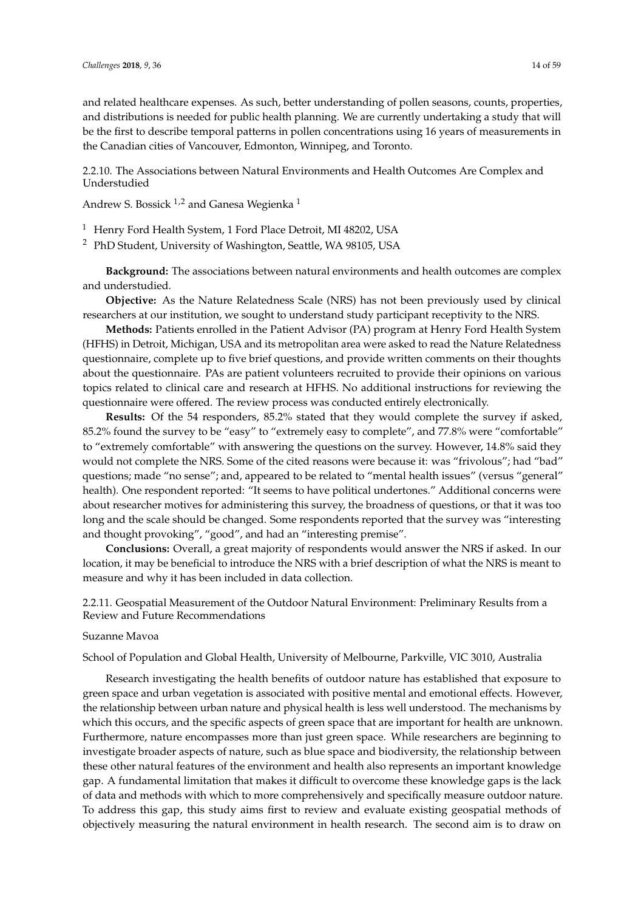and related healthcare expenses. As such, better understanding of pollen seasons, counts, properties, and distributions is needed for public health planning. We are currently undertaking a study that will be the first to describe temporal patterns in pollen concentrations using 16 years of measurements in the Canadian cities of Vancouver, Edmonton, Winnipeg, and Toronto.

2.2.10. The Associations between Natural Environments and Health Outcomes Are Complex and Understudied

Andrew S. Bossick <sup>1,2</sup> and Ganesa Wegienka<sup>1</sup>

<sup>1</sup> Henry Ford Health System, 1 Ford Place Detroit, MI 48202, USA

<sup>2</sup> PhD Student, University of Washington, Seattle, WA 98105, USA

**Background:** The associations between natural environments and health outcomes are complex and understudied.

**Objective:** As the Nature Relatedness Scale (NRS) has not been previously used by clinical researchers at our institution, we sought to understand study participant receptivity to the NRS.

**Methods:** Patients enrolled in the Patient Advisor (PA) program at Henry Ford Health System (HFHS) in Detroit, Michigan, USA and its metropolitan area were asked to read the Nature Relatedness questionnaire, complete up to five brief questions, and provide written comments on their thoughts about the questionnaire. PAs are patient volunteers recruited to provide their opinions on various topics related to clinical care and research at HFHS. No additional instructions for reviewing the questionnaire were offered. The review process was conducted entirely electronically.

**Results:** Of the 54 responders, 85.2% stated that they would complete the survey if asked, 85.2% found the survey to be "easy" to "extremely easy to complete", and 77.8% were "comfortable" to "extremely comfortable" with answering the questions on the survey. However, 14.8% said they would not complete the NRS. Some of the cited reasons were because it: was "frivolous"; had "bad" questions; made "no sense"; and, appeared to be related to "mental health issues" (versus "general" health). One respondent reported: "It seems to have political undertones." Additional concerns were about researcher motives for administering this survey, the broadness of questions, or that it was too long and the scale should be changed. Some respondents reported that the survey was "interesting and thought provoking", "good", and had an "interesting premise".

**Conclusions:** Overall, a great majority of respondents would answer the NRS if asked. In our location, it may be beneficial to introduce the NRS with a brief description of what the NRS is meant to measure and why it has been included in data collection.

2.2.11. Geospatial Measurement of the Outdoor Natural Environment: Preliminary Results from a Review and Future Recommendations

#### Suzanne Mavoa

School of Population and Global Health, University of Melbourne, Parkville, VIC 3010, Australia

Research investigating the health benefits of outdoor nature has established that exposure to green space and urban vegetation is associated with positive mental and emotional effects. However, the relationship between urban nature and physical health is less well understood. The mechanisms by which this occurs, and the specific aspects of green space that are important for health are unknown. Furthermore, nature encompasses more than just green space. While researchers are beginning to investigate broader aspects of nature, such as blue space and biodiversity, the relationship between these other natural features of the environment and health also represents an important knowledge gap. A fundamental limitation that makes it difficult to overcome these knowledge gaps is the lack of data and methods with which to more comprehensively and specifically measure outdoor nature. To address this gap, this study aims first to review and evaluate existing geospatial methods of objectively measuring the natural environment in health research. The second aim is to draw on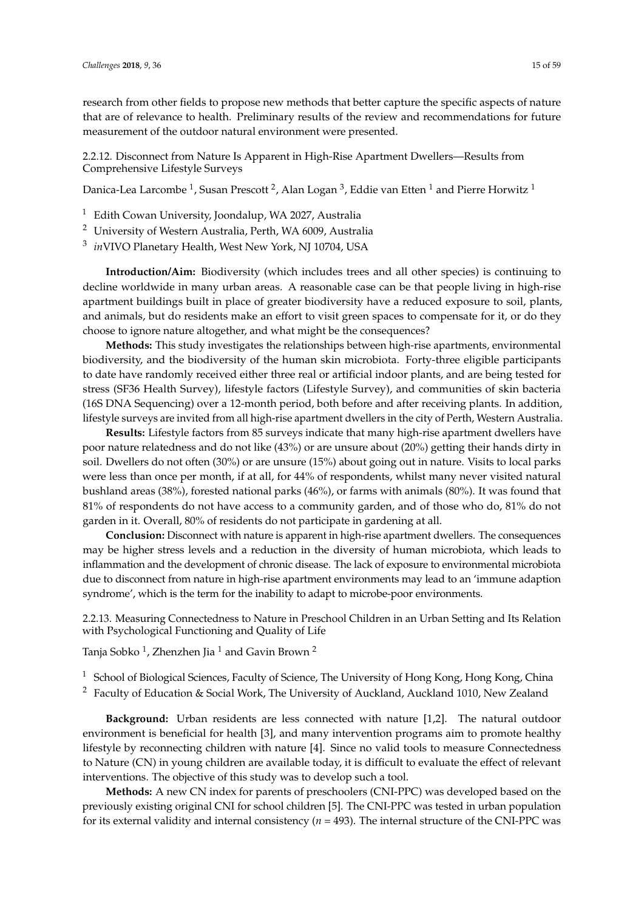research from other fields to propose new methods that better capture the specific aspects of nature that are of relevance to health. Preliminary results of the review and recommendations for future measurement of the outdoor natural environment were presented.

2.2.12. Disconnect from Nature Is Apparent in High-Rise Apartment Dwellers—Results from Comprehensive Lifestyle Surveys

Danica-Lea Larcombe  $^1$ , Susan Prescott  $^2$ , Alan Logan  $^3$ , Eddie van Etten  $^1$  and Pierre Horwitz  $^1$ 

- $1$  Edith Cowan University, Joondalup, WA 2027, Australia
- <sup>2</sup> University of Western Australia, Perth, WA 6009, Australia
- 3 *in*VIVO Planetary Health, West New York, NJ 10704, USA

**Introduction/Aim:** Biodiversity (which includes trees and all other species) is continuing to decline worldwide in many urban areas. A reasonable case can be that people living in high-rise apartment buildings built in place of greater biodiversity have a reduced exposure to soil, plants, and animals, but do residents make an effort to visit green spaces to compensate for it, or do they choose to ignore nature altogether, and what might be the consequences?

**Methods:** This study investigates the relationships between high-rise apartments, environmental biodiversity, and the biodiversity of the human skin microbiota. Forty-three eligible participants to date have randomly received either three real or artificial indoor plants, and are being tested for stress (SF36 Health Survey), lifestyle factors (Lifestyle Survey), and communities of skin bacteria (16S DNA Sequencing) over a 12-month period, both before and after receiving plants. In addition, lifestyle surveys are invited from all high-rise apartment dwellers in the city of Perth, Western Australia.

**Results:** Lifestyle factors from 85 surveys indicate that many high-rise apartment dwellers have poor nature relatedness and do not like (43%) or are unsure about (20%) getting their hands dirty in soil. Dwellers do not often (30%) or are unsure (15%) about going out in nature. Visits to local parks were less than once per month, if at all, for 44% of respondents, whilst many never visited natural bushland areas (38%), forested national parks (46%), or farms with animals (80%). It was found that 81% of respondents do not have access to a community garden, and of those who do, 81% do not garden in it. Overall, 80% of residents do not participate in gardening at all.

**Conclusion:** Disconnect with nature is apparent in high-rise apartment dwellers. The consequences may be higher stress levels and a reduction in the diversity of human microbiota, which leads to inflammation and the development of chronic disease. The lack of exposure to environmental microbiota due to disconnect from nature in high-rise apartment environments may lead to an 'immune adaption syndrome', which is the term for the inability to adapt to microbe-poor environments.

2.2.13. Measuring Connectedness to Nature in Preschool Children in an Urban Setting and Its Relation with Psychological Functioning and Quality of Life

Tanja Sobko  $^1$ , Zhenzhen Jia  $^1$  and Gavin Brown  $^2$ 

<sup>1</sup> School of Biological Sciences, Faculty of Science, The University of Hong Kong, Hong Kong, China

<sup>2</sup> Faculty of Education & Social Work, The University of Auckland, Auckland 1010, New Zealand

**Background:** Urban residents are less connected with nature [1,2]. The natural outdoor environment is beneficial for health [3], and many intervention programs aim to promote healthy lifestyle by reconnecting children with nature [4]. Since no valid tools to measure Connectedness to Nature (CN) in young children are available today, it is difficult to evaluate the effect of relevant interventions. The objective of this study was to develop such a tool.

**Methods:** A new CN index for parents of preschoolers (CNI-PPC) was developed based on the previously existing original CNI for school children [5]. The CNI-PPC was tested in urban population for its external validity and internal consistency (*n* = 493). The internal structure of the CNI-PPC was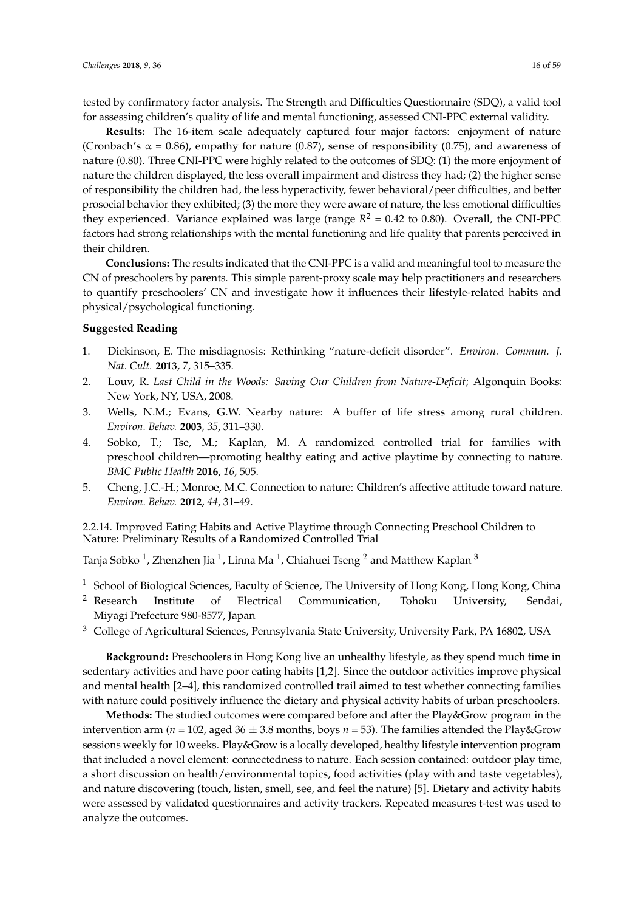tested by confirmatory factor analysis. The Strength and Difficulties Questionnaire (SDQ), a valid tool for assessing children's quality of life and mental functioning, assessed CNI-PPC external validity.

**Results:** The 16-item scale adequately captured four major factors: enjoyment of nature (Cronbach's  $\alpha$  = 0.86), empathy for nature (0.87), sense of responsibility (0.75), and awareness of nature (0.80). Three CNI-PPC were highly related to the outcomes of SDQ: (1) the more enjoyment of nature the children displayed, the less overall impairment and distress they had; (2) the higher sense of responsibility the children had, the less hyperactivity, fewer behavioral/peer difficulties, and better prosocial behavior they exhibited; (3) the more they were aware of nature, the less emotional difficulties they experienced. Variance explained was large (range  $R^2 = 0.42$  to 0.80). Overall, the CNI-PPC factors had strong relationships with the mental functioning and life quality that parents perceived in their children.

**Conclusions:** The results indicated that the CNI-PPC is a valid and meaningful tool to measure the CN of preschoolers by parents. This simple parent-proxy scale may help practitioners and researchers to quantify preschoolers' CN and investigate how it influences their lifestyle-related habits and physical/psychological functioning.

#### **Suggested Reading**

- 1. Dickinson, E. The misdiagnosis: Rethinking "nature-deficit disorder". *Environ. Commun. J. Nat. Cult.* **2013**, *7*, 315–335.
- 2. Louv, R. *Last Child in the Woods: Saving Our Children from Nature-Deficit*; Algonquin Books: New York, NY, USA, 2008.
- 3. Wells, N.M.; Evans, G.W. Nearby nature: A buffer of life stress among rural children. *Environ. Behav.* **2003**, *35*, 311–330.
- 4. Sobko, T.; Tse, M.; Kaplan, M. A randomized controlled trial for families with preschool children—promoting healthy eating and active playtime by connecting to nature. *BMC Public Health* **2016**, *16*, 505.
- 5. Cheng, J.C.-H.; Monroe, M.C. Connection to nature: Children's affective attitude toward nature. *Environ. Behav.* **2012**, *44*, 31–49.

2.2.14. Improved Eating Habits and Active Playtime through Connecting Preschool Children to Nature: Preliminary Results of a Randomized Controlled Trial

Tanja Sobko  $^1$ , Zhenzhen Jia  $^1$ , Linna Ma  $^1$ , Chiahuei Tseng  $^2$  and Matthew Kaplan  $^3$ 

- <sup>1</sup> School of Biological Sciences, Faculty of Science, The University of Hong Kong, Hong Kong, China
- <sup>2</sup> Research Institute of Electrical Communication, Tohoku University, Sendai, Miyagi Prefecture 980-8577, Japan
- <sup>3</sup> College of Agricultural Sciences, Pennsylvania State University, University Park, PA 16802, USA

**Background:** Preschoolers in Hong Kong live an unhealthy lifestyle, as they spend much time in sedentary activities and have poor eating habits [1,2]. Since the outdoor activities improve physical and mental health [2–4], this randomized controlled trail aimed to test whether connecting families with nature could positively influence the dietary and physical activity habits of urban preschoolers.

**Methods:** The studied outcomes were compared before and after the Play&Grow program in the intervention arm ( $n = 102$ , aged  $36 \pm 3.8$  months, boys  $n = 53$ ). The families attended the Play&Grow sessions weekly for 10 weeks. Play&Grow is a locally developed, healthy lifestyle intervention program that included a novel element: connectedness to nature. Each session contained: outdoor play time, a short discussion on health/environmental topics, food activities (play with and taste vegetables), and nature discovering (touch, listen, smell, see, and feel the nature) [5]. Dietary and activity habits were assessed by validated questionnaires and activity trackers. Repeated measures t-test was used to analyze the outcomes.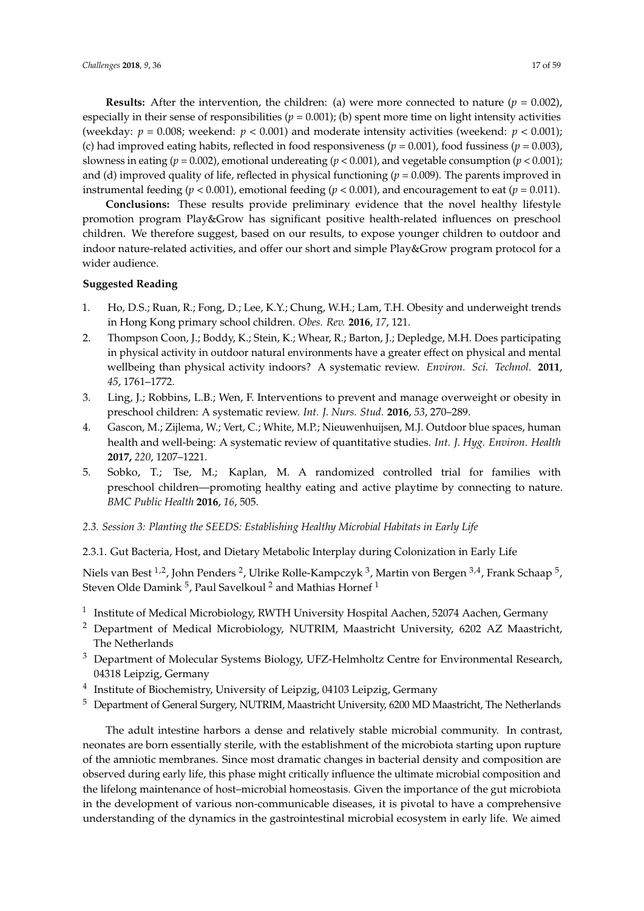**Results:** After the intervention, the children: (a) were more connected to nature ( $p = 0.002$ ), especially in their sense of responsibilities ( $p = 0.001$ ); (b) spent more time on light intensity activities (weekday:  $p = 0.008$ ; weekend:  $p < 0.001$ ) and moderate intensity activities (weekend:  $p < 0.001$ ); (c) had improved eating habits, reflected in food responsiveness (*p* = 0.001), food fussiness (*p* = 0.003), slowness in eating ( $p = 0.002$ ), emotional undereating ( $p < 0.001$ ), and vegetable consumption ( $p < 0.001$ ); and (d) improved quality of life, reflected in physical functioning  $(p = 0.009)$ . The parents improved in instrumental feeding (*p* < 0.001), emotional feeding (*p* < 0.001), and encouragement to eat (*p* = 0.011).

**Conclusions:** These results provide preliminary evidence that the novel healthy lifestyle promotion program Play&Grow has significant positive health-related influences on preschool children. We therefore suggest, based on our results, to expose younger children to outdoor and indoor nature-related activities, and offer our short and simple Play&Grow program protocol for a wider audience.

#### **Suggested Reading**

- 1. Ho, D.S.; Ruan, R.; Fong, D.; Lee, K.Y.; Chung, W.H.; Lam, T.H. Obesity and underweight trends in Hong Kong primary school children. *Obes. Rev.* **2016**, *17*, 121.
- 2. Thompson Coon, J.; Boddy, K.; Stein, K.; Whear, R.; Barton, J.; Depledge, M.H. Does participating in physical activity in outdoor natural environments have a greater effect on physical and mental wellbeing than physical activity indoors? A systematic review. *Environ. Sci. Technol.* **2011**, *45*, 1761–1772.
- 3. Ling, J.; Robbins, L.B.; Wen, F. Interventions to prevent and manage overweight or obesity in preschool children: A systematic review. *Int. J. Nurs. Stud.* **2016**, *53*, 270–289.
- 4. Gascon, M.; Zijlema, W.; Vert, C.; White, M.P.; Nieuwenhuijsen, M.J. Outdoor blue spaces, human health and well-being: A systematic review of quantitative studies. *Int. J. Hyg. Environ. Health* **2017,** *220*, 1207–1221.
- 5. Sobko, T.; Tse, M.; Kaplan, M. A randomized controlled trial for families with preschool children—promoting healthy eating and active playtime by connecting to nature. *BMC Public Health* **2016**, *16*, 505.

#### *2.3. Session 3: Planting the SEEDS: Establishing Healthy Microbial Habitats in Early Life*

2.3.1. Gut Bacteria, Host, and Dietary Metabolic Interplay during Colonization in Early Life

Niels van Best <sup>1,2</sup>, John Penders <sup>2</sup>, Ulrike Rolle-Kampczyk <sup>3</sup>, Martin von Bergen <sup>3,4</sup>, Frank Schaap <sup>5</sup>, Steven Olde Damink  $^5$ , Paul Savelkoul  $^2$  and Mathias Hornef  $^1$ 

- <sup>1</sup> Institute of Medical Microbiology, RWTH University Hospital Aachen, 52074 Aachen, Germany
- <sup>2</sup> Department of Medical Microbiology, NUTRIM, Maastricht University, 6202 AZ Maastricht, The Netherlands
- <sup>3</sup> Department of Molecular Systems Biology, UFZ-Helmholtz Centre for Environmental Research, 04318 Leipzig, Germany
- <sup>4</sup> Institute of Biochemistry, University of Leipzig, 04103 Leipzig, Germany
- <sup>5</sup> Department of General Surgery, NUTRIM, Maastricht University, 6200 MD Maastricht, The Netherlands

The adult intestine harbors a dense and relatively stable microbial community. In contrast, neonates are born essentially sterile, with the establishment of the microbiota starting upon rupture of the amniotic membranes. Since most dramatic changes in bacterial density and composition are observed during early life, this phase might critically influence the ultimate microbial composition and the lifelong maintenance of host–microbial homeostasis. Given the importance of the gut microbiota in the development of various non-communicable diseases, it is pivotal to have a comprehensive understanding of the dynamics in the gastrointestinal microbial ecosystem in early life. We aimed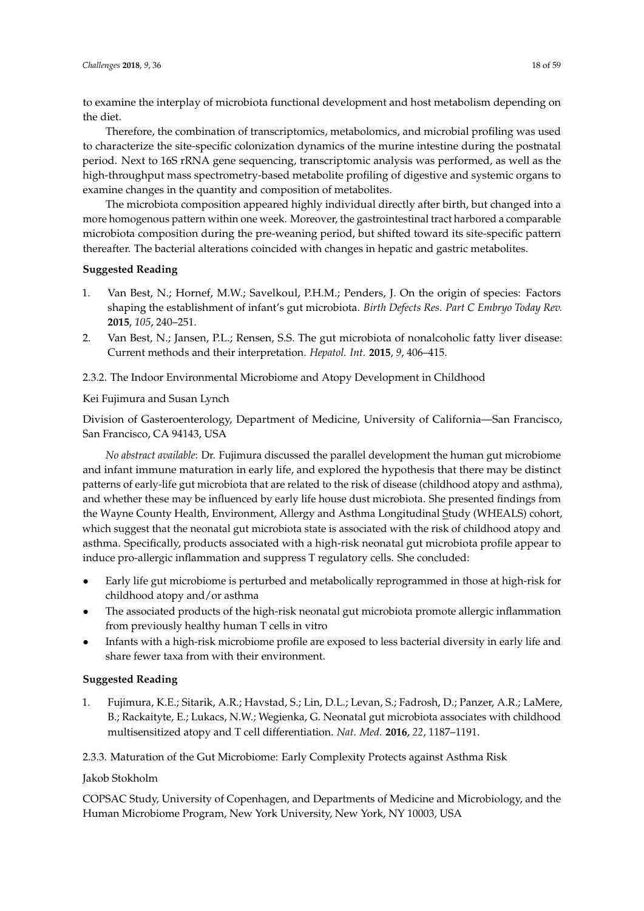to examine the interplay of microbiota functional development and host metabolism depending on the diet.

Therefore, the combination of transcriptomics, metabolomics, and microbial profiling was used to characterize the site-specific colonization dynamics of the murine intestine during the postnatal period. Next to 16S rRNA gene sequencing, transcriptomic analysis was performed, as well as the high-throughput mass spectrometry-based metabolite profiling of digestive and systemic organs to examine changes in the quantity and composition of metabolites.

The microbiota composition appeared highly individual directly after birth, but changed into a more homogenous pattern within one week. Moreover, the gastrointestinal tract harbored a comparable microbiota composition during the pre-weaning period, but shifted toward its site-specific pattern thereafter. The bacterial alterations coincided with changes in hepatic and gastric metabolites.

# **Suggested Reading**

- 1. Van Best, N.; Hornef, M.W.; Savelkoul, P.H.M.; Penders, J. On the origin of species: Factors shaping the establishment of infant's gut microbiota. *Birth Defects Res. Part C Embryo Today Rev.* **2015**, *105*, 240–251.
- 2. Van Best, N.; Jansen, P.L.; Rensen, S.S. The gut microbiota of nonalcoholic fatty liver disease: Current methods and their interpretation. *Hepatol. Int.* **2015**, *9*, 406–415.

# 2.3.2. The Indoor Environmental Microbiome and Atopy Development in Childhood

Kei Fujimura and Susan Lynch

Division of Gasteroenterology, Department of Medicine, University of California—San Francisco, San Francisco, CA 94143, USA

*No abstract available*: Dr. Fujimura discussed the parallel development the human gut microbiome and infant immune maturation in early life, and explored the hypothesis that there may be distinct patterns of early-life gut microbiota that are related to the risk of disease (childhood atopy and asthma), and whether these may be influenced by early life house dust microbiota. She presented findings from the Wayne County Health, Environment, Allergy and Asthma Longitudinal Study (WHEALS) cohort, which suggest that the neonatal gut microbiota state is associated with the risk of childhood atopy and asthma. Specifically, products associated with a high-risk neonatal gut microbiota profile appear to induce pro-allergic inflammation and suppress T regulatory cells. She concluded:

- Early life gut microbiome is perturbed and metabolically reprogrammed in those at high-risk for childhood atopy and/or asthma
- The associated products of the high-risk neonatal gut microbiota promote allergic inflammation from previously healthy human T cells in vitro
- Infants with a high-risk microbiome profile are exposed to less bacterial diversity in early life and share fewer taxa from with their environment.

# **Suggested Reading**

1. Fujimura, K.E.; Sitarik, A.R.; Havstad, S.; Lin, D.L.; Levan, S.; Fadrosh, D.; Panzer, A.R.; LaMere, B.; Rackaityte, E.; Lukacs, N.W.; Wegienka, G. Neonatal gut microbiota associates with childhood multisensitized atopy and T cell differentiation. *Nat. Med.* **2016**, *22*, 1187–1191.

2.3.3. Maturation of the Gut Microbiome: Early Complexity Protects against Asthma Risk

# Jakob Stokholm

COPSAC Study, University of Copenhagen, and Departments of Medicine and Microbiology, and the Human Microbiome Program, New York University, New York, NY 10003, USA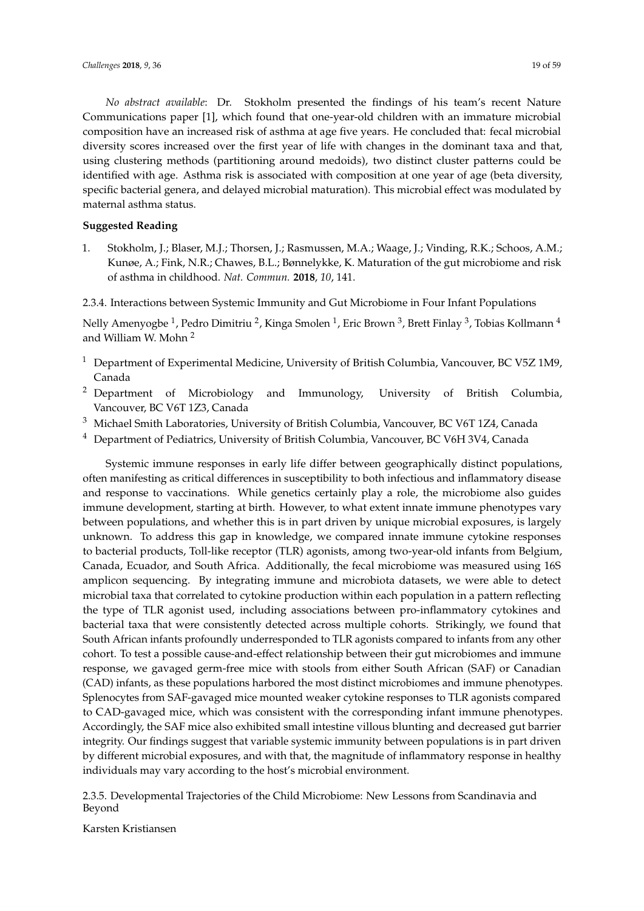*No abstract available*: Dr. Stokholm presented the findings of his team's recent Nature Communications paper [1], which found that one-year-old children with an immature microbial composition have an increased risk of asthma at age five years. He concluded that: fecal microbial diversity scores increased over the first year of life with changes in the dominant taxa and that, using clustering methods (partitioning around medoids), two distinct cluster patterns could be identified with age. Asthma risk is associated with composition at one year of age (beta diversity, specific bacterial genera, and delayed microbial maturation). This microbial effect was modulated by maternal asthma status.

#### **Suggested Reading**

- 1. Stokholm, J.; Blaser, M.J.; Thorsen, J.; Rasmussen, M.A.; Waage, J.; Vinding, R.K.; Schoos, A.M.; Kunøe, A.; Fink, N.R.; Chawes, B.L.; Bønnelykke, K. Maturation of the gut microbiome and risk of asthma in childhood. *Nat. Commun.* **2018**, *10*, 141.
- 2.3.4. Interactions between Systemic Immunity and Gut Microbiome in Four Infant Populations

Nelly Amenyogbe <sup>1</sup>, Pedro Dimitriu <sup>2</sup>, Kinga Smolen <sup>1</sup>, Eric Brown <sup>3</sup>, Brett Finlay <sup>3</sup>, Tobias Kollmann <sup>4</sup> and William W. Mohn <sup>2</sup>

- $1$  Department of Experimental Medicine, University of British Columbia, Vancouver, BC V5Z 1M9, Canada
- <sup>2</sup> Department of Microbiology and Immunology, University of British Columbia, Vancouver, BC V6T 1Z3, Canada
- <sup>3</sup> Michael Smith Laboratories, University of British Columbia, Vancouver, BC V6T 1Z4, Canada
- <sup>4</sup> Department of Pediatrics, University of British Columbia, Vancouver, BC V6H 3V4, Canada

Systemic immune responses in early life differ between geographically distinct populations, often manifesting as critical differences in susceptibility to both infectious and inflammatory disease and response to vaccinations. While genetics certainly play a role, the microbiome also guides immune development, starting at birth. However, to what extent innate immune phenotypes vary between populations, and whether this is in part driven by unique microbial exposures, is largely unknown. To address this gap in knowledge, we compared innate immune cytokine responses to bacterial products, Toll-like receptor (TLR) agonists, among two-year-old infants from Belgium, Canada, Ecuador, and South Africa. Additionally, the fecal microbiome was measured using 16S amplicon sequencing. By integrating immune and microbiota datasets, we were able to detect microbial taxa that correlated to cytokine production within each population in a pattern reflecting the type of TLR agonist used, including associations between pro-inflammatory cytokines and bacterial taxa that were consistently detected across multiple cohorts. Strikingly, we found that South African infants profoundly underresponded to TLR agonists compared to infants from any other cohort. To test a possible cause-and-effect relationship between their gut microbiomes and immune response, we gavaged germ-free mice with stools from either South African (SAF) or Canadian (CAD) infants, as these populations harbored the most distinct microbiomes and immune phenotypes. Splenocytes from SAF-gavaged mice mounted weaker cytokine responses to TLR agonists compared to CAD-gavaged mice, which was consistent with the corresponding infant immune phenotypes. Accordingly, the SAF mice also exhibited small intestine villous blunting and decreased gut barrier integrity. Our findings suggest that variable systemic immunity between populations is in part driven by different microbial exposures, and with that, the magnitude of inflammatory response in healthy individuals may vary according to the host's microbial environment.

2.3.5. Developmental Trajectories of the Child Microbiome: New Lessons from Scandinavia and Beyond

Karsten Kristiansen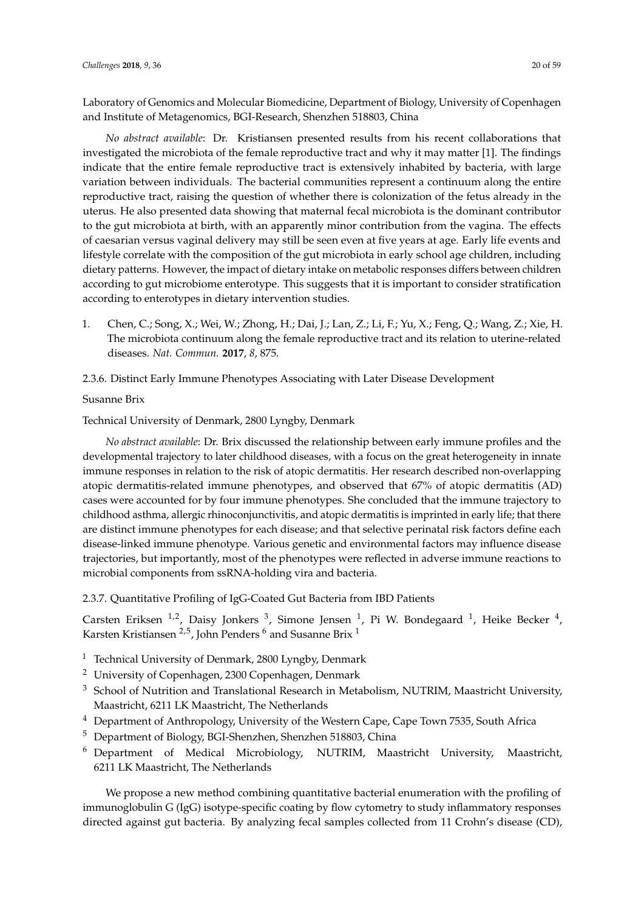Laboratory of Genomics and Molecular Biomedicine, Department of Biology, University of Copenhagen and Institute of Metagenomics, BGI-Research, Shenzhen 518803, China

*No abstract available*: Dr. Kristiansen presented results from his recent collaborations that investigated the microbiota of the female reproductive tract and why it may matter [1]. The findings indicate that the entire female reproductive tract is extensively inhabited by bacteria, with large variation between individuals. The bacterial communities represent a continuum along the entire reproductive tract, raising the question of whether there is colonization of the fetus already in the uterus. He also presented data showing that maternal fecal microbiota is the dominant contributor to the gut microbiota at birth, with an apparently minor contribution from the vagina. The effects of caesarian versus vaginal delivery may still be seen even at five years at age. Early life events and lifestyle correlate with the composition of the gut microbiota in early school age children, including dietary patterns. However, the impact of dietary intake on metabolic responses differs between children according to gut microbiome enterotype. This suggests that it is important to consider stratification according to enterotypes in dietary intervention studies.

1. Chen, C.; Song, X.; Wei, W.; Zhong, H.; Dai, J.; Lan, Z.; Li, F.; Yu, X.; Feng, Q.; Wang, Z.; Xie, H. The microbiota continuum along the female reproductive tract and its relation to uterine-related diseases. *Nat. Commun.* **2017**, *8*, 875.

2.3.6. Distinct Early Immune Phenotypes Associating with Later Disease Development

Susanne Brix

Technical University of Denmark, 2800 Lyngby, Denmark

*No abstract available*: Dr. Brix discussed the relationship between early immune profiles and the developmental trajectory to later childhood diseases, with a focus on the great heterogeneity in innate immune responses in relation to the risk of atopic dermatitis. Her research described non-overlapping atopic dermatitis-related immune phenotypes, and observed that 67% of atopic dermatitis (AD) cases were accounted for by four immune phenotypes. She concluded that the immune trajectory to childhood asthma, allergic rhinoconjunctivitis, and atopic dermatitis is imprinted in early life; that there are distinct immune phenotypes for each disease; and that selective perinatal risk factors define each disease-linked immune phenotype. Various genetic and environmental factors may influence disease trajectories, but importantly, most of the phenotypes were reflected in adverse immune reactions to microbial components from ssRNA-holding vira and bacteria.

2.3.7. Quantitative Profiling of IgG-Coated Gut Bacteria from IBD Patients

Carsten Eriksen  $1.2$ , Daisy Jonkers  $3$ , Simone Jensen  $1$ , Pi W. Bondegaard  $1$ , Heike Becker  $4$ , Karsten Kristiansen <sup>2,5</sup>, John Penders <sup>6</sup> and Susanne Brix <sup>1</sup>

- <sup>1</sup> Technical University of Denmark, 2800 Lyngby, Denmark
- <sup>2</sup> University of Copenhagen, 2300 Copenhagen, Denmark
- $3$  School of Nutrition and Translational Research in Metabolism, NUTRIM, Maastricht University, Maastricht, 6211 LK Maastricht, The Netherlands
- <sup>4</sup> Department of Anthropology, University of the Western Cape, Cape Town 7535, South Africa
- <sup>5</sup> Department of Biology, BGI-Shenzhen, Shenzhen 518803, China
- <sup>6</sup> Department of Medical Microbiology, NUTRIM, Maastricht University, Maastricht, 6211 LK Maastricht, The Netherlands

We propose a new method combining quantitative bacterial enumeration with the profiling of immunoglobulin G (IgG) isotype-specific coating by flow cytometry to study inflammatory responses directed against gut bacteria. By analyzing fecal samples collected from 11 Crohn's disease (CD),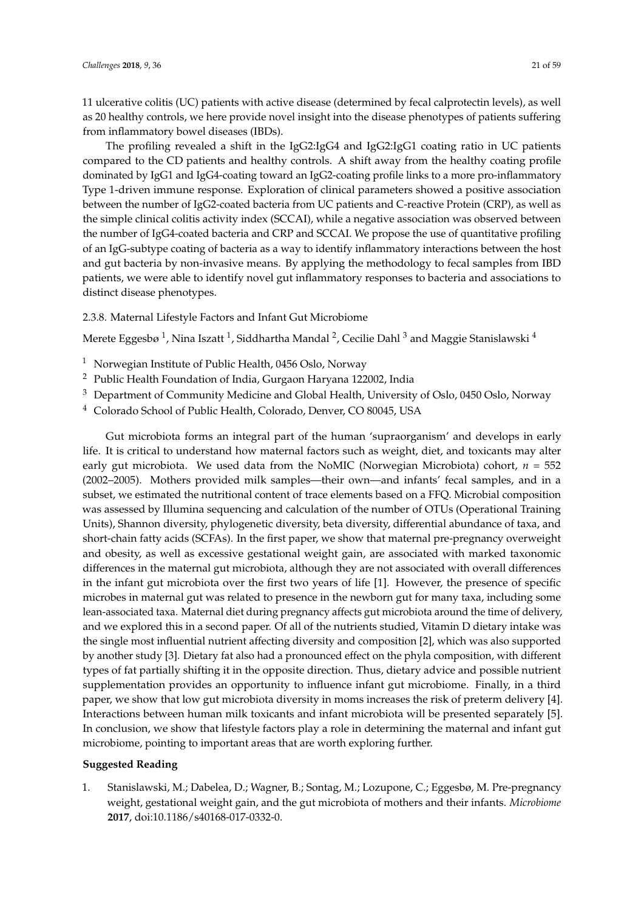11 ulcerative colitis (UC) patients with active disease (determined by fecal calprotectin levels), as well as 20 healthy controls, we here provide novel insight into the disease phenotypes of patients suffering from inflammatory bowel diseases (IBDs).

The profiling revealed a shift in the IgG2:IgG4 and IgG2:IgG1 coating ratio in UC patients compared to the CD patients and healthy controls. A shift away from the healthy coating profile dominated by IgG1 and IgG4-coating toward an IgG2-coating profile links to a more pro-inflammatory Type 1-driven immune response. Exploration of clinical parameters showed a positive association between the number of IgG2-coated bacteria from UC patients and C-reactive Protein (CRP), as well as the simple clinical colitis activity index (SCCAI), while a negative association was observed between the number of IgG4-coated bacteria and CRP and SCCAI. We propose the use of quantitative profiling of an IgG-subtype coating of bacteria as a way to identify inflammatory interactions between the host and gut bacteria by non-invasive means. By applying the methodology to fecal samples from IBD patients, we were able to identify novel gut inflammatory responses to bacteria and associations to distinct disease phenotypes.

#### 2.3.8. Maternal Lifestyle Factors and Infant Gut Microbiome

Merete Eggesbø  $^1$ , Nina Iszatt  $^1$ , Siddhartha Mandal  $^2$ , Cecilie Dahl  $^3$  and Maggie Stanislawski  $^4$ 

- <sup>1</sup> Norwegian Institute of Public Health, 0456 Oslo, Norway
- <sup>2</sup> Public Health Foundation of India, Gurgaon Haryana 122002, India
- <sup>3</sup> Department of Community Medicine and Global Health, University of Oslo, 0450 Oslo, Norway
- <sup>4</sup> Colorado School of Public Health, Colorado, Denver, CO 80045, USA

Gut microbiota forms an integral part of the human 'supraorganism' and develops in early life. It is critical to understand how maternal factors such as weight, diet, and toxicants may alter early gut microbiota. We used data from the NoMIC (Norwegian Microbiota) cohort, *n* = 552 (2002–2005). Mothers provided milk samples—their own—and infants' fecal samples, and in a subset, we estimated the nutritional content of trace elements based on a FFQ. Microbial composition was assessed by Illumina sequencing and calculation of the number of OTUs (Operational Training Units), Shannon diversity, phylogenetic diversity, beta diversity, differential abundance of taxa, and short-chain fatty acids (SCFAs). In the first paper, we show that maternal pre-pregnancy overweight and obesity, as well as excessive gestational weight gain, are associated with marked taxonomic differences in the maternal gut microbiota, although they are not associated with overall differences in the infant gut microbiota over the first two years of life [1]. However, the presence of specific microbes in maternal gut was related to presence in the newborn gut for many taxa, including some lean-associated taxa. Maternal diet during pregnancy affects gut microbiota around the time of delivery, and we explored this in a second paper. Of all of the nutrients studied, Vitamin D dietary intake was the single most influential nutrient affecting diversity and composition [2], which was also supported by another study [3]. Dietary fat also had a pronounced effect on the phyla composition, with different types of fat partially shifting it in the opposite direction. Thus, dietary advice and possible nutrient supplementation provides an opportunity to influence infant gut microbiome. Finally, in a third paper, we show that low gut microbiota diversity in moms increases the risk of preterm delivery [4]. Interactions between human milk toxicants and infant microbiota will be presented separately [5]. In conclusion, we show that lifestyle factors play a role in determining the maternal and infant gut microbiome, pointing to important areas that are worth exploring further.

# **Suggested Reading**

1. Stanislawski, M.; Dabelea, D.; Wagner, B.; Sontag, M.; Lozupone, C.; Eggesbø, M. Pre-pregnancy weight, gestational weight gain, and the gut microbiota of mothers and their infants. *Microbiome* **2017**, doi:10.1186/s40168-017-0332-0.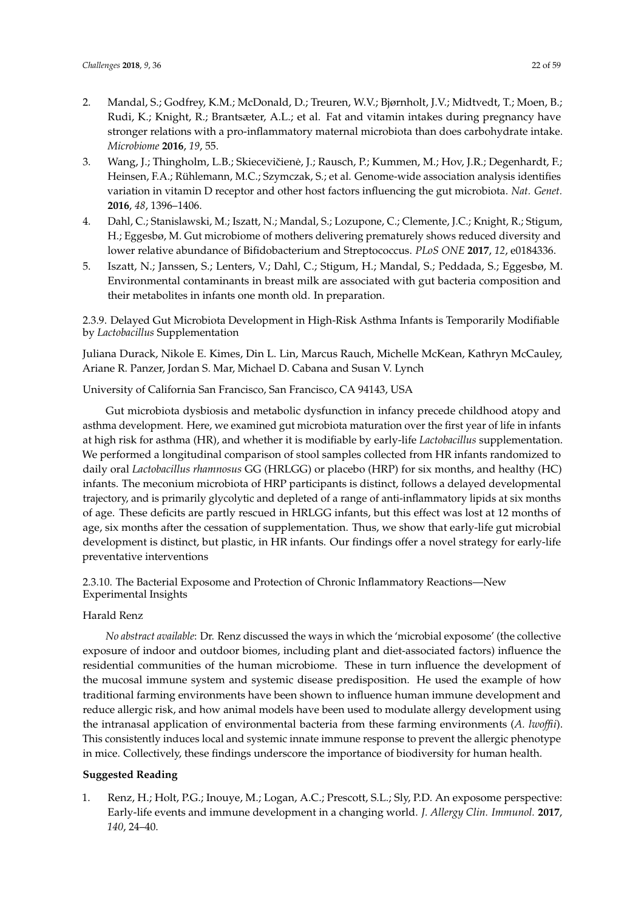- 2. Mandal, S.; Godfrey, K.M.; McDonald, D.; Treuren, W.V.; Bjørnholt, J.V.; Midtvedt, T.; Moen, B.; Rudi, K.; Knight, R.; Brantsæter, A.L.; et al. Fat and vitamin intakes during pregnancy have stronger relations with a pro-inflammatory maternal microbiota than does carbohydrate intake. *Microbiome* **2016**, *19*, 55.
- 3. Wang, J.; Thingholm, L.B.; Skiecevičienė, J.; Rausch, P.; Kummen, M.; Hov, J.R.; Degenhardt, F.; Heinsen, F.A.; Rühlemann, M.C.; Szymczak, S.; et al. Genome-wide association analysis identifies variation in vitamin D receptor and other host factors influencing the gut microbiota. *Nat. Genet.* **2016**, *48*, 1396–1406.
- 4. Dahl, C.; Stanislawski, M.; Iszatt, N.; Mandal, S.; Lozupone, C.; Clemente, J.C.; Knight, R.; Stigum, H.; Eggesbø, M. Gut microbiome of mothers delivering prematurely shows reduced diversity and lower relative abundance of Bifidobacterium and Streptococcus. *PLoS ONE* **2017**, *12*, e0184336.
- 5. Iszatt, N.; Janssen, S.; Lenters, V.; Dahl, C.; Stigum, H.; Mandal, S.; Peddada, S.; Eggesbø, M. Environmental contaminants in breast milk are associated with gut bacteria composition and their metabolites in infants one month old. In preparation.

2.3.9. Delayed Gut Microbiota Development in High-Risk Asthma Infants is Temporarily Modifiable by *Lactobacillus* Supplementation

Juliana Durack, Nikole E. Kimes, Din L. Lin, Marcus Rauch, Michelle McKean, Kathryn McCauley, Ariane R. Panzer, Jordan S. Mar, Michael D. Cabana and Susan V. Lynch

University of California San Francisco, San Francisco, CA 94143, USA

Gut microbiota dysbiosis and metabolic dysfunction in infancy precede childhood atopy and asthma development. Here, we examined gut microbiota maturation over the first year of life in infants at high risk for asthma (HR), and whether it is modifiable by early-life *Lactobacillus* supplementation. We performed a longitudinal comparison of stool samples collected from HR infants randomized to daily oral *Lactobacillus rhamnosus* GG (HRLGG) or placebo (HRP) for six months, and healthy (HC) infants. The meconium microbiota of HRP participants is distinct, follows a delayed developmental trajectory, and is primarily glycolytic and depleted of a range of anti-inflammatory lipids at six months of age. These deficits are partly rescued in HRLGG infants, but this effect was lost at 12 months of age, six months after the cessation of supplementation. Thus, we show that early-life gut microbial development is distinct, but plastic, in HR infants. Our findings offer a novel strategy for early-life preventative interventions

2.3.10. The Bacterial Exposome and Protection of Chronic Inflammatory Reactions—New Experimental Insights

# Harald Renz

*No abstract available*: Dr. Renz discussed the ways in which the 'microbial exposome' (the collective exposure of indoor and outdoor biomes, including plant and diet-associated factors) influence the residential communities of the human microbiome. These in turn influence the development of the mucosal immune system and systemic disease predisposition. He used the example of how traditional farming environments have been shown to influence human immune development and reduce allergic risk, and how animal models have been used to modulate allergy development using the intranasal application of environmental bacteria from these farming environments (*A. lwoffii*). This consistently induces local and systemic innate immune response to prevent the allergic phenotype in mice. Collectively, these findings underscore the importance of biodiversity for human health.

# **Suggested Reading**

Renz, H.; Holt, P.G.; Inouye, M.; Logan, A.C.; Prescott, S.L.; Sly, P.D. An exposome perspective: Early-life events and immune development in a changing world. *J. Allergy Clin. Immunol.* **2017**, *140*, 24–40.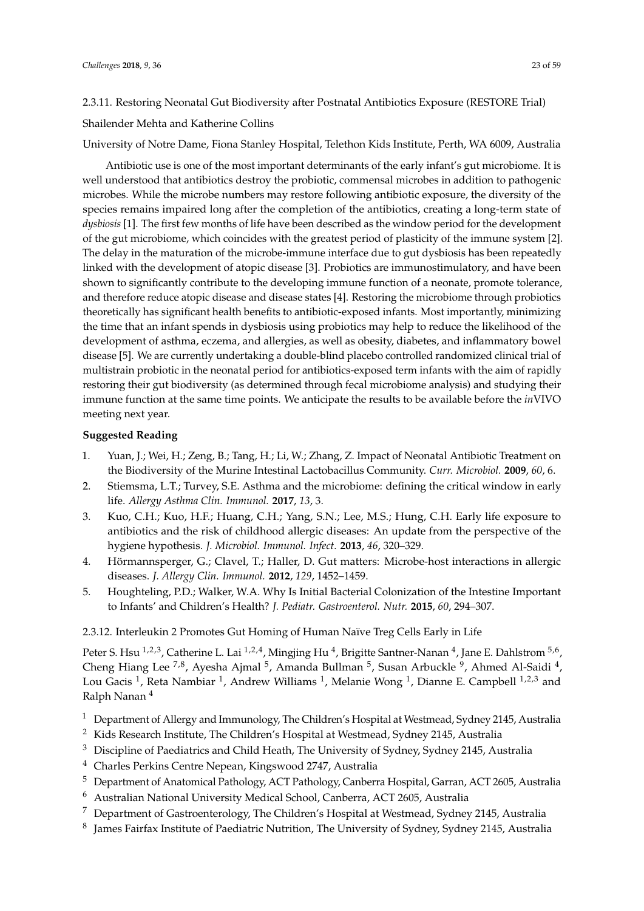#### 2.3.11. Restoring Neonatal Gut Biodiversity after Postnatal Antibiotics Exposure (RESTORE Trial)

Shailender Mehta and Katherine Collins

University of Notre Dame, Fiona Stanley Hospital, Telethon Kids Institute, Perth, WA 6009, Australia

Antibiotic use is one of the most important determinants of the early infant's gut microbiome. It is well understood that antibiotics destroy the probiotic, commensal microbes in addition to pathogenic microbes. While the microbe numbers may restore following antibiotic exposure, the diversity of the species remains impaired long after the completion of the antibiotics, creating a long-term state of *dysbiosis* [1]. The first few months of life have been described as the window period for the development of the gut microbiome, which coincides with the greatest period of plasticity of the immune system [2]. The delay in the maturation of the microbe-immune interface due to gut dysbiosis has been repeatedly linked with the development of atopic disease [3]. Probiotics are immunostimulatory, and have been shown to significantly contribute to the developing immune function of a neonate, promote tolerance, and therefore reduce atopic disease and disease states [4]. Restoring the microbiome through probiotics theoretically has significant health benefits to antibiotic-exposed infants. Most importantly, minimizing the time that an infant spends in dysbiosis using probiotics may help to reduce the likelihood of the development of asthma, eczema, and allergies, as well as obesity, diabetes, and inflammatory bowel disease [5]. We are currently undertaking a double-blind placebo controlled randomized clinical trial of multistrain probiotic in the neonatal period for antibiotics-exposed term infants with the aim of rapidly restoring their gut biodiversity (as determined through fecal microbiome analysis) and studying their immune function at the same time points. We anticipate the results to be available before the *in*VIVO meeting next year.

#### **Suggested Reading**

- 1. Yuan, J.; Wei, H.; Zeng, B.; Tang, H.; Li, W.; Zhang, Z. Impact of Neonatal Antibiotic Treatment on the Biodiversity of the Murine Intestinal Lactobacillus Community. *Curr. Microbiol.* **2009**, *60*, 6.
- 2. Stiemsma, L.T.; Turvey, S.E. Asthma and the microbiome: defining the critical window in early life. *Allergy Asthma Clin. Immunol.* **2017**, *13*, 3.
- 3. Kuo, C.H.; Kuo, H.F.; Huang, C.H.; Yang, S.N.; Lee, M.S.; Hung, C.H. Early life exposure to antibiotics and the risk of childhood allergic diseases: An update from the perspective of the hygiene hypothesis. *J. Microbiol. Immunol. Infect.* **2013**, *46*, 320–329.
- 4. Hörmannsperger, G.; Clavel, T.; Haller, D. Gut matters: Microbe-host interactions in allergic diseases. *J. Allergy Clin. Immunol.* **2012**, *129*, 1452–1459.
- 5. Houghteling, P.D.; Walker, W.A. Why Is Initial Bacterial Colonization of the Intestine Important to Infants' and Children's Health? *J. Pediatr. Gastroenterol. Nutr.* **2015**, *60*, 294–307.

2.3.12. Interleukin 2 Promotes Gut Homing of Human Naïve Treg Cells Early in Life

Peter S. Hsu <sup>1,2,3</sup>, Catherine L. Lai <sup>1,2,4</sup>, Mingjing Hu <sup>4</sup>, Brigitte Santner-Nanan <sup>4</sup>, Jane E. Dahlstrom <sup>5,6</sup>, Cheng Hiang Lee <sup>7,8</sup>, Ayesha Ajmal <sup>5</sup>, Amanda Bullman <sup>5</sup>, Susan Arbuckle <sup>9</sup>, Ahmed Al-Saidi <sup>4</sup>, Lou Gacis <sup>1</sup>, Reta Nambiar <sup>1</sup>, Andrew Williams <sup>1</sup>, Melanie Wong <sup>1</sup>, Dianne E. Campbell <sup>1,2,3</sup> and Ralph Nanan <sup>4</sup>

- <sup>1</sup> Department of Allergy and Immunology, The Children's Hospital at Westmead, Sydney 2145, Australia
- <sup>2</sup> Kids Research Institute, The Children's Hospital at Westmead, Sydney 2145, Australia
- <sup>3</sup> Discipline of Paediatrics and Child Heath, The University of Sydney, Sydney 2145, Australia
- <sup>4</sup> Charles Perkins Centre Nepean, Kingswood 2747, Australia
- <sup>5</sup> Department of Anatomical Pathology, ACT Pathology, Canberra Hospital, Garran, ACT 2605, Australia
- <sup>6</sup> Australian National University Medical School, Canberra, ACT 2605, Australia
- $7$  Department of Gastroenterology, The Children's Hospital at Westmead, Sydney 2145, Australia
- $^8$  James Fairfax Institute of Paediatric Nutrition, The University of Sydney, Sydney 2145, Australia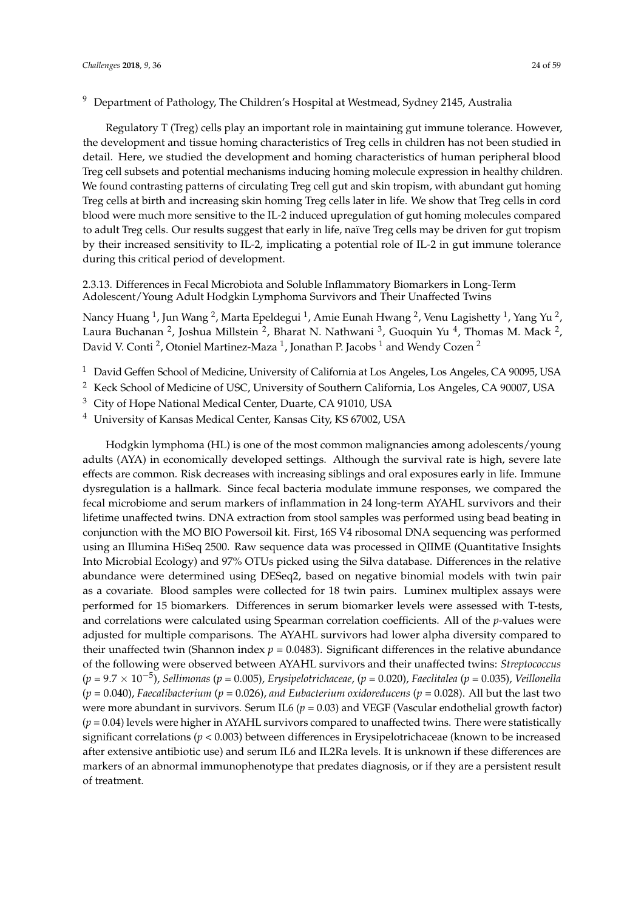# $9$  Department of Pathology, The Children's Hospital at Westmead, Sydney 2145, Australia

Regulatory T (Treg) cells play an important role in maintaining gut immune tolerance. However, the development and tissue homing characteristics of Treg cells in children has not been studied in detail. Here, we studied the development and homing characteristics of human peripheral blood Treg cell subsets and potential mechanisms inducing homing molecule expression in healthy children. We found contrasting patterns of circulating Treg cell gut and skin tropism, with abundant gut homing Treg cells at birth and increasing skin homing Treg cells later in life. We show that Treg cells in cord blood were much more sensitive to the IL-2 induced upregulation of gut homing molecules compared to adult Treg cells. Our results suggest that early in life, naïve Treg cells may be driven for gut tropism by their increased sensitivity to IL-2, implicating a potential role of IL-2 in gut immune tolerance during this critical period of development.

2.3.13. Differences in Fecal Microbiota and Soluble Inflammatory Biomarkers in Long-Term Adolescent/Young Adult Hodgkin Lymphoma Survivors and Their Unaffected Twins

Nancy Huang  $^1$ , Jun Wang  $^2$ , Marta Epeldegui  $^1$ , Amie Eunah Hwang  $^2$ , Venu Lagishetty  $^1$ , Yang Yu  $^2$ , Laura Buchanan <sup>2</sup>, Joshua Millstein <sup>2</sup>, Bharat N. Nathwani <sup>3</sup>, Guoquin Yu <sup>4</sup>, Thomas M. Mack <sup>2</sup>, David V. Conti<sup>2</sup>, Otoniel Martinez-Maza<sup>1</sup>, Jonathan P. Jacobs<sup>1</sup> and Wendy Cozen<sup>2</sup>

- <sup>1</sup> David Geffen School of Medicine, University of California at Los Angeles, Los Angeles, CA 90095, USA
- <sup>2</sup> Keck School of Medicine of USC, University of Southern California, Los Angeles, CA 90007, USA
- <sup>3</sup> City of Hope National Medical Center, Duarte, CA 91010, USA
- <sup>4</sup> University of Kansas Medical Center, Kansas City, KS 67002, USA

Hodgkin lymphoma (HL) is one of the most common malignancies among adolescents/young adults (AYA) in economically developed settings. Although the survival rate is high, severe late effects are common. Risk decreases with increasing siblings and oral exposures early in life. Immune dysregulation is a hallmark. Since fecal bacteria modulate immune responses, we compared the fecal microbiome and serum markers of inflammation in 24 long-term AYAHL survivors and their lifetime unaffected twins. DNA extraction from stool samples was performed using bead beating in conjunction with the MO BIO Powersoil kit. First, 16S V4 ribosomal DNA sequencing was performed using an Illumina HiSeq 2500. Raw sequence data was processed in QIIME (Quantitative Insights Into Microbial Ecology) and 97% OTUs picked using the Silva database. Differences in the relative abundance were determined using DESeq2, based on negative binomial models with twin pair as a covariate. Blood samples were collected for 18 twin pairs. Luminex multiplex assays were performed for 15 biomarkers. Differences in serum biomarker levels were assessed with T-tests, and correlations were calculated using Spearman correlation coefficients. All of the *p*-values were adjusted for multiple comparisons. The AYAHL survivors had lower alpha diversity compared to their unaffected twin (Shannon index  $p = 0.0483$ ). Significant differences in the relative abundance of the following were observed between AYAHL survivors and their unaffected twins: *Streptococcus* (*p* = 9.7 × 10−<sup>5</sup> ), *Sellimonas* (*p* = 0.005), *Erysipelotrichaceae*, (*p* = 0.020), *Faeclitalea* (*p* = 0.035), *Veillonella*  $(p = 0.040)$ , *Faecalibacterium*  $(p = 0.026)$ , *and Eubacterium oxidoreducens*  $(p = 0.028)$ . All but the last two were more abundant in survivors. Serum IL6 (*p* = 0.03) and VEGF (Vascular endothelial growth factor) (*p* = 0.04) levels were higher in AYAHL survivors compared to unaffected twins. There were statistically significant correlations (*p* < 0.003) between differences in Erysipelotrichaceae (known to be increased after extensive antibiotic use) and serum IL6 and IL2Ra levels. It is unknown if these differences are markers of an abnormal immunophenotype that predates diagnosis, or if they are a persistent result of treatment.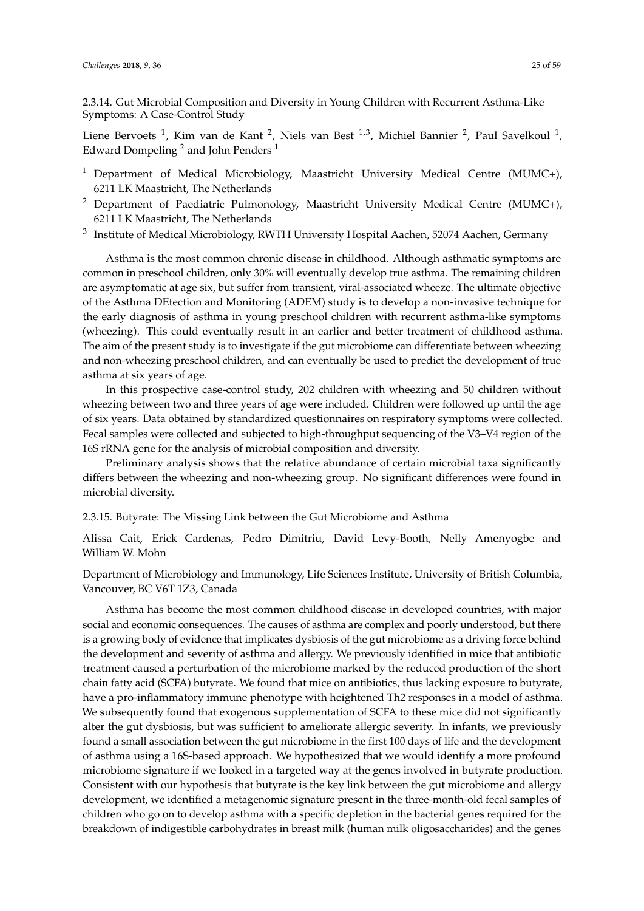2.3.14. Gut Microbial Composition and Diversity in Young Children with Recurrent Asthma-Like Symptoms: A Case-Control Study

Liene Bervoets<sup>1</sup>, Kim van de Kant<sup>2</sup>, Niels van Best<sup>1,3</sup>, Michiel Bannier<sup>2</sup>, Paul Savelkoul<sup>1</sup>, Edward Dompeling<sup>2</sup> and John Penders<sup>1</sup>

- <sup>1</sup> Department of Medical Microbiology, Maastricht University Medical Centre (MUMC+), 6211 LK Maastricht, The Netherlands
- <sup>2</sup> Department of Paediatric Pulmonology, Maastricht University Medical Centre (MUMC+), 6211 LK Maastricht, The Netherlands
- $^3$  Institute of Medical Microbiology, RWTH University Hospital Aachen, 52074 Aachen, Germany

Asthma is the most common chronic disease in childhood. Although asthmatic symptoms are common in preschool children, only 30% will eventually develop true asthma. The remaining children are asymptomatic at age six, but suffer from transient, viral-associated wheeze. The ultimate objective of the Asthma DEtection and Monitoring (ADEM) study is to develop a non-invasive technique for the early diagnosis of asthma in young preschool children with recurrent asthma-like symptoms (wheezing). This could eventually result in an earlier and better treatment of childhood asthma. The aim of the present study is to investigate if the gut microbiome can differentiate between wheezing and non-wheezing preschool children, and can eventually be used to predict the development of true asthma at six years of age.

In this prospective case-control study, 202 children with wheezing and 50 children without wheezing between two and three years of age were included. Children were followed up until the age of six years. Data obtained by standardized questionnaires on respiratory symptoms were collected. Fecal samples were collected and subjected to high-throughput sequencing of the V3–V4 region of the 16S rRNA gene for the analysis of microbial composition and diversity.

Preliminary analysis shows that the relative abundance of certain microbial taxa significantly differs between the wheezing and non-wheezing group. No significant differences were found in microbial diversity.

2.3.15. Butyrate: The Missing Link between the Gut Microbiome and Asthma

Alissa Cait, Erick Cardenas, Pedro Dimitriu, David Levy-Booth, Nelly Amenyogbe and William W. Mohn

Department of Microbiology and Immunology, Life Sciences Institute, University of British Columbia, Vancouver, BC V6T 1Z3, Canada

Asthma has become the most common childhood disease in developed countries, with major social and economic consequences. The causes of asthma are complex and poorly understood, but there is a growing body of evidence that implicates dysbiosis of the gut microbiome as a driving force behind the development and severity of asthma and allergy. We previously identified in mice that antibiotic treatment caused a perturbation of the microbiome marked by the reduced production of the short chain fatty acid (SCFA) butyrate. We found that mice on antibiotics, thus lacking exposure to butyrate, have a pro-inflammatory immune phenotype with heightened Th2 responses in a model of asthma. We subsequently found that exogenous supplementation of SCFA to these mice did not significantly alter the gut dysbiosis, but was sufficient to ameliorate allergic severity. In infants, we previously found a small association between the gut microbiome in the first 100 days of life and the development of asthma using a 16S-based approach. We hypothesized that we would identify a more profound microbiome signature if we looked in a targeted way at the genes involved in butyrate production. Consistent with our hypothesis that butyrate is the key link between the gut microbiome and allergy development, we identified a metagenomic signature present in the three-month-old fecal samples of children who go on to develop asthma with a specific depletion in the bacterial genes required for the breakdown of indigestible carbohydrates in breast milk (human milk oligosaccharides) and the genes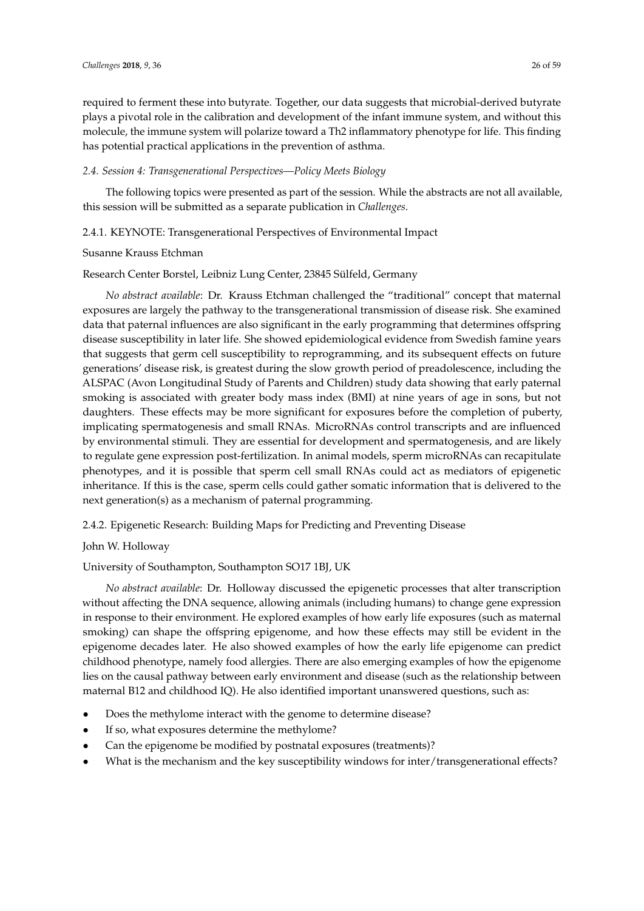required to ferment these into butyrate. Together, our data suggests that microbial-derived butyrate plays a pivotal role in the calibration and development of the infant immune system, and without this molecule, the immune system will polarize toward a Th2 inflammatory phenotype for life. This finding has potential practical applications in the prevention of asthma.

# *2.4. Session 4: Transgenerational Perspectives—Policy Meets Biology*

The following topics were presented as part of the session. While the abstracts are not all available, this session will be submitted as a separate publication in *Challenges*.

# 2.4.1. KEYNOTE: Transgenerational Perspectives of Environmental Impact

# Susanne Krauss Etchman

# Research Center Borstel, Leibniz Lung Center, 23845 Sülfeld, Germany

*No abstract available*: Dr. Krauss Etchman challenged the "traditional" concept that maternal exposures are largely the pathway to the transgenerational transmission of disease risk. She examined data that paternal influences are also significant in the early programming that determines offspring disease susceptibility in later life. She showed epidemiological evidence from Swedish famine years that suggests that germ cell susceptibility to reprogramming, and its subsequent effects on future generations' disease risk, is greatest during the slow growth period of preadolescence, including the ALSPAC (Avon Longitudinal Study of Parents and Children) study data showing that early paternal smoking is associated with greater body mass index (BMI) at nine years of age in sons, but not daughters. These effects may be more significant for exposures before the completion of puberty, implicating spermatogenesis and small RNAs. MicroRNAs control transcripts and are influenced by environmental stimuli. They are essential for development and spermatogenesis, and are likely to regulate gene expression post-fertilization. In animal models, sperm microRNAs can recapitulate phenotypes, and it is possible that sperm cell small RNAs could act as mediators of epigenetic inheritance. If this is the case, sperm cells could gather somatic information that is delivered to the next generation(s) as a mechanism of paternal programming.

2.4.2. Epigenetic Research: Building Maps for Predicting and Preventing Disease

# John W. Holloway

# University of Southampton, Southampton SO17 1BJ, UK

*No abstract available*: Dr. Holloway discussed the epigenetic processes that alter transcription without affecting the DNA sequence, allowing animals (including humans) to change gene expression in response to their environment. He explored examples of how early life exposures (such as maternal smoking) can shape the offspring epigenome, and how these effects may still be evident in the epigenome decades later. He also showed examples of how the early life epigenome can predict childhood phenotype, namely food allergies. There are also emerging examples of how the epigenome lies on the causal pathway between early environment and disease (such as the relationship between maternal B12 and childhood IQ). He also identified important unanswered questions, such as:

- Does the methylome interact with the genome to determine disease?
- If so, what exposures determine the methylome?
- Can the epigenome be modified by postnatal exposures (treatments)?
- What is the mechanism and the key susceptibility windows for inter/transgenerational effects?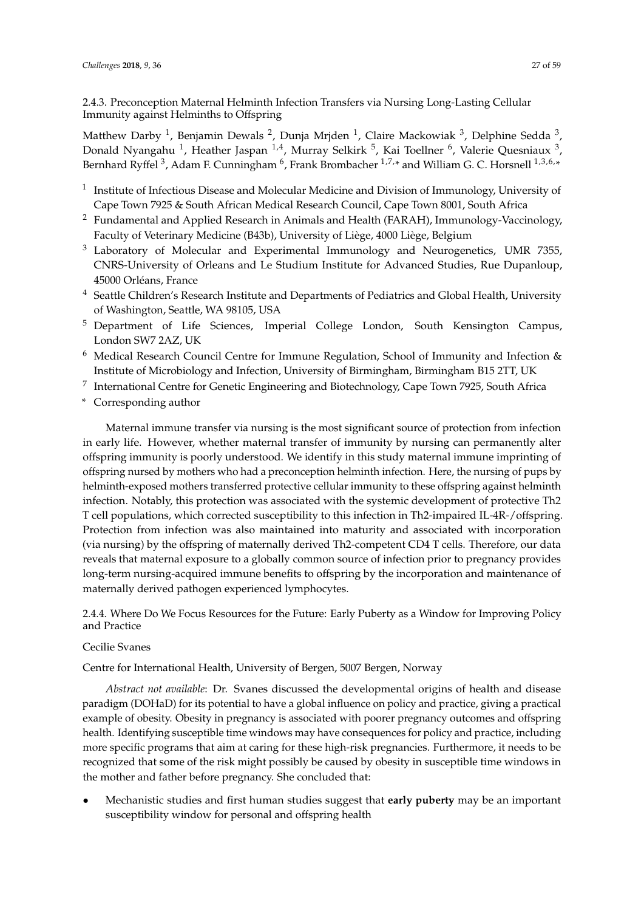2.4.3. Preconception Maternal Helminth Infection Transfers via Nursing Long-Lasting Cellular Immunity against Helminths to Offspring

Matthew Darby <sup>1</sup>, Benjamin Dewals <sup>2</sup>, Dunja Mrjden <sup>1</sup>, Claire Mackowiak <sup>3</sup>, Delphine Sedda <sup>3</sup>, Donald Nyangahu <sup>1</sup>, Heather Jaspan <sup>1,4</sup>, Murray Selkirk <sup>5</sup>, Kai Toellner <sup>6</sup>, Valerie Quesniaux <sup>3</sup>, Bernhard Ryffel <sup>3</sup>, Adam F. Cunningham <sup>6</sup>, Frank Brombacher <sup>1,7,\*</sup> and William G. C. Horsnell <sup>1,3,6,\*</sup>

- <sup>1</sup> Institute of Infectious Disease and Molecular Medicine and Division of Immunology, University of Cape Town 7925 & South African Medical Research Council, Cape Town 8001, South Africa
- <sup>2</sup> Fundamental and Applied Research in Animals and Health (FARAH), Immunology-Vaccinology, Faculty of Veterinary Medicine (B43b), University of Liège, 4000 Liège, Belgium
- <sup>3</sup> Laboratory of Molecular and Experimental Immunology and Neurogenetics, UMR 7355, CNRS-University of Orleans and Le Studium Institute for Advanced Studies, Rue Dupanloup, 45000 Orléans, France
- <sup>4</sup> Seattle Children's Research Institute and Departments of Pediatrics and Global Health, University of Washington, Seattle, WA 98105, USA
- <sup>5</sup> Department of Life Sciences, Imperial College London, South Kensington Campus, London SW7 2AZ, UK
- $6$  Medical Research Council Centre for Immune Regulation, School of Immunity and Infection  $\&$ Institute of Microbiology and Infection, University of Birmingham, Birmingham B15 2TT, UK
- <sup>7</sup> International Centre for Genetic Engineering and Biotechnology, Cape Town 7925, South Africa
- \* Corresponding author

Maternal immune transfer via nursing is the most significant source of protection from infection in early life. However, whether maternal transfer of immunity by nursing can permanently alter offspring immunity is poorly understood. We identify in this study maternal immune imprinting of offspring nursed by mothers who had a preconception helminth infection. Here, the nursing of pups by helminth-exposed mothers transferred protective cellular immunity to these offspring against helminth infection. Notably, this protection was associated with the systemic development of protective Th2 T cell populations, which corrected susceptibility to this infection in Th2-impaired IL-4R-/offspring. Protection from infection was also maintained into maturity and associated with incorporation (via nursing) by the offspring of maternally derived Th2-competent CD4 T cells. Therefore, our data reveals that maternal exposure to a globally common source of infection prior to pregnancy provides long-term nursing-acquired immune benefits to offspring by the incorporation and maintenance of maternally derived pathogen experienced lymphocytes.

2.4.4. Where Do We Focus Resources for the Future: Early Puberty as a Window for Improving Policy and Practice

# Cecilie Svanes

Centre for International Health, University of Bergen, 5007 Bergen, Norway

*Abstract not available*: Dr. Svanes discussed the developmental origins of health and disease paradigm (DOHaD) for its potential to have a global influence on policy and practice, giving a practical example of obesity. Obesity in pregnancy is associated with poorer pregnancy outcomes and offspring health. Identifying susceptible time windows may have consequences for policy and practice, including more specific programs that aim at caring for these high-risk pregnancies. Furthermore, it needs to be recognized that some of the risk might possibly be caused by obesity in susceptible time windows in the mother and father before pregnancy. She concluded that:

• Mechanistic studies and first human studies suggest that **early puberty** may be an important susceptibility window for personal and offspring health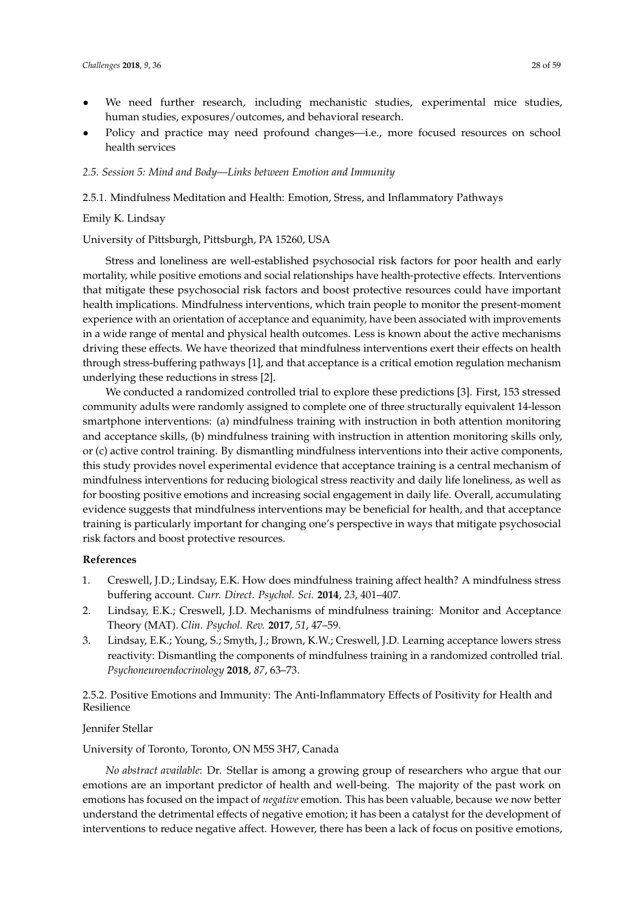- We need further research, including mechanistic studies, experimental mice studies, human studies, exposures/outcomes, and behavioral research.
- Policy and practice may need profound changes—i.e., more focused resources on school health services

#### *2.5. Session 5: Mind and Body—Links between Emotion and Immunity*

2.5.1. Mindfulness Meditation and Health: Emotion, Stress, and Inflammatory Pathways

#### Emily K. Lindsay

University of Pittsburgh, Pittsburgh, PA 15260, USA

Stress and loneliness are well-established psychosocial risk factors for poor health and early mortality, while positive emotions and social relationships have health-protective effects. Interventions that mitigate these psychosocial risk factors and boost protective resources could have important health implications. Mindfulness interventions, which train people to monitor the present-moment experience with an orientation of acceptance and equanimity, have been associated with improvements in a wide range of mental and physical health outcomes. Less is known about the active mechanisms driving these effects. We have theorized that mindfulness interventions exert their effects on health through stress-buffering pathways [1], and that acceptance is a critical emotion regulation mechanism underlying these reductions in stress [2].

We conducted a randomized controlled trial to explore these predictions [3]. First, 153 stressed community adults were randomly assigned to complete one of three structurally equivalent 14-lesson smartphone interventions: (a) mindfulness training with instruction in both attention monitoring and acceptance skills, (b) mindfulness training with instruction in attention monitoring skills only, or (c) active control training. By dismantling mindfulness interventions into their active components, this study provides novel experimental evidence that acceptance training is a central mechanism of mindfulness interventions for reducing biological stress reactivity and daily life loneliness, as well as for boosting positive emotions and increasing social engagement in daily life. Overall, accumulating evidence suggests that mindfulness interventions may be beneficial for health, and that acceptance training is particularly important for changing one's perspective in ways that mitigate psychosocial risk factors and boost protective resources.

#### **References**

- 1. Creswell, J.D.; Lindsay, E.K. How does mindfulness training affect health? A mindfulness stress buffering account. *Curr. Direct. Psychol. Sci.* **2014**, *23*, 401–407.
- 2. Lindsay, E.K.; Creswell, J.D. Mechanisms of mindfulness training: Monitor and Acceptance Theory (MAT). *Clin. Psychol. Rev.* **2017**, *51*, 47–59.
- 3. Lindsay, E.K.; Young, S.; Smyth, J.; Brown, K.W.; Creswell, J.D. Learning acceptance lowers stress reactivity: Dismantling the components of mindfulness training in a randomized controlled trial. *Psychoneuroendocrinology* **2018**, *87*, 63–73.

2.5.2. Positive Emotions and Immunity: The Anti-Inflammatory Effects of Positivity for Health and Resilience

#### Jennifer Stellar

University of Toronto, Toronto, ON M5S 3H7, Canada

*No abstract available*: Dr. Stellar is among a growing group of researchers who argue that our emotions are an important predictor of health and well-being. The majority of the past work on emotions has focused on the impact of *negative* emotion. This has been valuable, because we now better understand the detrimental effects of negative emotion; it has been a catalyst for the development of interventions to reduce negative affect. However, there has been a lack of focus on positive emotions,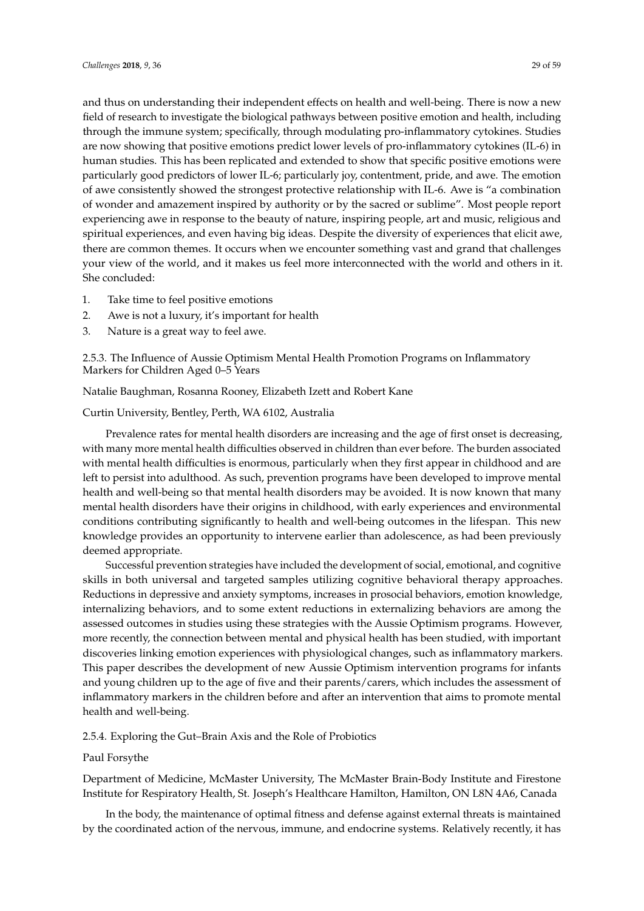and thus on understanding their independent effects on health and well-being. There is now a new field of research to investigate the biological pathways between positive emotion and health, including through the immune system; specifically, through modulating pro-inflammatory cytokines. Studies are now showing that positive emotions predict lower levels of pro-inflammatory cytokines (IL-6) in human studies. This has been replicated and extended to show that specific positive emotions were particularly good predictors of lower IL-6; particularly joy, contentment, pride, and awe. The emotion of awe consistently showed the strongest protective relationship with IL-6. Awe is "a combination of wonder and amazement inspired by authority or by the sacred or sublime". Most people report experiencing awe in response to the beauty of nature, inspiring people, art and music, religious and spiritual experiences, and even having big ideas. Despite the diversity of experiences that elicit awe, there are common themes. It occurs when we encounter something vast and grand that challenges your view of the world, and it makes us feel more interconnected with the world and others in it. She concluded:

- 1. Take time to feel positive emotions
- 2. Awe is not a luxury, it's important for health
- 3. Nature is a great way to feel awe.

2.5.3. The Influence of Aussie Optimism Mental Health Promotion Programs on Inflammatory Markers for Children Aged 0–5 Years

Natalie Baughman, Rosanna Rooney, Elizabeth Izett and Robert Kane

Curtin University, Bentley, Perth, WA 6102, Australia

Prevalence rates for mental health disorders are increasing and the age of first onset is decreasing, with many more mental health difficulties observed in children than ever before. The burden associated with mental health difficulties is enormous, particularly when they first appear in childhood and are left to persist into adulthood. As such, prevention programs have been developed to improve mental health and well-being so that mental health disorders may be avoided. It is now known that many mental health disorders have their origins in childhood, with early experiences and environmental conditions contributing significantly to health and well-being outcomes in the lifespan. This new knowledge provides an opportunity to intervene earlier than adolescence, as had been previously deemed appropriate.

Successful prevention strategies have included the development of social, emotional, and cognitive skills in both universal and targeted samples utilizing cognitive behavioral therapy approaches. Reductions in depressive and anxiety symptoms, increases in prosocial behaviors, emotion knowledge, internalizing behaviors, and to some extent reductions in externalizing behaviors are among the assessed outcomes in studies using these strategies with the Aussie Optimism programs. However, more recently, the connection between mental and physical health has been studied, with important discoveries linking emotion experiences with physiological changes, such as inflammatory markers. This paper describes the development of new Aussie Optimism intervention programs for infants and young children up to the age of five and their parents/carers, which includes the assessment of inflammatory markers in the children before and after an intervention that aims to promote mental health and well-being.

2.5.4. Exploring the Gut–Brain Axis and the Role of Probiotics

#### Paul Forsythe

Department of Medicine, McMaster University, The McMaster Brain-Body Institute and Firestone Institute for Respiratory Health, St. Joseph's Healthcare Hamilton, Hamilton, ON L8N 4A6, Canada

In the body, the maintenance of optimal fitness and defense against external threats is maintained by the coordinated action of the nervous, immune, and endocrine systems. Relatively recently, it has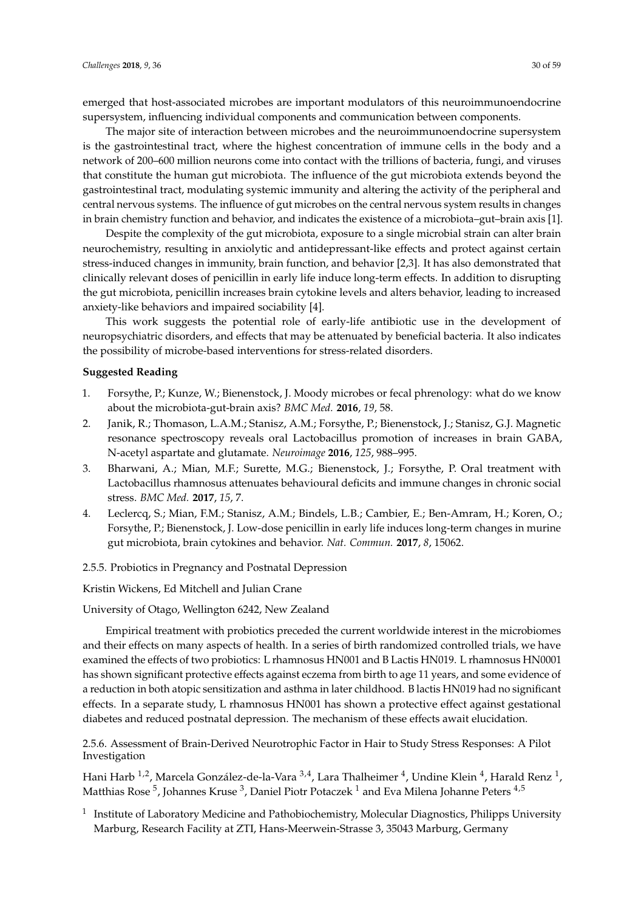emerged that host-associated microbes are important modulators of this neuroimmunoendocrine supersystem, influencing individual components and communication between components.

The major site of interaction between microbes and the neuroimmunoendocrine supersystem is the gastrointestinal tract, where the highest concentration of immune cells in the body and a network of 200–600 million neurons come into contact with the trillions of bacteria, fungi, and viruses that constitute the human gut microbiota. The influence of the gut microbiota extends beyond the gastrointestinal tract, modulating systemic immunity and altering the activity of the peripheral and central nervous systems. The influence of gut microbes on the central nervous system results in changes in brain chemistry function and behavior, and indicates the existence of a microbiota–gut–brain axis [1].

Despite the complexity of the gut microbiota, exposure to a single microbial strain can alter brain neurochemistry, resulting in anxiolytic and antidepressant-like effects and protect against certain stress-induced changes in immunity, brain function, and behavior [2,3]. It has also demonstrated that clinically relevant doses of penicillin in early life induce long-term effects. In addition to disrupting the gut microbiota, penicillin increases brain cytokine levels and alters behavior, leading to increased anxiety-like behaviors and impaired sociability [4].

This work suggests the potential role of early-life antibiotic use in the development of neuropsychiatric disorders, and effects that may be attenuated by beneficial bacteria. It also indicates the possibility of microbe-based interventions for stress-related disorders.

#### **Suggested Reading**

- 1. Forsythe, P.; Kunze, W.; Bienenstock, J. Moody microbes or fecal phrenology: what do we know about the microbiota-gut-brain axis? *BMC Med.* **2016**, *19*, 58.
- 2. Janik, R.; Thomason, L.A.M.; Stanisz, A.M.; Forsythe, P.; Bienenstock, J.; Stanisz, G.J. Magnetic resonance spectroscopy reveals oral Lactobacillus promotion of increases in brain GABA, N-acetyl aspartate and glutamate. *Neuroimage* **2016**, *125*, 988–995.
- 3. Bharwani, A.; Mian, M.F.; Surette, M.G.; Bienenstock, J.; Forsythe, P. Oral treatment with Lactobacillus rhamnosus attenuates behavioural deficits and immune changes in chronic social stress. *BMC Med.* **2017**, *15*, 7.
- 4. Leclercq, S.; Mian, F.M.; Stanisz, A.M.; Bindels, L.B.; Cambier, E.; Ben-Amram, H.; Koren, O.; Forsythe, P.; Bienenstock, J. Low-dose penicillin in early life induces long-term changes in murine gut microbiota, brain cytokines and behavior. *Nat. Commun.* **2017**, *8*, 15062.

2.5.5. Probiotics in Pregnancy and Postnatal Depression

Kristin Wickens, Ed Mitchell and Julian Crane

University of Otago, Wellington 6242, New Zealand

Empirical treatment with probiotics preceded the current worldwide interest in the microbiomes and their effects on many aspects of health. In a series of birth randomized controlled trials, we have examined the effects of two probiotics: L rhamnosus HN001 and B Lactis HN019. L rhamnosus HN0001 has shown significant protective effects against eczema from birth to age 11 years, and some evidence of a reduction in both atopic sensitization and asthma in later childhood. B lactis HN019 had no significant effects. In a separate study, L rhamnosus HN001 has shown a protective effect against gestational diabetes and reduced postnatal depression. The mechanism of these effects await elucidation.

2.5.6. Assessment of Brain-Derived Neurotrophic Factor in Hair to Study Stress Responses: A Pilot Investigation

Hani Harb <sup>1,2</sup>, Marcela González-de-la-Vara <sup>3,4</sup>, Lara Thalheimer <sup>4</sup>, Undine Klein <sup>4</sup>, Harald Renz <sup>1</sup>, Matthias Rose  $^5$ , Johannes Kruse  $^3$ , Daniel Piotr Potaczek  $^1$  and Eva Milena Johanne Peters  $^{4,5}$ 

<sup>1</sup> Institute of Laboratory Medicine and Pathobiochemistry, Molecular Diagnostics, Philipps University Marburg, Research Facility at ZTI, Hans-Meerwein-Strasse 3, 35043 Marburg, Germany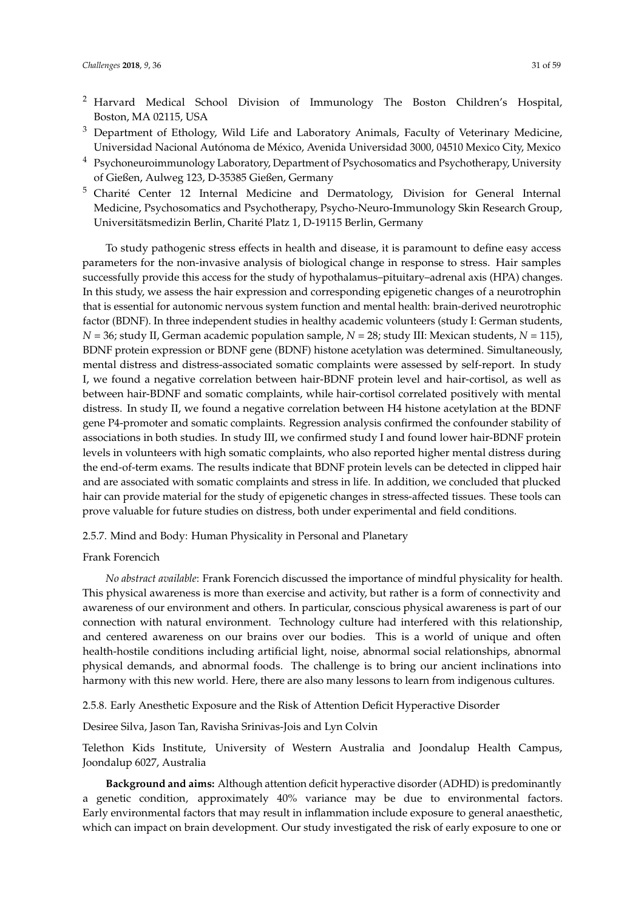- <sup>2</sup> Harvard Medical School Division of Immunology The Boston Children's Hospital, Boston, MA 02115, USA
- <sup>3</sup> Department of Ethology, Wild Life and Laboratory Animals, Faculty of Veterinary Medicine, Universidad Nacional Autónoma de México, Avenida Universidad 3000, 04510 Mexico City, Mexico
- <sup>4</sup> Psychoneuroimmunology Laboratory, Department of Psychosomatics and Psychotherapy, University of Gießen, Aulweg 123, D-35385 Gießen, Germany
- <sup>5</sup> Charité Center 12 Internal Medicine and Dermatology, Division for General Internal Medicine, Psychosomatics and Psychotherapy, Psycho-Neuro-Immunology Skin Research Group, Universitätsmedizin Berlin, Charité Platz 1, D-19115 Berlin, Germany

To study pathogenic stress effects in health and disease, it is paramount to define easy access parameters for the non-invasive analysis of biological change in response to stress. Hair samples successfully provide this access for the study of hypothalamus–pituitary–adrenal axis (HPA) changes. In this study, we assess the hair expression and corresponding epigenetic changes of a neurotrophin that is essential for autonomic nervous system function and mental health: brain-derived neurotrophic factor (BDNF). In three independent studies in healthy academic volunteers (study I: German students, *N* = 36; study II, German academic population sample, *N* = 28; study III: Mexican students, *N* = 115), BDNF protein expression or BDNF gene (BDNF) histone acetylation was determined. Simultaneously, mental distress and distress-associated somatic complaints were assessed by self-report. In study I, we found a negative correlation between hair-BDNF protein level and hair-cortisol, as well as between hair-BDNF and somatic complaints, while hair-cortisol correlated positively with mental distress. In study II, we found a negative correlation between H4 histone acetylation at the BDNF gene P4-promoter and somatic complaints. Regression analysis confirmed the confounder stability of associations in both studies. In study III, we confirmed study I and found lower hair-BDNF protein levels in volunteers with high somatic complaints, who also reported higher mental distress during the end-of-term exams. The results indicate that BDNF protein levels can be detected in clipped hair and are associated with somatic complaints and stress in life. In addition, we concluded that plucked hair can provide material for the study of epigenetic changes in stress-affected tissues. These tools can prove valuable for future studies on distress, both under experimental and field conditions.

2.5.7. Mind and Body: Human Physicality in Personal and Planetary

#### Frank Forencich

*No abstract available*: Frank Forencich discussed the importance of mindful physicality for health. This physical awareness is more than exercise and activity, but rather is a form of connectivity and awareness of our environment and others. In particular, conscious physical awareness is part of our connection with natural environment. Technology culture had interfered with this relationship, and centered awareness on our brains over our bodies. This is a world of unique and often health-hostile conditions including artificial light, noise, abnormal social relationships, abnormal physical demands, and abnormal foods. The challenge is to bring our ancient inclinations into harmony with this new world. Here, there are also many lessons to learn from indigenous cultures.

2.5.8. Early Anesthetic Exposure and the Risk of Attention Deficit Hyperactive Disorder

Desiree Silva, Jason Tan, Ravisha Srinivas-Jois and Lyn Colvin

Telethon Kids Institute, University of Western Australia and Joondalup Health Campus, Joondalup 6027, Australia

**Background and aims:** Although attention deficit hyperactive disorder (ADHD) is predominantly a genetic condition, approximately 40% variance may be due to environmental factors. Early environmental factors that may result in inflammation include exposure to general anaesthetic, which can impact on brain development. Our study investigated the risk of early exposure to one or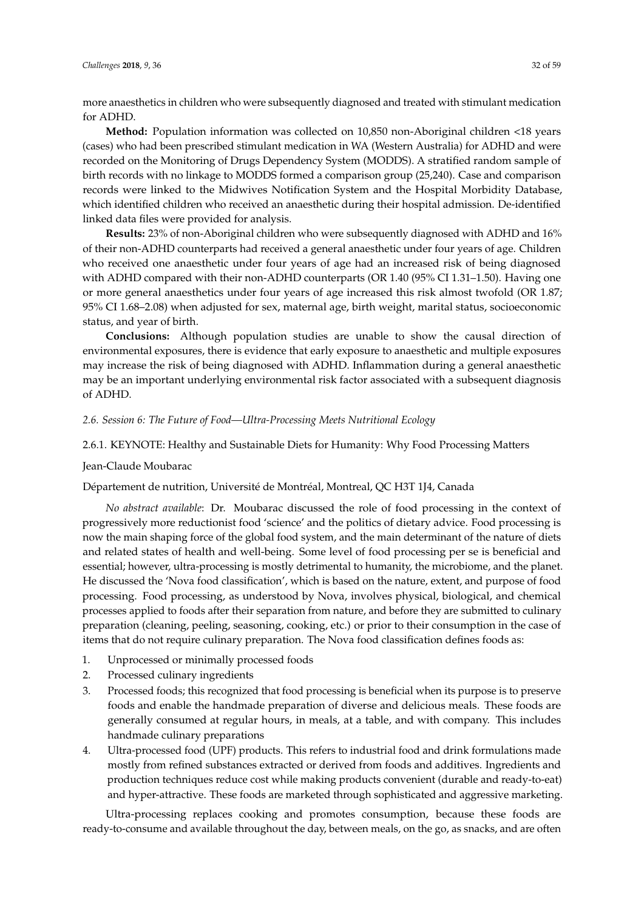more anaesthetics in children who were subsequently diagnosed and treated with stimulant medication for ADHD.

**Method:** Population information was collected on 10,850 non-Aboriginal children <18 years (cases) who had been prescribed stimulant medication in WA (Western Australia) for ADHD and were recorded on the Monitoring of Drugs Dependency System (MODDS). A stratified random sample of birth records with no linkage to MODDS formed a comparison group (25,240). Case and comparison records were linked to the Midwives Notification System and the Hospital Morbidity Database, which identified children who received an anaesthetic during their hospital admission. De-identified linked data files were provided for analysis.

**Results:** 23% of non-Aboriginal children who were subsequently diagnosed with ADHD and 16% of their non-ADHD counterparts had received a general anaesthetic under four years of age. Children who received one anaesthetic under four years of age had an increased risk of being diagnosed with ADHD compared with their non-ADHD counterparts (OR 1.40 (95% CI 1.31–1.50). Having one or more general anaesthetics under four years of age increased this risk almost twofold (OR 1.87; 95% CI 1.68–2.08) when adjusted for sex, maternal age, birth weight, marital status, socioeconomic status, and year of birth.

**Conclusions:** Although population studies are unable to show the causal direction of environmental exposures, there is evidence that early exposure to anaesthetic and multiple exposures may increase the risk of being diagnosed with ADHD. Inflammation during a general anaesthetic may be an important underlying environmental risk factor associated with a subsequent diagnosis of ADHD.

#### *2.6. Session 6: The Future of Food—Ultra-Processing Meets Nutritional Ecology*

#### 2.6.1. KEYNOTE: Healthy and Sustainable Diets for Humanity: Why Food Processing Matters

#### Jean-Claude Moubarac

#### Département de nutrition, Université de Montréal, Montreal, QC H3T 1J4, Canada

*No abstract available*: Dr. Moubarac discussed the role of food processing in the context of progressively more reductionist food 'science' and the politics of dietary advice. Food processing is now the main shaping force of the global food system, and the main determinant of the nature of diets and related states of health and well-being. Some level of food processing per se is beneficial and essential; however, ultra-processing is mostly detrimental to humanity, the microbiome, and the planet. He discussed the 'Nova food classification', which is based on the nature, extent, and purpose of food processing. Food processing, as understood by Nova, involves physical, biological, and chemical processes applied to foods after their separation from nature, and before they are submitted to culinary preparation (cleaning, peeling, seasoning, cooking, etc.) or prior to their consumption in the case of items that do not require culinary preparation. The Nova food classification defines foods as:

- 1. Unprocessed or minimally processed foods
- 2. Processed culinary ingredients
- 3. Processed foods; this recognized that food processing is beneficial when its purpose is to preserve foods and enable the handmade preparation of diverse and delicious meals. These foods are generally consumed at regular hours, in meals, at a table, and with company. This includes handmade culinary preparations
- 4. Ultra-processed food (UPF) products. This refers to industrial food and drink formulations made mostly from refined substances extracted or derived from foods and additives. Ingredients and production techniques reduce cost while making products convenient (durable and ready-to-eat) and hyper-attractive. These foods are marketed through sophisticated and aggressive marketing.

Ultra-processing replaces cooking and promotes consumption, because these foods are ready-to-consume and available throughout the day, between meals, on the go, as snacks, and are often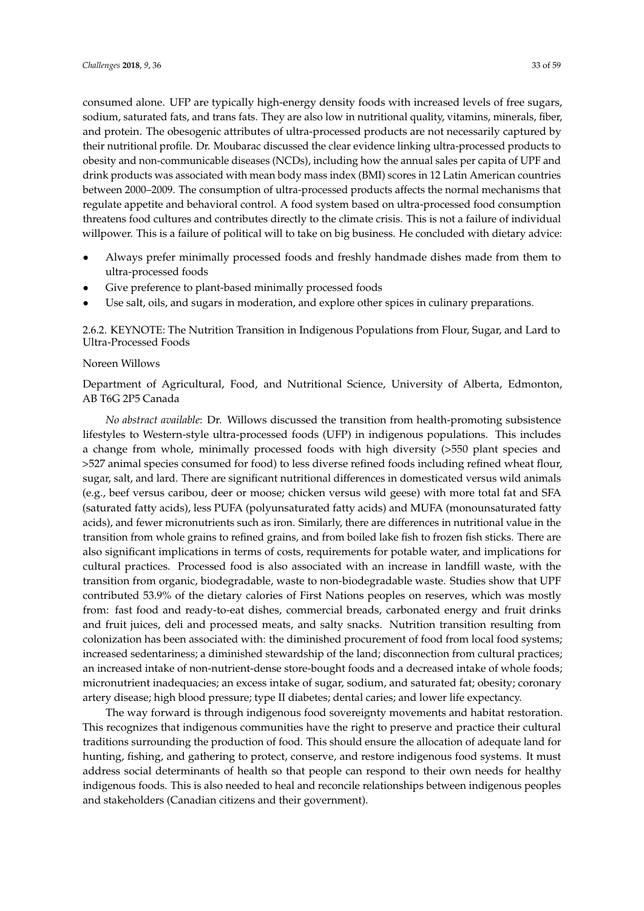consumed alone. UFP are typically high-energy density foods with increased levels of free sugars, sodium, saturated fats, and trans fats. They are also low in nutritional quality, vitamins, minerals, fiber, and protein. The obesogenic attributes of ultra-processed products are not necessarily captured by their nutritional profile. Dr. Moubarac discussed the clear evidence linking ultra-processed products to obesity and non-communicable diseases (NCDs), including how the annual sales per capita of UPF and drink products was associated with mean body mass index (BMI) scores in 12 Latin American countries between 2000–2009. The consumption of ultra-processed products affects the normal mechanisms that regulate appetite and behavioral control. A food system based on ultra-processed food consumption threatens food cultures and contributes directly to the climate crisis. This is not a failure of individual willpower. This is a failure of political will to take on big business. He concluded with dietary advice:

- Always prefer minimally processed foods and freshly handmade dishes made from them to ultra-processed foods
- Give preference to plant-based minimally processed foods
- Use salt, oils, and sugars in moderation, and explore other spices in culinary preparations.

2.6.2. KEYNOTE: The Nutrition Transition in Indigenous Populations from Flour, Sugar, and Lard to Ultra-Processed Foods

#### Noreen Willows

Department of Agricultural, Food, and Nutritional Science, University of Alberta, Edmonton, AB T6G 2P5 Canada

*No abstract available*: Dr. Willows discussed the transition from health-promoting subsistence lifestyles to Western-style ultra-processed foods (UFP) in indigenous populations. This includes a change from whole, minimally processed foods with high diversity (>550 plant species and >527 animal species consumed for food) to less diverse refined foods including refined wheat flour, sugar, salt, and lard. There are significant nutritional differences in domesticated versus wild animals (e.g., beef versus caribou, deer or moose; chicken versus wild geese) with more total fat and SFA (saturated fatty acids), less PUFA (polyunsaturated fatty acids) and MUFA (monounsaturated fatty acids), and fewer micronutrients such as iron. Similarly, there are differences in nutritional value in the transition from whole grains to refined grains, and from boiled lake fish to frozen fish sticks. There are also significant implications in terms of costs, requirements for potable water, and implications for cultural practices. Processed food is also associated with an increase in landfill waste, with the transition from organic, biodegradable, waste to non-biodegradable waste. Studies show that UPF contributed 53.9% of the dietary calories of First Nations peoples on reserves, which was mostly from: fast food and ready-to-eat dishes, commercial breads, carbonated energy and fruit drinks and fruit juices, deli and processed meats, and salty snacks. Nutrition transition resulting from colonization has been associated with: the diminished procurement of food from local food systems; increased sedentariness; a diminished stewardship of the land; disconnection from cultural practices; an increased intake of non-nutrient-dense store-bought foods and a decreased intake of whole foods; micronutrient inadequacies; an excess intake of sugar, sodium, and saturated fat; obesity; coronary artery disease; high blood pressure; type II diabetes; dental caries; and lower life expectancy.

The way forward is through indigenous food sovereignty movements and habitat restoration. This recognizes that indigenous communities have the right to preserve and practice their cultural traditions surrounding the production of food. This should ensure the allocation of adequate land for hunting, fishing, and gathering to protect, conserve, and restore indigenous food systems. It must address social determinants of health so that people can respond to their own needs for healthy indigenous foods. This is also needed to heal and reconcile relationships between indigenous peoples and stakeholders (Canadian citizens and their government).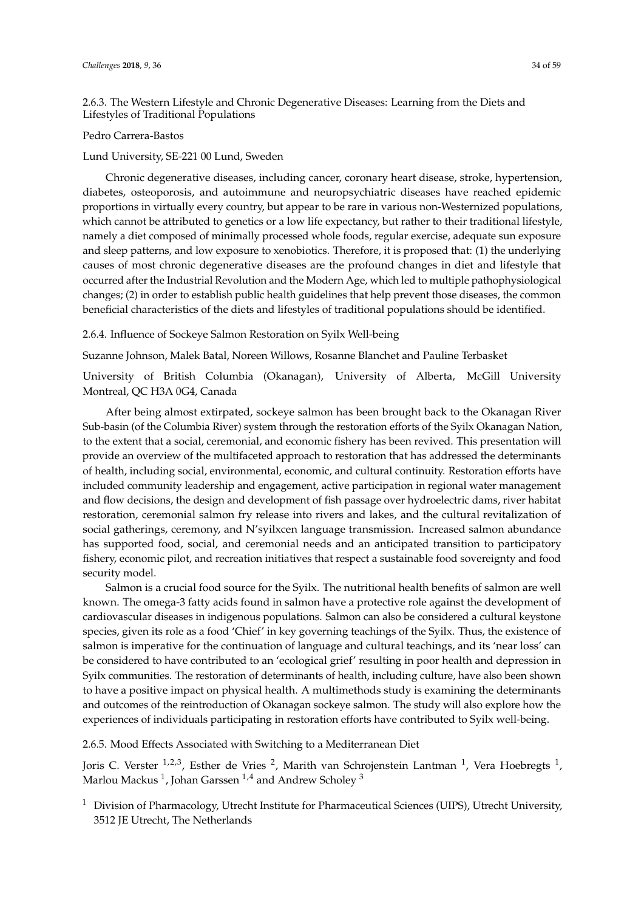2.6.3. The Western Lifestyle and Chronic Degenerative Diseases: Learning from the Diets and Lifestyles of Traditional Populations

#### Pedro Carrera-Bastos

Lund University, SE-221 00 Lund, Sweden

Chronic degenerative diseases, including cancer, coronary heart disease, stroke, hypertension, diabetes, osteoporosis, and autoimmune and neuropsychiatric diseases have reached epidemic proportions in virtually every country, but appear to be rare in various non-Westernized populations, which cannot be attributed to genetics or a low life expectancy, but rather to their traditional lifestyle, namely a diet composed of minimally processed whole foods, regular exercise, adequate sun exposure and sleep patterns, and low exposure to xenobiotics. Therefore, it is proposed that: (1) the underlying causes of most chronic degenerative diseases are the profound changes in diet and lifestyle that occurred after the Industrial Revolution and the Modern Age, which led to multiple pathophysiological changes; (2) in order to establish public health guidelines that help prevent those diseases, the common beneficial characteristics of the diets and lifestyles of traditional populations should be identified.

2.6.4. Influence of Sockeye Salmon Restoration on Syilx Well-being

Suzanne Johnson, Malek Batal, Noreen Willows, Rosanne Blanchet and Pauline Terbasket

University of British Columbia (Okanagan), University of Alberta, McGill University Montreal, QC H3A 0G4, Canada

After being almost extirpated, sockeye salmon has been brought back to the Okanagan River Sub-basin (of the Columbia River) system through the restoration efforts of the Syilx Okanagan Nation, to the extent that a social, ceremonial, and economic fishery has been revived. This presentation will provide an overview of the multifaceted approach to restoration that has addressed the determinants of health, including social, environmental, economic, and cultural continuity. Restoration efforts have included community leadership and engagement, active participation in regional water management and flow decisions, the design and development of fish passage over hydroelectric dams, river habitat restoration, ceremonial salmon fry release into rivers and lakes, and the cultural revitalization of social gatherings, ceremony, and N'syilxcen language transmission. Increased salmon abundance has supported food, social, and ceremonial needs and an anticipated transition to participatory fishery, economic pilot, and recreation initiatives that respect a sustainable food sovereignty and food security model.

Salmon is a crucial food source for the Syilx. The nutritional health benefits of salmon are well known. The omega-3 fatty acids found in salmon have a protective role against the development of cardiovascular diseases in indigenous populations. Salmon can also be considered a cultural keystone species, given its role as a food 'Chief' in key governing teachings of the Syilx. Thus, the existence of salmon is imperative for the continuation of language and cultural teachings, and its 'near loss' can be considered to have contributed to an 'ecological grief' resulting in poor health and depression in Syilx communities. The restoration of determinants of health, including culture, have also been shown to have a positive impact on physical health. A multimethods study is examining the determinants and outcomes of the reintroduction of Okanagan sockeye salmon. The study will also explore how the experiences of individuals participating in restoration efforts have contributed to Syilx well-being.

2.6.5. Mood Effects Associated with Switching to a Mediterranean Diet

Joris C. Verster <sup>1,2,3</sup>, Esther de Vries <sup>2</sup>, Marith van Schrojenstein Lantman <sup>1</sup>, Vera Hoebregts <sup>1</sup>, Marlou Mackus  $^1$ , Johan Garssen  $^{1,4}$  and Andrew Scholey  $^3$ 

<sup>&</sup>lt;sup>1</sup> Division of Pharmacology, Utrecht Institute for Pharmaceutical Sciences (UIPS), Utrecht University, 3512 JE Utrecht, The Netherlands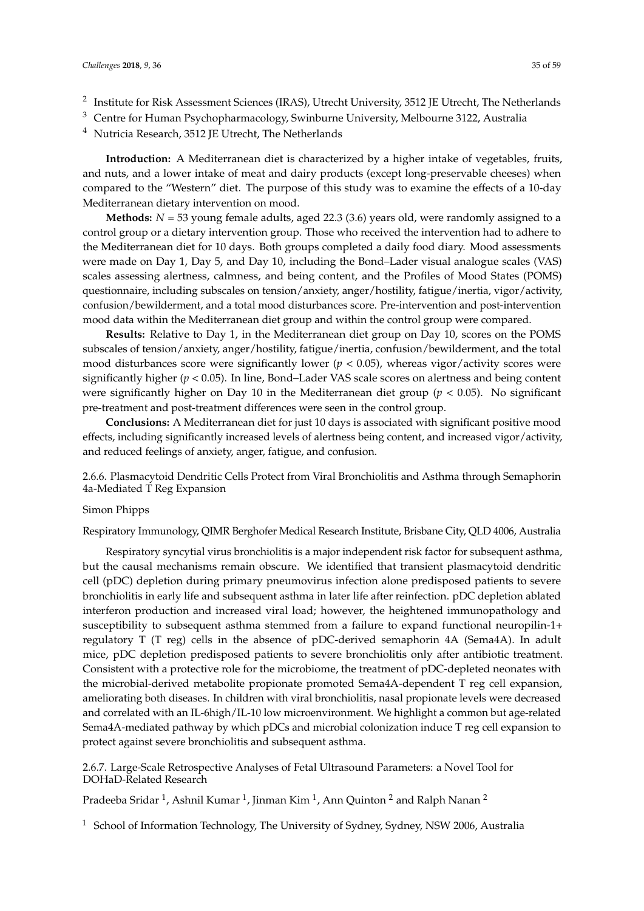- $^2$  Institute for Risk Assessment Sciences (IRAS), Utrecht University, 3512 JE Utrecht, The Netherlands
- <sup>3</sup> Centre for Human Psychopharmacology, Swinburne University, Melbourne 3122, Australia

<sup>4</sup> Nutricia Research, 3512 JE Utrecht, The Netherlands

**Introduction:** A Mediterranean diet is characterized by a higher intake of vegetables, fruits, and nuts, and a lower intake of meat and dairy products (except long-preservable cheeses) when compared to the "Western" diet. The purpose of this study was to examine the effects of a 10-day Mediterranean dietary intervention on mood.

**Methods:** *N* = 53 young female adults, aged 22.3 (3.6) years old, were randomly assigned to a control group or a dietary intervention group. Those who received the intervention had to adhere to the Mediterranean diet for 10 days. Both groups completed a daily food diary. Mood assessments were made on Day 1, Day 5, and Day 10, including the Bond–Lader visual analogue scales (VAS) scales assessing alertness, calmness, and being content, and the Profiles of Mood States (POMS) questionnaire, including subscales on tension/anxiety, anger/hostility, fatigue/inertia, vigor/activity, confusion/bewilderment, and a total mood disturbances score. Pre-intervention and post-intervention mood data within the Mediterranean diet group and within the control group were compared.

**Results:** Relative to Day 1, in the Mediterranean diet group on Day 10, scores on the POMS subscales of tension/anxiety, anger/hostility, fatigue/inertia, confusion/bewilderment, and the total mood disturbances score were significantly lower ( $p < 0.05$ ), whereas vigor/activity scores were significantly higher (*p* < 0.05). In line, Bond–Lader VAS scale scores on alertness and being content were significantly higher on Day 10 in the Mediterranean diet group (*p* < 0.05). No significant pre-treatment and post-treatment differences were seen in the control group.

**Conclusions:** A Mediterranean diet for just 10 days is associated with significant positive mood effects, including significantly increased levels of alertness being content, and increased vigor/activity, and reduced feelings of anxiety, anger, fatigue, and confusion.

2.6.6. Plasmacytoid Dendritic Cells Protect from Viral Bronchiolitis and Asthma through Semaphorin 4a-Mediated T Reg Expansion

#### Simon Phipps

Respiratory Immunology, QIMR Berghofer Medical Research Institute, Brisbane City, QLD 4006, Australia

Respiratory syncytial virus bronchiolitis is a major independent risk factor for subsequent asthma, but the causal mechanisms remain obscure. We identified that transient plasmacytoid dendritic cell (pDC) depletion during primary pneumovirus infection alone predisposed patients to severe bronchiolitis in early life and subsequent asthma in later life after reinfection. pDC depletion ablated interferon production and increased viral load; however, the heightened immunopathology and susceptibility to subsequent asthma stemmed from a failure to expand functional neuropilin-1+ regulatory T (T reg) cells in the absence of pDC-derived semaphorin 4A (Sema4A). In adult mice, pDC depletion predisposed patients to severe bronchiolitis only after antibiotic treatment. Consistent with a protective role for the microbiome, the treatment of pDC-depleted neonates with the microbial-derived metabolite propionate promoted Sema4A-dependent T reg cell expansion, ameliorating both diseases. In children with viral bronchiolitis, nasal propionate levels were decreased and correlated with an IL-6high/IL-10 low microenvironment. We highlight a common but age-related Sema4A-mediated pathway by which pDCs and microbial colonization induce T reg cell expansion to protect against severe bronchiolitis and subsequent asthma.

2.6.7. Large-Scale Retrospective Analyses of Fetal Ultrasound Parameters: a Novel Tool for DOHaD-Related Research

Pradeeba Sridar  $^1$ , Ashnil Kumar  $^1$ , Jinman Kim  $^1$ , Ann Quinton  $^2$  and Ralph Nanan  $^2$ 

<sup>1</sup> School of Information Technology, The University of Sydney, Sydney, NSW 2006, Australia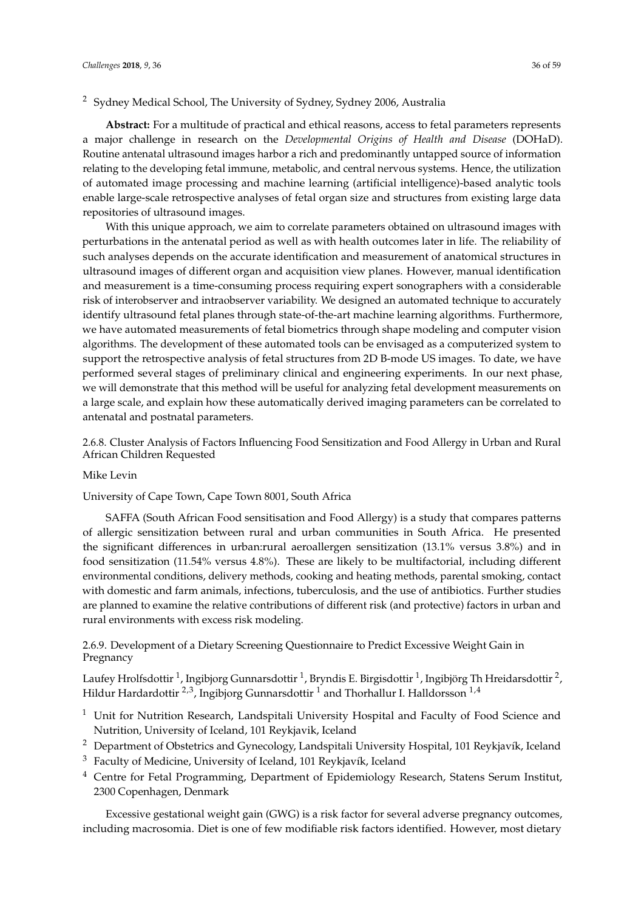# <sup>2</sup> Sydney Medical School, The University of Sydney, Sydney 2006, Australia

**Abstract:** For a multitude of practical and ethical reasons, access to fetal parameters represents a major challenge in research on the *Developmental Origins of Health and Disease* (DOHaD). Routine antenatal ultrasound images harbor a rich and predominantly untapped source of information relating to the developing fetal immune, metabolic, and central nervous systems. Hence, the utilization of automated image processing and machine learning (artificial intelligence)-based analytic tools enable large-scale retrospective analyses of fetal organ size and structures from existing large data repositories of ultrasound images.

With this unique approach, we aim to correlate parameters obtained on ultrasound images with perturbations in the antenatal period as well as with health outcomes later in life. The reliability of such analyses depends on the accurate identification and measurement of anatomical structures in ultrasound images of different organ and acquisition view planes. However, manual identification and measurement is a time-consuming process requiring expert sonographers with a considerable risk of interobserver and intraobserver variability. We designed an automated technique to accurately identify ultrasound fetal planes through state-of-the-art machine learning algorithms. Furthermore, we have automated measurements of fetal biometrics through shape modeling and computer vision algorithms. The development of these automated tools can be envisaged as a computerized system to support the retrospective analysis of fetal structures from 2D B-mode US images. To date, we have performed several stages of preliminary clinical and engineering experiments. In our next phase, we will demonstrate that this method will be useful for analyzing fetal development measurements on a large scale, and explain how these automatically derived imaging parameters can be correlated to antenatal and postnatal parameters.

2.6.8. Cluster Analysis of Factors Influencing Food Sensitization and Food Allergy in Urban and Rural African Children Requested

#### Mike Levin

University of Cape Town, Cape Town 8001, South Africa

SAFFA (South African Food sensitisation and Food Allergy) is a study that compares patterns of allergic sensitization between rural and urban communities in South Africa. He presented the significant differences in urban:rural aeroallergen sensitization (13.1% versus 3.8%) and in food sensitization (11.54% versus 4.8%). These are likely to be multifactorial, including different environmental conditions, delivery methods, cooking and heating methods, parental smoking, contact with domestic and farm animals, infections, tuberculosis, and the use of antibiotics. Further studies are planned to examine the relative contributions of different risk (and protective) factors in urban and rural environments with excess risk modeling.

2.6.9. Development of a Dietary Screening Questionnaire to Predict Excessive Weight Gain in Pregnancy

Laufey Hrolfsdottir <sup>1</sup>, Ingibjorg Gunnarsdottir <sup>1</sup>, Bryndis E. Birgisdottir <sup>1</sup>, Ingibjörg Th Hreidarsdottir <sup>2</sup>, Hildur Hardardottir <sup>2,3</sup>, Ingibjorg Gunnarsdottir <sup>1</sup> and Thorhallur I. Halldorsson <sup>1,4</sup>

- <sup>1</sup> Unit for Nutrition Research, Landspitali University Hospital and Faculty of Food Science and Nutrition, University of Iceland, 101 Reykjavik, Iceland
- <sup>2</sup> Department of Obstetrics and Gynecology, Landspitali University Hospital, 101 Reykjavík, Iceland
- <sup>3</sup> Faculty of Medicine, University of Iceland, 101 Reykjavík, Iceland
- <sup>4</sup> Centre for Fetal Programming, Department of Epidemiology Research, Statens Serum Institut, 2300 Copenhagen, Denmark

Excessive gestational weight gain (GWG) is a risk factor for several adverse pregnancy outcomes, including macrosomia. Diet is one of few modifiable risk factors identified. However, most dietary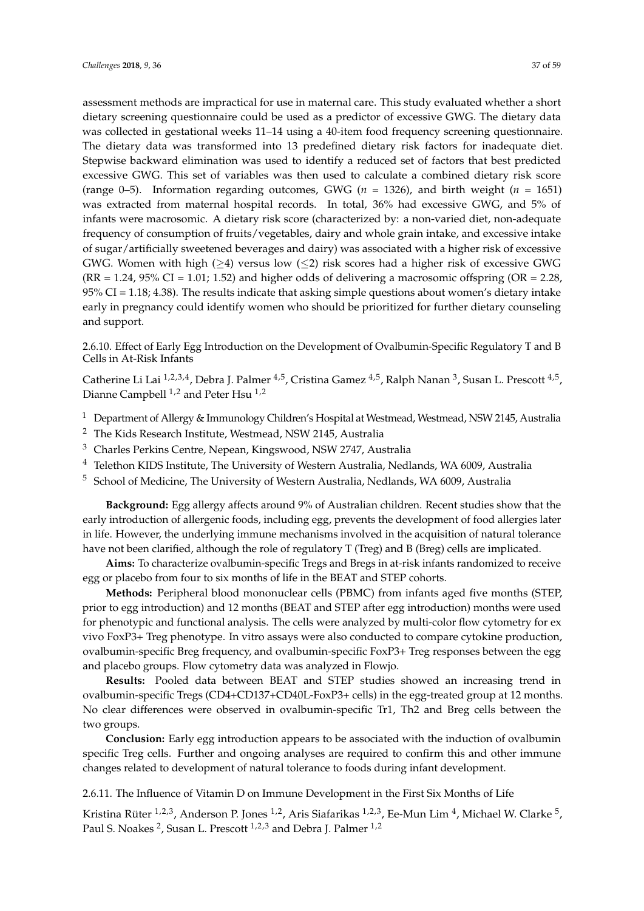assessment methods are impractical for use in maternal care. This study evaluated whether a short dietary screening questionnaire could be used as a predictor of excessive GWG. The dietary data was collected in gestational weeks 11–14 using a 40-item food frequency screening questionnaire. The dietary data was transformed into 13 predefined dietary risk factors for inadequate diet. Stepwise backward elimination was used to identify a reduced set of factors that best predicted excessive GWG. This set of variables was then used to calculate a combined dietary risk score (range 0–5). Information regarding outcomes, GWG (*n* = 1326), and birth weight (*n* = 1651) was extracted from maternal hospital records. In total, 36% had excessive GWG, and 5% of infants were macrosomic. A dietary risk score (characterized by: a non-varied diet, non-adequate frequency of consumption of fruits/vegetables, dairy and whole grain intake, and excessive intake of sugar/artificially sweetened beverages and dairy) was associated with a higher risk of excessive GWG. Women with high ( $\geq$ 4) versus low ( $\leq$ 2) risk scores had a higher risk of excessive GWG  $(RR = 1.24, 95\% \text{ CI} = 1.01; 1.52)$  and higher odds of delivering a macrosomic offspring (OR = 2.28,  $95\%$  CI = 1.18; 4.38). The results indicate that asking simple questions about women's dietary intake early in pregnancy could identify women who should be prioritized for further dietary counseling and support.

2.6.10. Effect of Early Egg Introduction on the Development of Ovalbumin-Specific Regulatory T and B Cells in At-Risk Infants

Catherine Li Lai <sup>1,2,3,4</sup>, Debra J. Palmer <sup>4,5</sup>, Cristina Gamez <sup>4,5</sup>, Ralph Nanan <sup>3</sup>, Susan L. Prescott <sup>4,5</sup>, Dianne Campbell  $1,2$  and Peter Hsu  $1,2$ 

- <sup>1</sup> Department of Allergy & Immunology Children's Hospital at Westmead, Westmead, NSW 2145, Australia
- <sup>2</sup> The Kids Research Institute, Westmead, NSW 2145, Australia
- <sup>3</sup> Charles Perkins Centre, Nepean, Kingswood, NSW 2747, Australia
- <sup>4</sup> Telethon KIDS Institute, The University of Western Australia, Nedlands, WA 6009, Australia
- <sup>5</sup> School of Medicine, The University of Western Australia, Nedlands, WA 6009, Australia

**Background:** Egg allergy affects around 9% of Australian children. Recent studies show that the early introduction of allergenic foods, including egg, prevents the development of food allergies later in life. However, the underlying immune mechanisms involved in the acquisition of natural tolerance have not been clarified, although the role of regulatory T (Treg) and B (Breg) cells are implicated.

**Aims:** To characterize ovalbumin-specific Tregs and Bregs in at-risk infants randomized to receive egg or placebo from four to six months of life in the BEAT and STEP cohorts.

**Methods:** Peripheral blood mononuclear cells (PBMC) from infants aged five months (STEP, prior to egg introduction) and 12 months (BEAT and STEP after egg introduction) months were used for phenotypic and functional analysis. The cells were analyzed by multi-color flow cytometry for ex vivo FoxP3+ Treg phenotype. In vitro assays were also conducted to compare cytokine production, ovalbumin-specific Breg frequency, and ovalbumin-specific FoxP3+ Treg responses between the egg and placebo groups. Flow cytometry data was analyzed in Flowjo.

**Results:** Pooled data between BEAT and STEP studies showed an increasing trend in ovalbumin-specific Tregs (CD4+CD137+CD40L-FoxP3+ cells) in the egg-treated group at 12 months. No clear differences were observed in ovalbumin-specific Tr1, Th2 and Breg cells between the two groups.

**Conclusion:** Early egg introduction appears to be associated with the induction of ovalbumin specific Treg cells. Further and ongoing analyses are required to confirm this and other immune changes related to development of natural tolerance to foods during infant development.

2.6.11. The Influence of Vitamin D on Immune Development in the First Six Months of Life

Kristina Rüter  $^{1,2,3}$ , Anderson P. Jones  $^{1,2}$ , Aris Siafarikas  $^{1,2,3}$ , Ee-Mun Lim  $^4$ , Michael W. Clarke  $^5$ , Paul S. Noakes<sup>2</sup>, Susan L. Prescott<sup>1,2,3</sup> and Debra J. Palmer<sup>1,2</sup>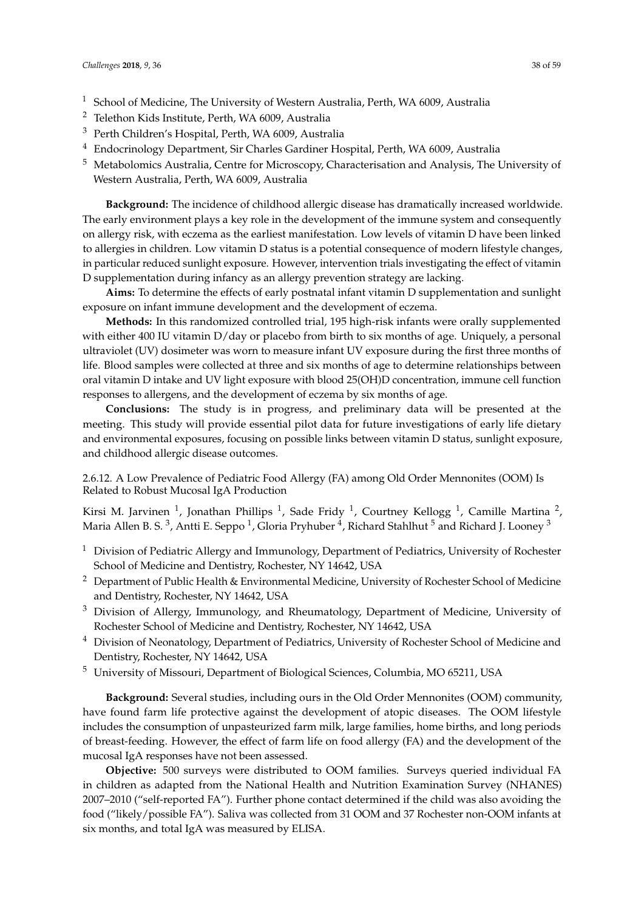- $1$  School of Medicine, The University of Western Australia, Perth, WA 6009, Australia
- <sup>2</sup> Telethon Kids Institute, Perth, WA 6009, Australia
- <sup>3</sup> Perth Children's Hospital, Perth, WA 6009, Australia
- <sup>4</sup> Endocrinology Department, Sir Charles Gardiner Hospital, Perth, WA 6009, Australia
- <sup>5</sup> Metabolomics Australia, Centre for Microscopy, Characterisation and Analysis, The University of Western Australia, Perth, WA 6009, Australia

**Background:** The incidence of childhood allergic disease has dramatically increased worldwide. The early environment plays a key role in the development of the immune system and consequently on allergy risk, with eczema as the earliest manifestation. Low levels of vitamin D have been linked to allergies in children. Low vitamin D status is a potential consequence of modern lifestyle changes, in particular reduced sunlight exposure. However, intervention trials investigating the effect of vitamin D supplementation during infancy as an allergy prevention strategy are lacking.

**Aims:** To determine the effects of early postnatal infant vitamin D supplementation and sunlight exposure on infant immune development and the development of eczema.

**Methods:** In this randomized controlled trial, 195 high-risk infants were orally supplemented with either 400 IU vitamin D/day or placebo from birth to six months of age. Uniquely, a personal ultraviolet (UV) dosimeter was worn to measure infant UV exposure during the first three months of life. Blood samples were collected at three and six months of age to determine relationships between oral vitamin D intake and UV light exposure with blood 25(OH)D concentration, immune cell function responses to allergens, and the development of eczema by six months of age.

**Conclusions:** The study is in progress, and preliminary data will be presented at the meeting. This study will provide essential pilot data for future investigations of early life dietary and environmental exposures, focusing on possible links between vitamin D status, sunlight exposure, and childhood allergic disease outcomes.

2.6.12. A Low Prevalence of Pediatric Food Allergy (FA) among Old Order Mennonites (OOM) Is Related to Robust Mucosal IgA Production

Kirsi M. Jarvinen <sup>1</sup>, Jonathan Phillips <sup>1</sup>, Sade Fridy <sup>1</sup>, Courtney Kellogg <sup>1</sup>, Camille Martina <sup>2</sup>, Maria Allen B. S. <sup>3</sup>, Antti E. Seppo <sup>1</sup>, Gloria Pryhuber <sup>4</sup>, Richard Stahlhut <sup>5</sup> and Richard J. Looney <sup>3</sup>

- <sup>1</sup> Division of Pediatric Allergy and Immunology, Department of Pediatrics, University of Rochester School of Medicine and Dentistry, Rochester, NY 14642, USA
- <sup>2</sup> Department of Public Health & Environmental Medicine, University of Rochester School of Medicine and Dentistry, Rochester, NY 14642, USA
- <sup>3</sup> Division of Allergy, Immunology, and Rheumatology, Department of Medicine, University of Rochester School of Medicine and Dentistry, Rochester, NY 14642, USA
- <sup>4</sup> Division of Neonatology, Department of Pediatrics, University of Rochester School of Medicine and Dentistry, Rochester, NY 14642, USA
- <sup>5</sup> University of Missouri, Department of Biological Sciences, Columbia, MO 65211, USA

**Background:** Several studies, including ours in the Old Order Mennonites (OOM) community, have found farm life protective against the development of atopic diseases. The OOM lifestyle includes the consumption of unpasteurized farm milk, large families, home births, and long periods of breast-feeding. However, the effect of farm life on food allergy (FA) and the development of the mucosal IgA responses have not been assessed.

**Objective:** 500 surveys were distributed to OOM families. Surveys queried individual FA in children as adapted from the National Health and Nutrition Examination Survey (NHANES) 2007–2010 ("self-reported FA"). Further phone contact determined if the child was also avoiding the food ("likely/possible FA"). Saliva was collected from 31 OOM and 37 Rochester non-OOM infants at six months, and total IgA was measured by ELISA.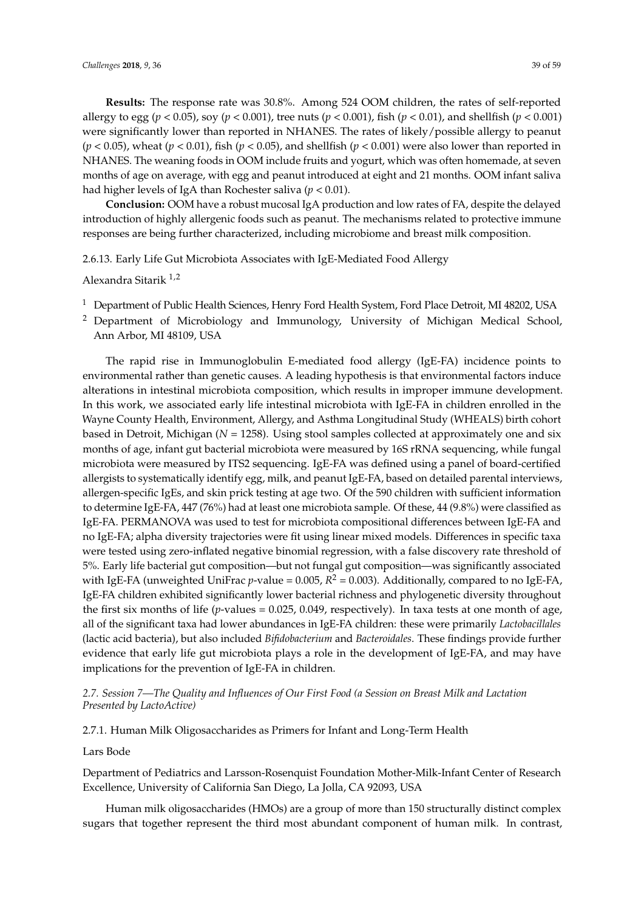**Results:** The response rate was 30.8%. Among 524 OOM children, the rates of self-reported allergy to egg (*p* < 0.05), soy (*p* < 0.001), tree nuts (*p* < 0.001), fish (*p* < 0.01), and shellfish (*p* < 0.001) were significantly lower than reported in NHANES. The rates of likely/possible allergy to peanut (*p* < 0.05), wheat (*p* < 0.01), fish (*p* < 0.05), and shellfish (*p* < 0.001) were also lower than reported in NHANES. The weaning foods in OOM include fruits and yogurt, which was often homemade, at seven months of age on average, with egg and peanut introduced at eight and 21 months. OOM infant saliva had higher levels of IgA than Rochester saliva (*p* < 0.01).

**Conclusion:** OOM have a robust mucosal IgA production and low rates of FA, despite the delayed introduction of highly allergenic foods such as peanut. The mechanisms related to protective immune responses are being further characterized, including microbiome and breast milk composition.

2.6.13. Early Life Gut Microbiota Associates with IgE-Mediated Food Allergy

Alexandra Sitarik 1,2

- <sup>1</sup> Department of Public Health Sciences, Henry Ford Health System, Ford Place Detroit, MI 48202, USA
- <sup>2</sup> Department of Microbiology and Immunology, University of Michigan Medical School, Ann Arbor, MI 48109, USA

The rapid rise in Immunoglobulin E-mediated food allergy (IgE-FA) incidence points to environmental rather than genetic causes. A leading hypothesis is that environmental factors induce alterations in intestinal microbiota composition, which results in improper immune development. In this work, we associated early life intestinal microbiota with IgE-FA in children enrolled in the Wayne County Health, Environment, Allergy, and Asthma Longitudinal Study (WHEALS) birth cohort based in Detroit, Michigan (*N* = 1258). Using stool samples collected at approximately one and six months of age, infant gut bacterial microbiota were measured by 16S rRNA sequencing, while fungal microbiota were measured by ITS2 sequencing. IgE-FA was defined using a panel of board-certified allergists to systematically identify egg, milk, and peanut IgE-FA, based on detailed parental interviews, allergen-specific IgEs, and skin prick testing at age two. Of the 590 children with sufficient information to determine IgE-FA, 447 (76%) had at least one microbiota sample. Of these, 44 (9.8%) were classified as IgE-FA. PERMANOVA was used to test for microbiota compositional differences between IgE-FA and no IgE-FA; alpha diversity trajectories were fit using linear mixed models. Differences in specific taxa were tested using zero-inflated negative binomial regression, with a false discovery rate threshold of 5%. Early life bacterial gut composition—but not fungal gut composition—was significantly associated with IgE-FA (unweighted UniFrac *p*-value = 0.005, *R* <sup>2</sup> = 0.003). Additionally, compared to no IgE-FA, IgE-FA children exhibited significantly lower bacterial richness and phylogenetic diversity throughout the first six months of life ( $p$ -values = 0.025, 0.049, respectively). In taxa tests at one month of age, all of the significant taxa had lower abundances in IgE-FA children: these were primarily *Lactobacillales* (lactic acid bacteria), but also included *Bifidobacterium* and *Bacteroidales*. These findings provide further evidence that early life gut microbiota plays a role in the development of IgE-FA, and may have implications for the prevention of IgE-FA in children.

*2.7. Session 7—The Quality and Influences of Our First Food (a Session on Breast Milk and Lactation Presented by LactoActive)*

2.7.1. Human Milk Oligosaccharides as Primers for Infant and Long-Term Health

# Lars Bode

Department of Pediatrics and Larsson-Rosenquist Foundation Mother-Milk-Infant Center of Research Excellence, University of California San Diego, La Jolla, CA 92093, USA

Human milk oligosaccharides (HMOs) are a group of more than 150 structurally distinct complex sugars that together represent the third most abundant component of human milk. In contrast,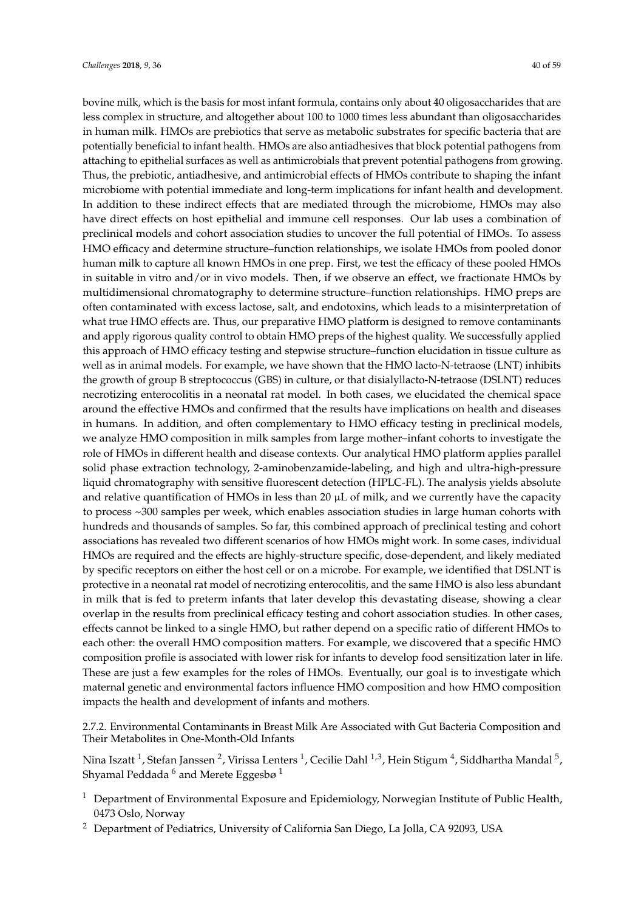bovine milk, which is the basis for most infant formula, contains only about 40 oligosaccharides that are less complex in structure, and altogether about 100 to 1000 times less abundant than oligosaccharides in human milk. HMOs are prebiotics that serve as metabolic substrates for specific bacteria that are potentially beneficial to infant health. HMOs are also antiadhesives that block potential pathogens from attaching to epithelial surfaces as well as antimicrobials that prevent potential pathogens from growing. Thus, the prebiotic, antiadhesive, and antimicrobial effects of HMOs contribute to shaping the infant microbiome with potential immediate and long-term implications for infant health and development. In addition to these indirect effects that are mediated through the microbiome, HMOs may also have direct effects on host epithelial and immune cell responses. Our lab uses a combination of preclinical models and cohort association studies to uncover the full potential of HMOs. To assess HMO efficacy and determine structure–function relationships, we isolate HMOs from pooled donor human milk to capture all known HMOs in one prep. First, we test the efficacy of these pooled HMOs in suitable in vitro and/or in vivo models. Then, if we observe an effect, we fractionate HMOs by multidimensional chromatography to determine structure–function relationships. HMO preps are often contaminated with excess lactose, salt, and endotoxins, which leads to a misinterpretation of what true HMO effects are. Thus, our preparative HMO platform is designed to remove contaminants and apply rigorous quality control to obtain HMO preps of the highest quality. We successfully applied this approach of HMO efficacy testing and stepwise structure–function elucidation in tissue culture as well as in animal models. For example, we have shown that the HMO lacto-N-tetraose (LNT) inhibits the growth of group B streptococcus (GBS) in culture, or that disialyllacto-N-tetraose (DSLNT) reduces necrotizing enterocolitis in a neonatal rat model. In both cases, we elucidated the chemical space around the effective HMOs and confirmed that the results have implications on health and diseases in humans. In addition, and often complementary to HMO efficacy testing in preclinical models, we analyze HMO composition in milk samples from large mother–infant cohorts to investigate the role of HMOs in different health and disease contexts. Our analytical HMO platform applies parallel solid phase extraction technology, 2-aminobenzamide-labeling, and high and ultra-high-pressure liquid chromatography with sensitive fluorescent detection (HPLC-FL). The analysis yields absolute and relative quantification of HMOs in less than 20 µL of milk, and we currently have the capacity to process ~300 samples per week, which enables association studies in large human cohorts with hundreds and thousands of samples. So far, this combined approach of preclinical testing and cohort associations has revealed two different scenarios of how HMOs might work. In some cases, individual HMOs are required and the effects are highly-structure specific, dose-dependent, and likely mediated by specific receptors on either the host cell or on a microbe. For example, we identified that DSLNT is protective in a neonatal rat model of necrotizing enterocolitis, and the same HMO is also less abundant in milk that is fed to preterm infants that later develop this devastating disease, showing a clear overlap in the results from preclinical efficacy testing and cohort association studies. In other cases, effects cannot be linked to a single HMO, but rather depend on a specific ratio of different HMOs to each other: the overall HMO composition matters. For example, we discovered that a specific HMO composition profile is associated with lower risk for infants to develop food sensitization later in life. These are just a few examples for the roles of HMOs. Eventually, our goal is to investigate which maternal genetic and environmental factors influence HMO composition and how HMO composition impacts the health and development of infants and mothers.

2.7.2. Environmental Contaminants in Breast Milk Are Associated with Gut Bacteria Composition and Their Metabolites in One-Month-Old Infants

Nina Iszatt <sup>1</sup>, Stefan Janssen <sup>2</sup>, Virissa Lenters <sup>1</sup>, Cecilie Dahl <sup>1,3</sup>, Hein Stigum <sup>4</sup>, Siddhartha Mandal <sup>5</sup>, Shyamal Peddada  $^6$  and Merete Eggesbø<sup>1</sup>

- <sup>1</sup> Department of Environmental Exposure and Epidemiology, Norwegian Institute of Public Health, 0473 Oslo, Norway
- <sup>2</sup> Department of Pediatrics, University of California San Diego, La Jolla, CA 92093, USA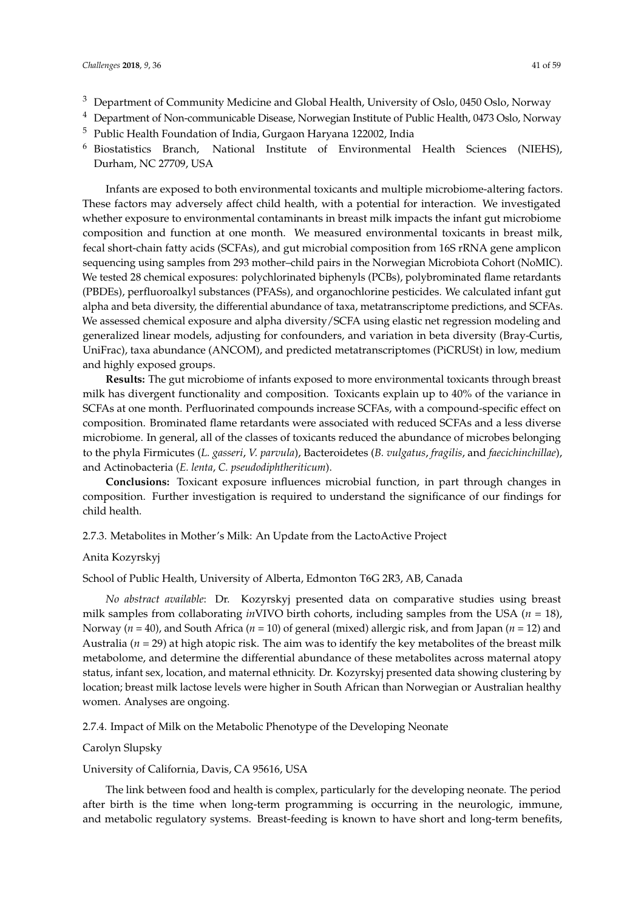- <sup>3</sup> Department of Community Medicine and Global Health, University of Oslo, 0450 Oslo, Norway
- <sup>4</sup> Department of Non-communicable Disease, Norwegian Institute of Public Health, 0473 Oslo, Norway
- <sup>5</sup> Public Health Foundation of India, Gurgaon Haryana 122002, India
- <sup>6</sup> Biostatistics Branch, National Institute of Environmental Health Sciences (NIEHS), Durham, NC 27709, USA

Infants are exposed to both environmental toxicants and multiple microbiome-altering factors. These factors may adversely affect child health, with a potential for interaction. We investigated whether exposure to environmental contaminants in breast milk impacts the infant gut microbiome composition and function at one month. We measured environmental toxicants in breast milk, fecal short-chain fatty acids (SCFAs), and gut microbial composition from 16S rRNA gene amplicon sequencing using samples from 293 mother–child pairs in the Norwegian Microbiota Cohort (NoMIC). We tested 28 chemical exposures: polychlorinated biphenyls (PCBs), polybrominated flame retardants (PBDEs), perfluoroalkyl substances (PFASs), and organochlorine pesticides. We calculated infant gut alpha and beta diversity, the differential abundance of taxa, metatranscriptome predictions, and SCFAs. We assessed chemical exposure and alpha diversity/SCFA using elastic net regression modeling and generalized linear models, adjusting for confounders, and variation in beta diversity (Bray-Curtis, UniFrac), taxa abundance (ANCOM), and predicted metatranscriptomes (PiCRUSt) in low, medium and highly exposed groups.

**Results:** The gut microbiome of infants exposed to more environmental toxicants through breast milk has divergent functionality and composition. Toxicants explain up to 40% of the variance in SCFAs at one month. Perfluorinated compounds increase SCFAs, with a compound-specific effect on composition. Brominated flame retardants were associated with reduced SCFAs and a less diverse microbiome. In general, all of the classes of toxicants reduced the abundance of microbes belonging to the phyla Firmicutes (*L. gasseri*, *V. parvula*), Bacteroidetes (*B. vulgatus*, *fragilis*, and *faecichinchillae*), and Actinobacteria (*E. lenta*, *C. pseudodiphtheriticum*).

**Conclusions:** Toxicant exposure influences microbial function, in part through changes in composition. Further investigation is required to understand the significance of our findings for child health.

2.7.3. Metabolites in Mother's Milk: An Update from the LactoActive Project

#### Anita Kozyrskyj

School of Public Health, University of Alberta, Edmonton T6G 2R3, AB, Canada

*No abstract available*: Dr. Kozyrskyj presented data on comparative studies using breast milk samples from collaborating *in*VIVO birth cohorts, including samples from the USA (*n* = 18), Norway (*n* = 40), and South Africa (*n* = 10) of general (mixed) allergic risk, and from Japan (*n* = 12) and Australia ( $n = 29$ ) at high atopic risk. The aim was to identify the key metabolites of the breast milk metabolome, and determine the differential abundance of these metabolites across maternal atopy status, infant sex, location, and maternal ethnicity. Dr. Kozyrskyj presented data showing clustering by location; breast milk lactose levels were higher in South African than Norwegian or Australian healthy women. Analyses are ongoing.

2.7.4. Impact of Milk on the Metabolic Phenotype of the Developing Neonate

Carolyn Slupsky

University of California, Davis, CA 95616, USA

The link between food and health is complex, particularly for the developing neonate. The period after birth is the time when long-term programming is occurring in the neurologic, immune, and metabolic regulatory systems. Breast-feeding is known to have short and long-term benefits,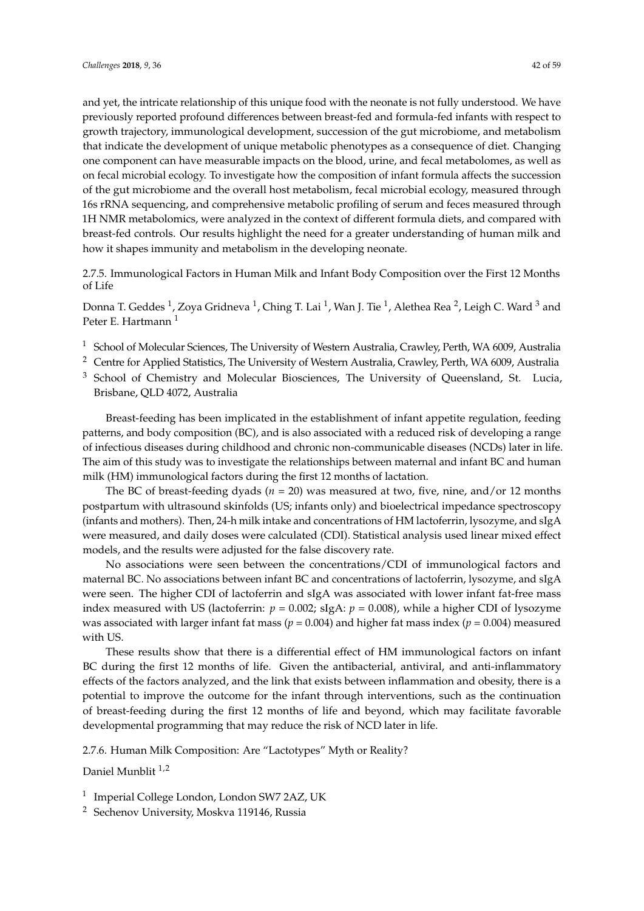and yet, the intricate relationship of this unique food with the neonate is not fully understood. We have previously reported profound differences between breast-fed and formula-fed infants with respect to growth trajectory, immunological development, succession of the gut microbiome, and metabolism that indicate the development of unique metabolic phenotypes as a consequence of diet. Changing one component can have measurable impacts on the blood, urine, and fecal metabolomes, as well as on fecal microbial ecology. To investigate how the composition of infant formula affects the succession of the gut microbiome and the overall host metabolism, fecal microbial ecology, measured through 16s rRNA sequencing, and comprehensive metabolic profiling of serum and feces measured through 1H NMR metabolomics, were analyzed in the context of different formula diets, and compared with breast-fed controls. Our results highlight the need for a greater understanding of human milk and how it shapes immunity and metabolism in the developing neonate.

2.7.5. Immunological Factors in Human Milk and Infant Body Composition over the First 12 Months of Life

Donna T. Geddes <sup>1</sup>, Zoya Gridneva <sup>1</sup>, Ching T. Lai <sup>1</sup>, Wan J. Tie <sup>1</sup>, Alethea Rea <sup>2</sup>, Leigh C. Ward <sup>3</sup> and Peter E. Hartmann<sup>1</sup>

- <sup>1</sup> School of Molecular Sciences, The University of Western Australia, Crawley, Perth, WA 6009, Australia
- <sup>2</sup> Centre for Applied Statistics, The University of Western Australia, Crawley, Perth, WA 6009, Australia
- <sup>3</sup> School of Chemistry and Molecular Biosciences, The University of Queensland, St. Lucia, Brisbane, QLD 4072, Australia

Breast-feeding has been implicated in the establishment of infant appetite regulation, feeding patterns, and body composition (BC), and is also associated with a reduced risk of developing a range of infectious diseases during childhood and chronic non-communicable diseases (NCDs) later in life. The aim of this study was to investigate the relationships between maternal and infant BC and human milk (HM) immunological factors during the first 12 months of lactation.

The BC of breast-feeding dyads (*n* = 20) was measured at two, five, nine, and/or 12 months postpartum with ultrasound skinfolds (US; infants only) and bioelectrical impedance spectroscopy (infants and mothers). Then, 24-h milk intake and concentrations of HM lactoferrin, lysozyme, and sIgA were measured, and daily doses were calculated (CDI). Statistical analysis used linear mixed effect models, and the results were adjusted for the false discovery rate.

No associations were seen between the concentrations/CDI of immunological factors and maternal BC. No associations between infant BC and concentrations of lactoferrin, lysozyme, and sIgA were seen. The higher CDI of lactoferrin and sIgA was associated with lower infant fat-free mass index measured with US (lactoferrin:  $p = 0.002$ ; sIgA:  $p = 0.008$ ), while a higher CDI of lysozyme was associated with larger infant fat mass (*p* = 0.004) and higher fat mass index (*p* = 0.004) measured with US.

These results show that there is a differential effect of HM immunological factors on infant BC during the first 12 months of life. Given the antibacterial, antiviral, and anti-inflammatory effects of the factors analyzed, and the link that exists between inflammation and obesity, there is a potential to improve the outcome for the infant through interventions, such as the continuation of breast-feeding during the first 12 months of life and beyond, which may facilitate favorable developmental programming that may reduce the risk of NCD later in life.

2.7.6. Human Milk Composition: Are "Lactotypes" Myth or Reality?

Daniel Munblit<sup>1,2</sup>

<sup>2</sup> Sechenov University, Moskva 119146, Russia

<sup>1</sup> Imperial College London, London SW7 2AZ, UK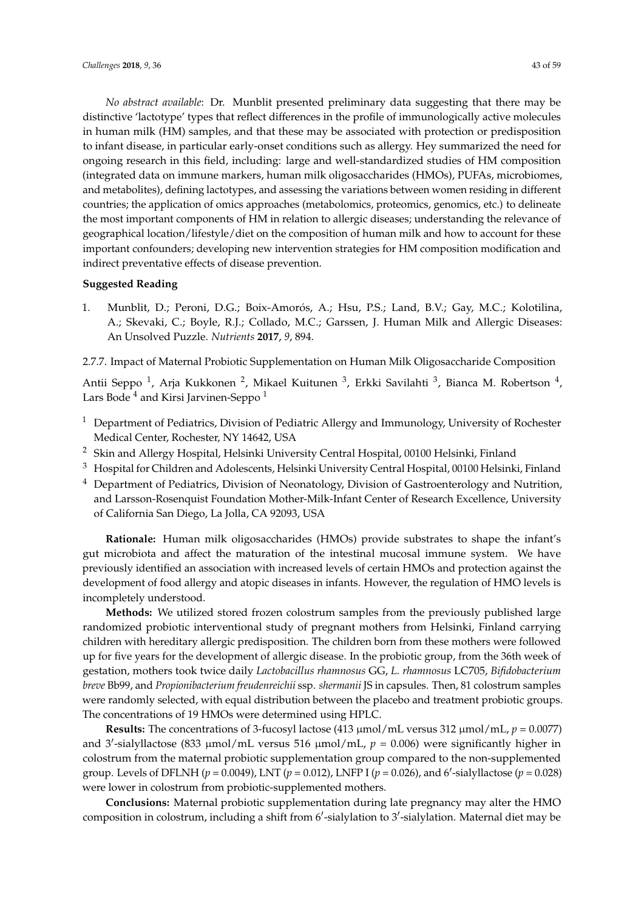*No abstract available*: Dr. Munblit presented preliminary data suggesting that there may be distinctive 'lactotype' types that reflect differences in the profile of immunologically active molecules in human milk (HM) samples, and that these may be associated with protection or predisposition to infant disease, in particular early-onset conditions such as allergy. Hey summarized the need for ongoing research in this field, including: large and well-standardized studies of HM composition (integrated data on immune markers, human milk oligosaccharides (HMOs), PUFAs, microbiomes, and metabolites), defining lactotypes, and assessing the variations between women residing in different countries; the application of omics approaches (metabolomics, proteomics, genomics, etc.) to delineate the most important components of HM in relation to allergic diseases; understanding the relevance of geographical location/lifestyle/diet on the composition of human milk and how to account for these important confounders; developing new intervention strategies for HM composition modification and indirect preventative effects of disease prevention.

# **Suggested Reading**

- 1. Munblit, D.; Peroni, D.G.; Boix-Amorós, A.; Hsu, P.S.; Land, B.V.; Gay, M.C.; Kolotilina, A.; Skevaki, C.; Boyle, R.J.; Collado, M.C.; Garssen, J. Human Milk and Allergic Diseases: An Unsolved Puzzle. *Nutrients* **2017**, *9*, 894.
- 2.7.7. Impact of Maternal Probiotic Supplementation on Human Milk Oligosaccharide Composition

Antii Seppo<sup>1</sup>, Arja Kukkonen<sup>2</sup>, Mikael Kuitunen<sup>3</sup>, Erkki Savilahti<sup>3</sup>, Bianca M. Robertson<sup>4</sup>, Lars Bode<sup>4</sup> and Kirsi Jarvinen-Seppo<sup>1</sup>

- $1$  Department of Pediatrics, Division of Pediatric Allergy and Immunology, University of Rochester Medical Center, Rochester, NY 14642, USA
- <sup>2</sup> Skin and Allergy Hospital, Helsinki University Central Hospital, 00100 Helsinki, Finland
- $3$  Hospital for Children and Adolescents, Helsinki University Central Hospital, 00100 Helsinki, Finland
- <sup>4</sup> Department of Pediatrics, Division of Neonatology, Division of Gastroenterology and Nutrition, and Larsson-Rosenquist Foundation Mother-Milk-Infant Center of Research Excellence, University of California San Diego, La Jolla, CA 92093, USA

**Rationale:** Human milk oligosaccharides (HMOs) provide substrates to shape the infant's gut microbiota and affect the maturation of the intestinal mucosal immune system. We have previously identified an association with increased levels of certain HMOs and protection against the development of food allergy and atopic diseases in infants. However, the regulation of HMO levels is incompletely understood.

**Methods:** We utilized stored frozen colostrum samples from the previously published large randomized probiotic interventional study of pregnant mothers from Helsinki, Finland carrying children with hereditary allergic predisposition. The children born from these mothers were followed up for five years for the development of allergic disease. In the probiotic group, from the 36th week of gestation, mothers took twice daily *Lactobacillus rhamnosus* GG, *L. rhamnosus* LC705, *Bifidobacterium breve* Bb99, and *Propionibacterium freudenreichii* ssp. *shermanii* JS in capsules. Then, 81 colostrum samples were randomly selected, with equal distribution between the placebo and treatment probiotic groups. The concentrations of 19 HMOs were determined using HPLC.

**Results:** The concentrations of 3-fucosyl lactose (413 µmol/mL versus 312 µmol/mL, *p* = 0.0077) and 3'-sialyllactose (833  $\mu$ mol/mL versus 516  $\mu$ mol/mL,  $p = 0.006$ ) were significantly higher in colostrum from the maternal probiotic supplementation group compared to the non-supplemented group. Levels of DFLNH ( $p = 0.0049$ ), LNT ( $p = 0.012$ ), LNFP I ( $p = 0.026$ ), and 6'-sialyllactose ( $p = 0.028$ ) were lower in colostrum from probiotic-supplemented mothers.

**Conclusions:** Maternal probiotic supplementation during late pregnancy may alter the HMO composition in colostrum, including a shift from 6'-sialylation to 3'-sialylation. Maternal diet may be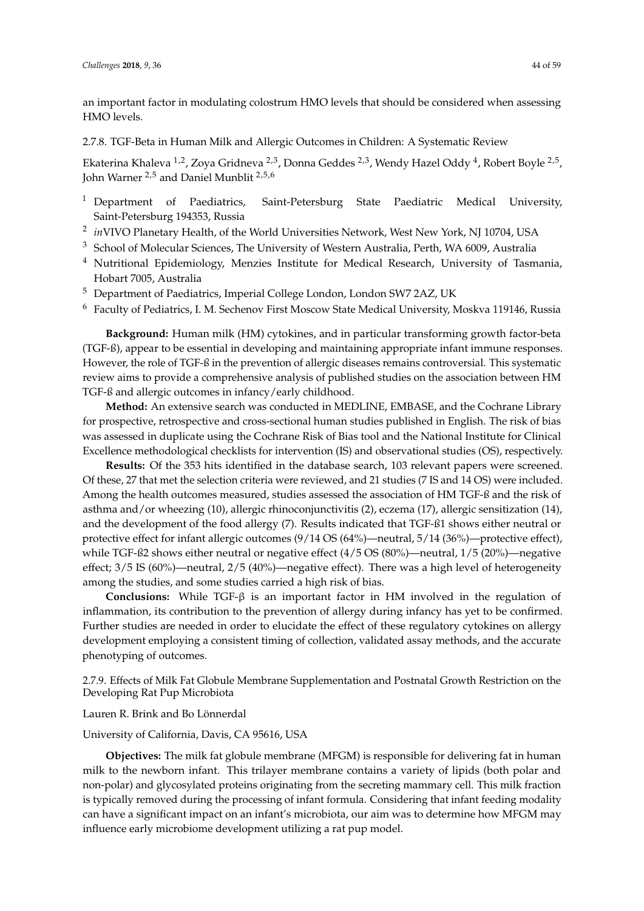an important factor in modulating colostrum HMO levels that should be considered when assessing HMO levels.

2.7.8. TGF-Beta in Human Milk and Allergic Outcomes in Children: A Systematic Review

Ekaterina Khaleva <sup>1,2</sup>, Zoya Gridneva <sup>2,3</sup>, Donna Geddes <sup>2,3</sup>, Wendy Hazel Oddy <sup>4</sup>, Robert Boyle <sup>2,5</sup>, John Warner 2,5 and Daniel Munblit 2,5,6

- <sup>1</sup> Department of Paediatrics, Saint-Petersburg State Paediatric Medical University, Saint-Petersburg 194353, Russia
- 2 *in*VIVO Planetary Health, of the World Universities Network, West New York, NJ 10704, USA
- <sup>3</sup> School of Molecular Sciences, The University of Western Australia, Perth, WA 6009, Australia
- <sup>4</sup> Nutritional Epidemiology, Menzies Institute for Medical Research, University of Tasmania, Hobart 7005, Australia
- <sup>5</sup> Department of Paediatrics, Imperial College London, London SW7 2AZ, UK
- <sup>6</sup> Faculty of Pediatrics, I. M. Sechenov First Moscow State Medical University, Moskva 119146, Russia

**Background:** Human milk (HM) cytokines, and in particular transforming growth factor-beta (TGF-ß), appear to be essential in developing and maintaining appropriate infant immune responses. However, the role of TGF-ß in the prevention of allergic diseases remains controversial. This systematic review aims to provide a comprehensive analysis of published studies on the association between HM TGF-ß and allergic outcomes in infancy/early childhood.

**Method:** An extensive search was conducted in MEDLINE, EMBASE, and the Cochrane Library for prospective, retrospective and cross-sectional human studies published in English. The risk of bias was assessed in duplicate using the Cochrane Risk of Bias tool and the National Institute for Clinical Excellence methodological checklists for intervention (IS) and observational studies (OS), respectively.

**Results:** Of the 353 hits identified in the database search, 103 relevant papers were screened. Of these, 27 that met the selection criteria were reviewed, and 21 studies (7 IS and 14 OS) were included. Among the health outcomes measured, studies assessed the association of HM TGF-ß and the risk of asthma and/or wheezing (10), allergic rhinoconjunctivitis (2), eczema (17), allergic sensitization (14), and the development of the food allergy (7). Results indicated that TGF-ß1 shows either neutral or protective effect for infant allergic outcomes (9/14 OS (64%)—neutral, 5/14 (36%)—protective effect), while TGF-ß2 shows either neutral or negative effect (4/5 OS (80%)—neutral, 1/5 (20%)—negative effect; 3/5 IS (60%)—neutral, 2/5 (40%)—negative effect). There was a high level of heterogeneity among the studies, and some studies carried a high risk of bias.

**Conclusions:** While TGF-β is an important factor in HM involved in the regulation of inflammation, its contribution to the prevention of allergy during infancy has yet to be confirmed. Further studies are needed in order to elucidate the effect of these regulatory cytokines on allergy development employing a consistent timing of collection, validated assay methods, and the accurate phenotyping of outcomes.

2.7.9. Effects of Milk Fat Globule Membrane Supplementation and Postnatal Growth Restriction on the Developing Rat Pup Microbiota

#### Lauren R. Brink and Bo Lönnerdal

#### University of California, Davis, CA 95616, USA

**Objectives:** The milk fat globule membrane (MFGM) is responsible for delivering fat in human milk to the newborn infant. This trilayer membrane contains a variety of lipids (both polar and non-polar) and glycosylated proteins originating from the secreting mammary cell. This milk fraction is typically removed during the processing of infant formula. Considering that infant feeding modality can have a significant impact on an infant's microbiota, our aim was to determine how MFGM may influence early microbiome development utilizing a rat pup model.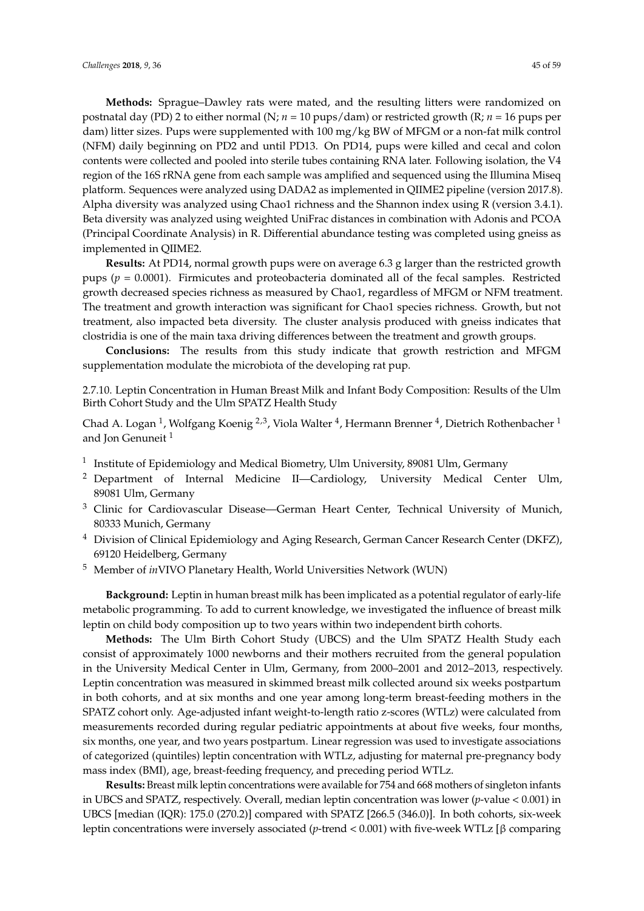**Methods:** Sprague–Dawley rats were mated, and the resulting litters were randomized on postnatal day (PD) 2 to either normal (N; *n* = 10 pups/dam) or restricted growth (R; *n* = 16 pups per dam) litter sizes. Pups were supplemented with 100 mg/kg BW of MFGM or a non-fat milk control (NFM) daily beginning on PD2 and until PD13. On PD14, pups were killed and cecal and colon contents were collected and pooled into sterile tubes containing RNA later. Following isolation, the V4 region of the 16S rRNA gene from each sample was amplified and sequenced using the Illumina Miseq platform. Sequences were analyzed using DADA2 as implemented in QIIME2 pipeline (version 2017.8). Alpha diversity was analyzed using Chao1 richness and the Shannon index using R (version 3.4.1). Beta diversity was analyzed using weighted UniFrac distances in combination with Adonis and PCOA (Principal Coordinate Analysis) in R. Differential abundance testing was completed using gneiss as implemented in QIIME2.

**Results:** At PD14, normal growth pups were on average 6.3 g larger than the restricted growth pups ( $p = 0.0001$ ). Firmicutes and proteobacteria dominated all of the fecal samples. Restricted growth decreased species richness as measured by Chao1, regardless of MFGM or NFM treatment. The treatment and growth interaction was significant for Chao1 species richness. Growth, but not treatment, also impacted beta diversity. The cluster analysis produced with gneiss indicates that clostridia is one of the main taxa driving differences between the treatment and growth groups.

**Conclusions:** The results from this study indicate that growth restriction and MFGM supplementation modulate the microbiota of the developing rat pup.

2.7.10. Leptin Concentration in Human Breast Milk and Infant Body Composition: Results of the Ulm Birth Cohort Study and the Ulm SPATZ Health Study

Chad A. Logan <sup>1</sup>, Wolfgang Koenig <sup>2,3</sup>, Viola Walter <sup>4</sup>, Hermann Brenner <sup>4</sup>, Dietrich Rothenbacher <sup>1</sup> and Jon Genuneit<sup>1</sup>

- <sup>1</sup> Institute of Epidemiology and Medical Biometry, Ulm University, 89081 Ulm, Germany
- <sup>2</sup> Department of Internal Medicine II—Cardiology, University Medical Center Ulm, 89081 Ulm, Germany
- <sup>3</sup> Clinic for Cardiovascular Disease—German Heart Center, Technical University of Munich, 80333 Munich, Germany
- <sup>4</sup> Division of Clinical Epidemiology and Aging Research, German Cancer Research Center (DKFZ), 69120 Heidelberg, Germany
- <sup>5</sup> Member of *in*VIVO Planetary Health, World Universities Network (WUN)

**Background:** Leptin in human breast milk has been implicated as a potential regulator of early-life metabolic programming. To add to current knowledge, we investigated the influence of breast milk leptin on child body composition up to two years within two independent birth cohorts.

**Methods:** The Ulm Birth Cohort Study (UBCS) and the Ulm SPATZ Health Study each consist of approximately 1000 newborns and their mothers recruited from the general population in the University Medical Center in Ulm, Germany, from 2000–2001 and 2012–2013, respectively. Leptin concentration was measured in skimmed breast milk collected around six weeks postpartum in both cohorts, and at six months and one year among long-term breast-feeding mothers in the SPATZ cohort only. Age-adjusted infant weight-to-length ratio z-scores (WTLz) were calculated from measurements recorded during regular pediatric appointments at about five weeks, four months, six months, one year, and two years postpartum. Linear regression was used to investigate associations of categorized (quintiles) leptin concentration with WTLz, adjusting for maternal pre-pregnancy body mass index (BMI), age, breast-feeding frequency, and preceding period WTLz.

**Results:** Breast milk leptin concentrations were available for 754 and 668 mothers of singleton infants in UBCS and SPATZ, respectively. Overall, median leptin concentration was lower (*p*-value < 0.001) in UBCS [median (IQR): 175.0 (270.2)] compared with SPATZ [266.5 (346.0)]. In both cohorts, six-week leptin concentrations were inversely associated (*p*-trend < 0.001) with five-week WTLz [β comparing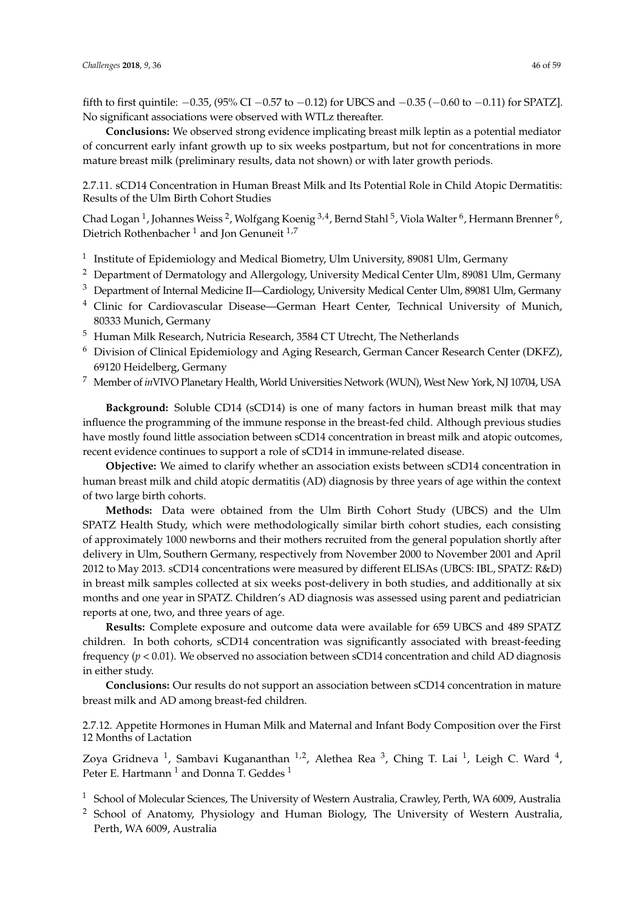fifth to first quintile: −0.35, (95% CI −0.57 to −0.12) for UBCS and −0.35 (−0.60 to −0.11) for SPATZ]. No significant associations were observed with WTLz thereafter.

**Conclusions:** We observed strong evidence implicating breast milk leptin as a potential mediator of concurrent early infant growth up to six weeks postpartum, but not for concentrations in more mature breast milk (preliminary results, data not shown) or with later growth periods.

2.7.11. sCD14 Concentration in Human Breast Milk and Its Potential Role in Child Atopic Dermatitis: Results of the Ulm Birth Cohort Studies

Chad Logan <sup>1</sup>, Johannes Weiss <sup>2</sup>, Wolfgang Koenig <sup>3,4</sup>, Bernd Stahl <sup>5</sup>, Viola Walter <sup>6</sup>, Hermann Brenner <sup>6</sup>, Dietrich Rothenbacher<sup>1</sup> and Jon Genuneit<sup>1,7</sup>

- <sup>1</sup> Institute of Epidemiology and Medical Biometry, Ulm University, 89081 Ulm, Germany
- <sup>2</sup> Department of Dermatology and Allergology, University Medical Center Ulm, 89081 Ulm, Germany
- <sup>3</sup> Department of Internal Medicine II—Cardiology, University Medical Center Ulm, 89081 Ulm, Germany
- <sup>4</sup> Clinic for Cardiovascular Disease—German Heart Center, Technical University of Munich, 80333 Munich, Germany
- <sup>5</sup> Human Milk Research, Nutricia Research, 3584 CT Utrecht, The Netherlands
- <sup>6</sup> Division of Clinical Epidemiology and Aging Research, German Cancer Research Center (DKFZ), 69120 Heidelberg, Germany
- <sup>7</sup> Member of *in*VIVO Planetary Health, World Universities Network (WUN), West New York, NJ 10704, USA

**Background:** Soluble CD14 (sCD14) is one of many factors in human breast milk that may influence the programming of the immune response in the breast-fed child. Although previous studies have mostly found little association between sCD14 concentration in breast milk and atopic outcomes, recent evidence continues to support a role of sCD14 in immune-related disease.

**Objective:** We aimed to clarify whether an association exists between sCD14 concentration in human breast milk and child atopic dermatitis (AD) diagnosis by three years of age within the context of two large birth cohorts.

**Methods:** Data were obtained from the Ulm Birth Cohort Study (UBCS) and the Ulm SPATZ Health Study, which were methodologically similar birth cohort studies, each consisting of approximately 1000 newborns and their mothers recruited from the general population shortly after delivery in Ulm, Southern Germany, respectively from November 2000 to November 2001 and April 2012 to May 2013. sCD14 concentrations were measured by different ELISAs (UBCS: IBL, SPATZ: R&D) in breast milk samples collected at six weeks post-delivery in both studies, and additionally at six months and one year in SPATZ. Children's AD diagnosis was assessed using parent and pediatrician reports at one, two, and three years of age.

**Results:** Complete exposure and outcome data were available for 659 UBCS and 489 SPATZ children. In both cohorts, sCD14 concentration was significantly associated with breast-feeding frequency  $(p < 0.01)$ . We observed no association between sCD14 concentration and child AD diagnosis in either study.

**Conclusions:** Our results do not support an association between sCD14 concentration in mature breast milk and AD among breast-fed children.

2.7.12. Appetite Hormones in Human Milk and Maternal and Infant Body Composition over the First 12 Months of Lactation

Zoya Gridneva <sup>1</sup>, Sambavi Kugananthan <sup>1,2</sup>, Alethea Rea <sup>3</sup>, Ching T. Lai <sup>1</sup>, Leigh C. Ward <sup>4</sup>, Peter E. Hartmann<sup>1</sup> and Donna T. Geddes<sup>1</sup>

- <sup>1</sup> School of Molecular Sciences, The University of Western Australia, Crawley, Perth, WA 6009, Australia
- <sup>2</sup> School of Anatomy, Physiology and Human Biology, The University of Western Australia, Perth, WA 6009, Australia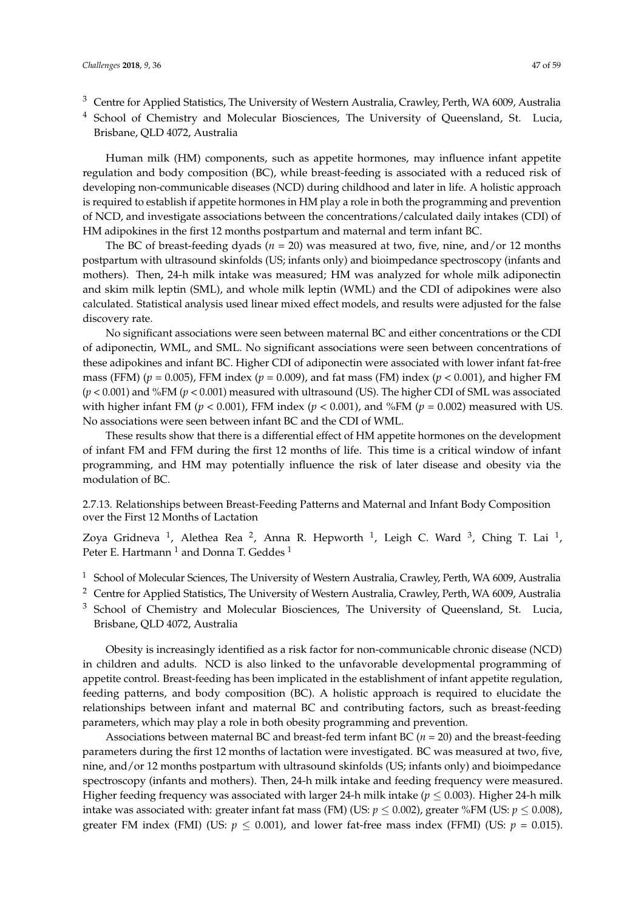- <sup>3</sup> Centre for Applied Statistics, The University of Western Australia, Crawley, Perth, WA 6009, Australia
- <sup>4</sup> School of Chemistry and Molecular Biosciences, The University of Queensland, St. Lucia, Brisbane, QLD 4072, Australia

Human milk (HM) components, such as appetite hormones, may influence infant appetite regulation and body composition (BC), while breast-feeding is associated with a reduced risk of developing non-communicable diseases (NCD) during childhood and later in life. A holistic approach is required to establish if appetite hormones in HM play a role in both the programming and prevention of NCD, and investigate associations between the concentrations/calculated daily intakes (CDI) of HM adipokines in the first 12 months postpartum and maternal and term infant BC.

The BC of breast-feeding dyads ( $n = 20$ ) was measured at two, five, nine, and/or 12 months postpartum with ultrasound skinfolds (US; infants only) and bioimpedance spectroscopy (infants and mothers). Then, 24-h milk intake was measured; HM was analyzed for whole milk adiponectin and skim milk leptin (SML), and whole milk leptin (WML) and the CDI of adipokines were also calculated. Statistical analysis used linear mixed effect models, and results were adjusted for the false discovery rate.

No significant associations were seen between maternal BC and either concentrations or the CDI of adiponectin, WML, and SML. No significant associations were seen between concentrations of these adipokines and infant BC. Higher CDI of adiponectin were associated with lower infant fat-free mass (FFM) (*p* = 0.005), FFM index (*p* = 0.009), and fat mass (FM) index (*p* < 0.001), and higher FM (*p* < 0.001) and %FM (*p* < 0.001) measured with ultrasound (US). The higher CDI of SML was associated with higher infant FM (*p* < 0.001), FFM index (*p* < 0.001), and %FM (*p* = 0.002) measured with US. No associations were seen between infant BC and the CDI of WML.

These results show that there is a differential effect of HM appetite hormones on the development of infant FM and FFM during the first 12 months of life. This time is a critical window of infant programming, and HM may potentially influence the risk of later disease and obesity via the modulation of BC.

2.7.13. Relationships between Breast-Feeding Patterns and Maternal and Infant Body Composition over the First 12 Months of Lactation

Zoya Gridneva <sup>1</sup>, Alethea Rea <sup>2</sup>, Anna R. Hepworth <sup>1</sup>, Leigh C. Ward <sup>3</sup>, Ching T. Lai <sup>1</sup>, Peter E. Hartmann<sup>1</sup> and Donna T. Geddes<sup>1</sup>

- $1$  School of Molecular Sciences, The University of Western Australia, Crawley, Perth, WA 6009, Australia
- <sup>2</sup> Centre for Applied Statistics, The University of Western Australia, Crawley, Perth, WA 6009, Australia
- <sup>3</sup> School of Chemistry and Molecular Biosciences, The University of Queensland, St. Lucia, Brisbane, QLD 4072, Australia

Obesity is increasingly identified as a risk factor for non-communicable chronic disease (NCD) in children and adults. NCD is also linked to the unfavorable developmental programming of appetite control. Breast-feeding has been implicated in the establishment of infant appetite regulation, feeding patterns, and body composition (BC). A holistic approach is required to elucidate the relationships between infant and maternal BC and contributing factors, such as breast-feeding parameters, which may play a role in both obesity programming and prevention.

Associations between maternal BC and breast-fed term infant BC (*n* = 20) and the breast-feeding parameters during the first 12 months of lactation were investigated. BC was measured at two, five, nine, and/or 12 months postpartum with ultrasound skinfolds (US; infants only) and bioimpedance spectroscopy (infants and mothers). Then, 24-h milk intake and feeding frequency were measured. Higher feeding frequency was associated with larger 24-h milk intake ( $p \le 0.003$ ). Higher 24-h milk intake was associated with: greater infant fat mass (FM) (US:  $p \le 0.002$ ), greater %FM (US:  $p \le 0.008$ ), greater FM index (FMI) (US:  $p \le 0.001$ ), and lower fat-free mass index (FFMI) (US:  $p = 0.015$ ).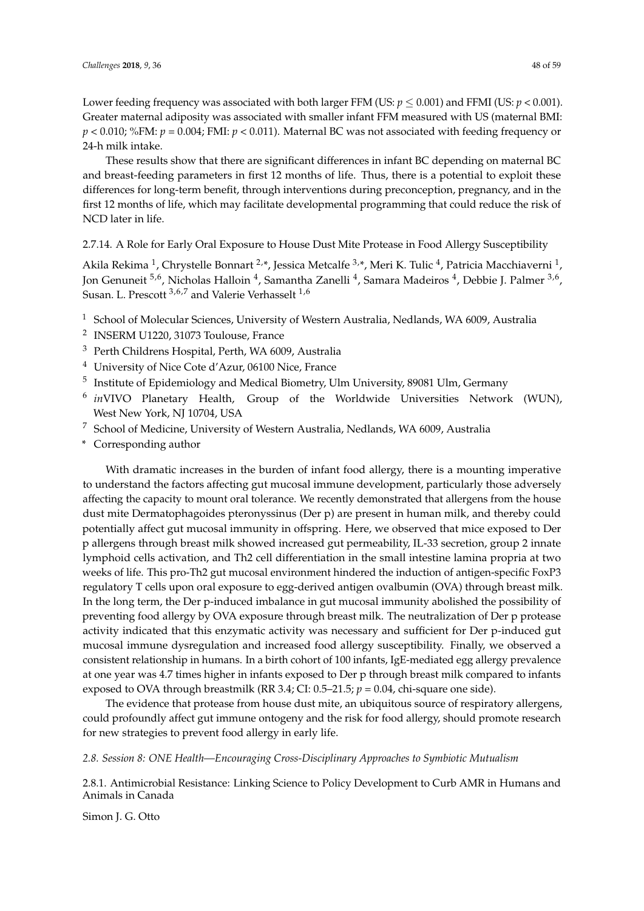Lower feeding frequency was associated with both larger FFM (US:  $p \le 0.001$ ) and FFMI (US:  $p < 0.001$ ). Greater maternal adiposity was associated with smaller infant FFM measured with US (maternal BMI: *p* < 0.010; %FM: *p* = 0.004; FMI: *p* < 0.011). Maternal BC was not associated with feeding frequency or 24-h milk intake.

These results show that there are significant differences in infant BC depending on maternal BC and breast-feeding parameters in first 12 months of life. Thus, there is a potential to exploit these differences for long-term benefit, through interventions during preconception, pregnancy, and in the first 12 months of life, which may facilitate developmental programming that could reduce the risk of NCD later in life.

2.7.14. A Role for Early Oral Exposure to House Dust Mite Protease in Food Allergy Susceptibility

Akila Rekima <sup>1</sup>, Chrystelle Bonnart <sup>2,\*</sup>, Jessica Metcalfe <sup>3,\*</sup>, Meri K. Tulic <sup>4</sup>, Patricia Macchiaverni <sup>1</sup>, Jon Genuneit <sup>5,6</sup>, Nicholas Halloin <sup>4</sup>, Samantha Zanelli <sup>4</sup>, Samara Madeiros <sup>4</sup>, Debbie J. Palmer <sup>3,6</sup>, Susan. L. Prescott <sup>3,6,7</sup> and Valerie Verhasselt <sup>1,6</sup>

- $1$  School of Molecular Sciences, University of Western Australia, Nedlands, WA 6009, Australia
- 2 INSERM U1220, 31073 Toulouse, France
- <sup>3</sup> Perth Childrens Hospital, Perth, WA 6009, Australia
- <sup>4</sup> University of Nice Cote d'Azur, 06100 Nice, France
- <sup>5</sup> Institute of Epidemiology and Medical Biometry, Ulm University, 89081 Ulm, Germany
- 6 *in*VIVO Planetary Health, Group of the Worldwide Universities Network (WUN), West New York, NJ 10704, USA
- <sup>7</sup> School of Medicine, University of Western Australia, Nedlands, WA 6009, Australia
- \* Corresponding author

With dramatic increases in the burden of infant food allergy, there is a mounting imperative to understand the factors affecting gut mucosal immune development, particularly those adversely affecting the capacity to mount oral tolerance. We recently demonstrated that allergens from the house dust mite Dermatophagoides pteronyssinus (Der p) are present in human milk, and thereby could potentially affect gut mucosal immunity in offspring. Here, we observed that mice exposed to Der p allergens through breast milk showed increased gut permeability, IL-33 secretion, group 2 innate lymphoid cells activation, and Th2 cell differentiation in the small intestine lamina propria at two weeks of life. This pro-Th2 gut mucosal environment hindered the induction of antigen-specific FoxP3 regulatory T cells upon oral exposure to egg-derived antigen ovalbumin (OVA) through breast milk. In the long term, the Der p-induced imbalance in gut mucosal immunity abolished the possibility of preventing food allergy by OVA exposure through breast milk. The neutralization of Der p protease activity indicated that this enzymatic activity was necessary and sufficient for Der p-induced gut mucosal immune dysregulation and increased food allergy susceptibility. Finally, we observed a consistent relationship in humans. In a birth cohort of 100 infants, IgE-mediated egg allergy prevalence at one year was 4.7 times higher in infants exposed to Der p through breast milk compared to infants exposed to OVA through breastmilk (RR 3.4; CI: 0.5–21.5; *p* = 0.04, chi-square one side).

The evidence that protease from house dust mite, an ubiquitous source of respiratory allergens, could profoundly affect gut immune ontogeny and the risk for food allergy, should promote research for new strategies to prevent food allergy in early life.

*2.8. Session 8: ONE Health—Encouraging Cross-Disciplinary Approaches to Symbiotic Mutualism*

2.8.1. Antimicrobial Resistance: Linking Science to Policy Development to Curb AMR in Humans and Animals in Canada

Simon J. G. Otto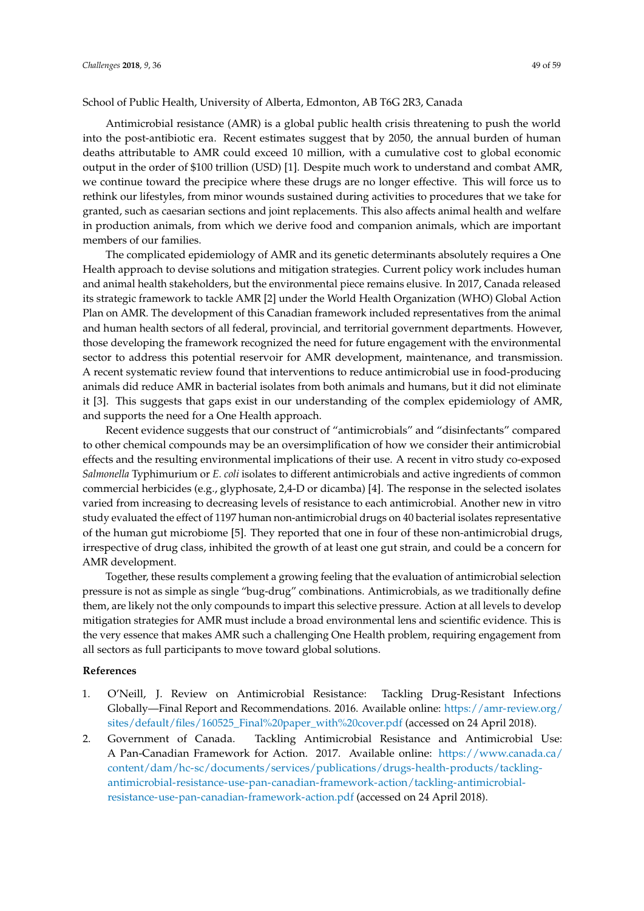#### School of Public Health, University of Alberta, Edmonton, AB T6G 2R3, Canada

Antimicrobial resistance (AMR) is a global public health crisis threatening to push the world into the post-antibiotic era. Recent estimates suggest that by 2050, the annual burden of human deaths attributable to AMR could exceed 10 million, with a cumulative cost to global economic output in the order of \$100 trillion (USD) [1]. Despite much work to understand and combat AMR, we continue toward the precipice where these drugs are no longer effective. This will force us to rethink our lifestyles, from minor wounds sustained during activities to procedures that we take for granted, such as caesarian sections and joint replacements. This also affects animal health and welfare in production animals, from which we derive food and companion animals, which are important members of our families.

The complicated epidemiology of AMR and its genetic determinants absolutely requires a One Health approach to devise solutions and mitigation strategies. Current policy work includes human and animal health stakeholders, but the environmental piece remains elusive. In 2017, Canada released its strategic framework to tackle AMR [2] under the World Health Organization (WHO) Global Action Plan on AMR. The development of this Canadian framework included representatives from the animal and human health sectors of all federal, provincial, and territorial government departments. However, those developing the framework recognized the need for future engagement with the environmental sector to address this potential reservoir for AMR development, maintenance, and transmission. A recent systematic review found that interventions to reduce antimicrobial use in food-producing animals did reduce AMR in bacterial isolates from both animals and humans, but it did not eliminate it [3]. This suggests that gaps exist in our understanding of the complex epidemiology of AMR, and supports the need for a One Health approach.

Recent evidence suggests that our construct of "antimicrobials" and "disinfectants" compared to other chemical compounds may be an oversimplification of how we consider their antimicrobial effects and the resulting environmental implications of their use. A recent in vitro study co-exposed *Salmonella* Typhimurium or *E. coli* isolates to different antimicrobials and active ingredients of common commercial herbicides (e.g., glyphosate, 2,4-D or dicamba) [4]. The response in the selected isolates varied from increasing to decreasing levels of resistance to each antimicrobial. Another new in vitro study evaluated the effect of 1197 human non-antimicrobial drugs on 40 bacterial isolates representative of the human gut microbiome [5]. They reported that one in four of these non-antimicrobial drugs, irrespective of drug class, inhibited the growth of at least one gut strain, and could be a concern for AMR development.

Together, these results complement a growing feeling that the evaluation of antimicrobial selection pressure is not as simple as single "bug-drug" combinations. Antimicrobials, as we traditionally define them, are likely not the only compounds to impart this selective pressure. Action at all levels to develop mitigation strategies for AMR must include a broad environmental lens and scientific evidence. This is the very essence that makes AMR such a challenging One Health problem, requiring engagement from all sectors as full participants to move toward global solutions.

#### **References**

- 1. O'Neill, J. Review on Antimicrobial Resistance: Tackling Drug-Resistant Infections Globally—Final Report and Recommendations. 2016. Available online: [https://amr-review.org/](https://amr-review.org/sites/default/files/160525_Final%20paper_with%20cover.pdf) [sites/default/files/160525\\_Final%20paper\\_with%20cover.pdf](https://amr-review.org/sites/default/files/160525_Final%20paper_with%20cover.pdf) (accessed on 24 April 2018).
- 2. Government of Canada. Tackling Antimicrobial Resistance and Antimicrobial Use: A Pan-Canadian Framework for Action. 2017. Available online: [https://www.canada.ca/](https://www.canada.ca/content/dam/hc-sc/documents/services/publications/drugs-health-products/tackling-antimicrobial-resistance-use-pan-canadian-framework-action/tackling-antimicrobial-resistance-use-pan-canadian-framework-action.pdf) [content/dam/hc-sc/documents/services/publications/drugs-health-products/tackling](https://www.canada.ca/content/dam/hc-sc/documents/services/publications/drugs-health-products/tackling-antimicrobial-resistance-use-pan-canadian-framework-action/tackling-antimicrobial-resistance-use-pan-canadian-framework-action.pdf)[antimicrobial-resistance-use-pan-canadian-framework-action/tackling-antimicrobial](https://www.canada.ca/content/dam/hc-sc/documents/services/publications/drugs-health-products/tackling-antimicrobial-resistance-use-pan-canadian-framework-action/tackling-antimicrobial-resistance-use-pan-canadian-framework-action.pdf)[resistance-use-pan-canadian-framework-action.pdf](https://www.canada.ca/content/dam/hc-sc/documents/services/publications/drugs-health-products/tackling-antimicrobial-resistance-use-pan-canadian-framework-action/tackling-antimicrobial-resistance-use-pan-canadian-framework-action.pdf) (accessed on 24 April 2018).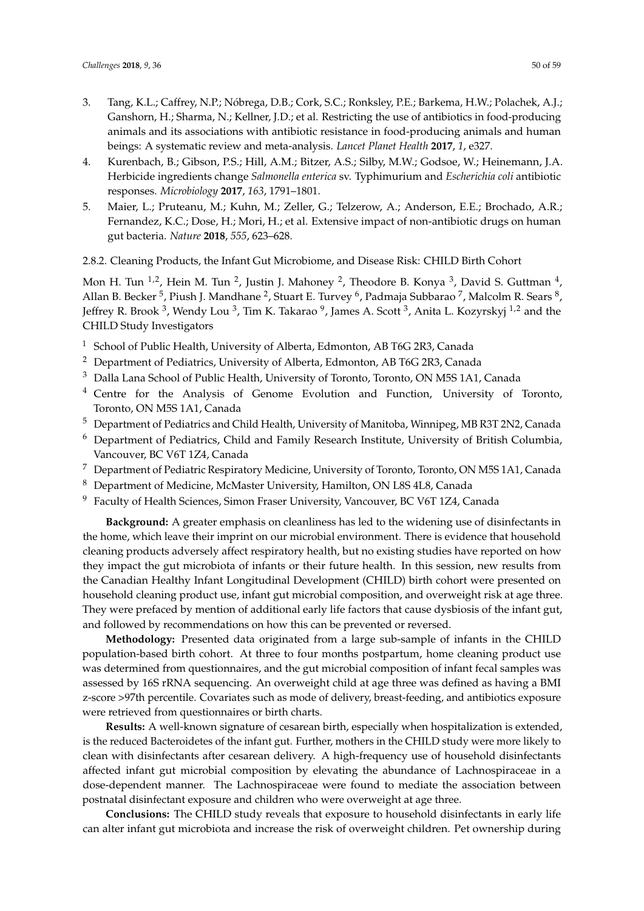- 3. Tang, K.L.; Caffrey, N.P.; Nóbrega, D.B.; Cork, S.C.; Ronksley, P.E.; Barkema, H.W.; Polachek, A.J.; Ganshorn, H.; Sharma, N.; Kellner, J.D.; et al. Restricting the use of antibiotics in food-producing animals and its associations with antibiotic resistance in food-producing animals and human beings: A systematic review and meta-analysis. *Lancet Planet Health* **2017**, *1*, e327.
- 4. Kurenbach, B.; Gibson, P.S.; Hill, A.M.; Bitzer, A.S.; Silby, M.W.; Godsoe, W.; Heinemann, J.A. Herbicide ingredients change *Salmonella enterica* sv. Typhimurium and *Escherichia coli* antibiotic responses. *Microbiology* **2017**, *163*, 1791–1801.
- 5. Maier, L.; Pruteanu, M.; Kuhn, M.; Zeller, G.; Telzerow, A.; Anderson, E.E.; Brochado, A.R.; Fernandez, K.C.; Dose, H.; Mori, H.; et al. Extensive impact of non-antibiotic drugs on human gut bacteria. *Nature* **2018**, *555*, 623–628.

2.8.2. Cleaning Products, the Infant Gut Microbiome, and Disease Risk: CHILD Birth Cohort

Mon H. Tun <sup>1,2</sup>, Hein M. Tun <sup>2</sup>, Justin J. Mahoney <sup>2</sup>, Theodore B. Konya <sup>3</sup>, David S. Guttman <sup>4</sup>, Allan B. Becker <sup>5</sup>, Piush J. Mandhane <sup>2</sup>, Stuart E. Turvey <sup>6</sup>, Padmaja Subbarao <sup>7</sup>, Malcolm R. Sears <sup>8</sup>, Jeffrey R. Brook <sup>3</sup>, Wendy Lou <sup>3</sup>, Tim K. Takarao <sup>9</sup>, James A. Scott <sup>3</sup>, Anita L. Kozyrskyj <sup>1,2</sup> and the CHILD Study Investigators

- <sup>1</sup> School of Public Health, University of Alberta, Edmonton, AB T6G 2R3, Canada
- <sup>2</sup> Department of Pediatrics, University of Alberta, Edmonton, AB T6G 2R3, Canada
- <sup>3</sup> Dalla Lana School of Public Health, University of Toronto, Toronto, ON M5S 1A1, Canada
- <sup>4</sup> Centre for the Analysis of Genome Evolution and Function, University of Toronto, Toronto, ON M5S 1A1, Canada
- <sup>5</sup> Department of Pediatrics and Child Health, University of Manitoba, Winnipeg, MB R3T 2N2, Canada
- <sup>6</sup> Department of Pediatrics, Child and Family Research Institute, University of British Columbia, Vancouver, BC V6T 1Z4, Canada
- <sup>7</sup> Department of Pediatric Respiratory Medicine, University of Toronto, Toronto, ON M5S 1A1, Canada
- <sup>8</sup> Department of Medicine, McMaster University, Hamilton, ON L8S 4L8, Canada
- <sup>9</sup> Faculty of Health Sciences, Simon Fraser University, Vancouver, BC V6T 1Z4, Canada

**Background:** A greater emphasis on cleanliness has led to the widening use of disinfectants in the home, which leave their imprint on our microbial environment. There is evidence that household cleaning products adversely affect respiratory health, but no existing studies have reported on how they impact the gut microbiota of infants or their future health. In this session, new results from the Canadian Healthy Infant Longitudinal Development (CHILD) birth cohort were presented on household cleaning product use, infant gut microbial composition, and overweight risk at age three. They were prefaced by mention of additional early life factors that cause dysbiosis of the infant gut, and followed by recommendations on how this can be prevented or reversed.

**Methodology:** Presented data originated from a large sub-sample of infants in the CHILD population-based birth cohort. At three to four months postpartum, home cleaning product use was determined from questionnaires, and the gut microbial composition of infant fecal samples was assessed by 16S rRNA sequencing. An overweight child at age three was defined as having a BMI z-score >97th percentile. Covariates such as mode of delivery, breast-feeding, and antibiotics exposure were retrieved from questionnaires or birth charts.

**Results:** A well-known signature of cesarean birth, especially when hospitalization is extended, is the reduced Bacteroidetes of the infant gut. Further, mothers in the CHILD study were more likely to clean with disinfectants after cesarean delivery. A high-frequency use of household disinfectants affected infant gut microbial composition by elevating the abundance of Lachnospiraceae in a dose-dependent manner. The Lachnospiraceae were found to mediate the association between postnatal disinfectant exposure and children who were overweight at age three.

**Conclusions:** The CHILD study reveals that exposure to household disinfectants in early life can alter infant gut microbiota and increase the risk of overweight children. Pet ownership during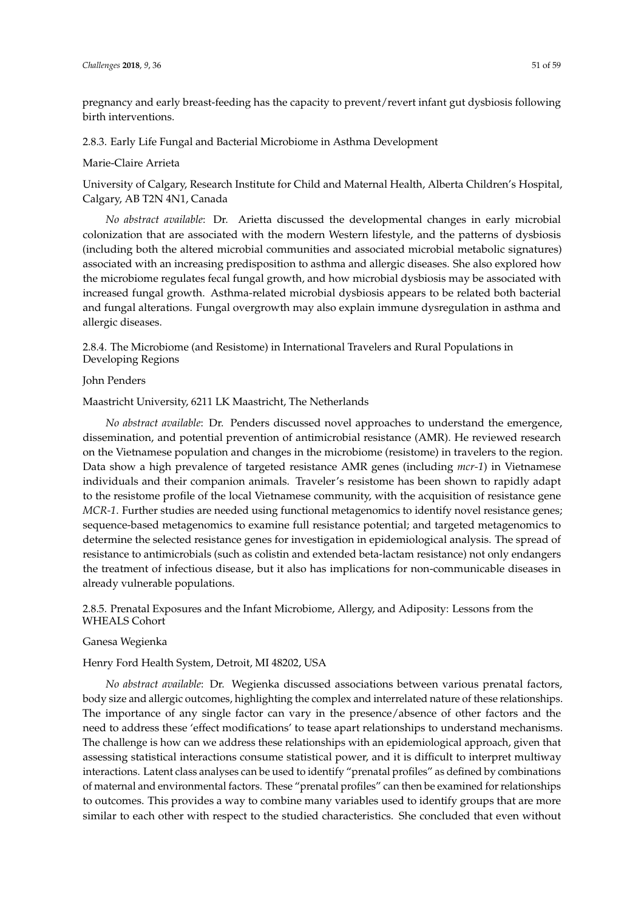pregnancy and early breast-feeding has the capacity to prevent/revert infant gut dysbiosis following birth interventions.

2.8.3. Early Life Fungal and Bacterial Microbiome in Asthma Development

#### Marie-Claire Arrieta

University of Calgary, Research Institute for Child and Maternal Health, Alberta Children's Hospital, Calgary, AB T2N 4N1, Canada

*No abstract available*: Dr. Arietta discussed the developmental changes in early microbial colonization that are associated with the modern Western lifestyle, and the patterns of dysbiosis (including both the altered microbial communities and associated microbial metabolic signatures) associated with an increasing predisposition to asthma and allergic diseases. She also explored how the microbiome regulates fecal fungal growth, and how microbial dysbiosis may be associated with increased fungal growth. Asthma-related microbial dysbiosis appears to be related both bacterial and fungal alterations. Fungal overgrowth may also explain immune dysregulation in asthma and allergic diseases.

2.8.4. The Microbiome (and Resistome) in International Travelers and Rural Populations in Developing Regions

#### John Penders

Maastricht University, 6211 LK Maastricht, The Netherlands

*No abstract available*: Dr. Penders discussed novel approaches to understand the emergence, dissemination, and potential prevention of antimicrobial resistance (AMR). He reviewed research on the Vietnamese population and changes in the microbiome (resistome) in travelers to the region. Data show a high prevalence of targeted resistance AMR genes (including *mcr-1*) in Vietnamese individuals and their companion animals. Traveler's resistome has been shown to rapidly adapt to the resistome profile of the local Vietnamese community, with the acquisition of resistance gene *MCR-1*. Further studies are needed using functional metagenomics to identify novel resistance genes; sequence-based metagenomics to examine full resistance potential; and targeted metagenomics to determine the selected resistance genes for investigation in epidemiological analysis. The spread of resistance to antimicrobials (such as colistin and extended beta-lactam resistance) not only endangers the treatment of infectious disease, but it also has implications for non-communicable diseases in already vulnerable populations.

2.8.5. Prenatal Exposures and the Infant Microbiome, Allergy, and Adiposity: Lessons from the WHEALS Cohort

# Ganesa Wegienka

# Henry Ford Health System, Detroit, MI 48202, USA

*No abstract available*: Dr. Wegienka discussed associations between various prenatal factors, body size and allergic outcomes, highlighting the complex and interrelated nature of these relationships. The importance of any single factor can vary in the presence/absence of other factors and the need to address these 'effect modifications' to tease apart relationships to understand mechanisms. The challenge is how can we address these relationships with an epidemiological approach, given that assessing statistical interactions consume statistical power, and it is difficult to interpret multiway interactions. Latent class analyses can be used to identify "prenatal profiles" as defined by combinations of maternal and environmental factors. These "prenatal profiles" can then be examined for relationships to outcomes. This provides a way to combine many variables used to identify groups that are more similar to each other with respect to the studied characteristics. She concluded that even without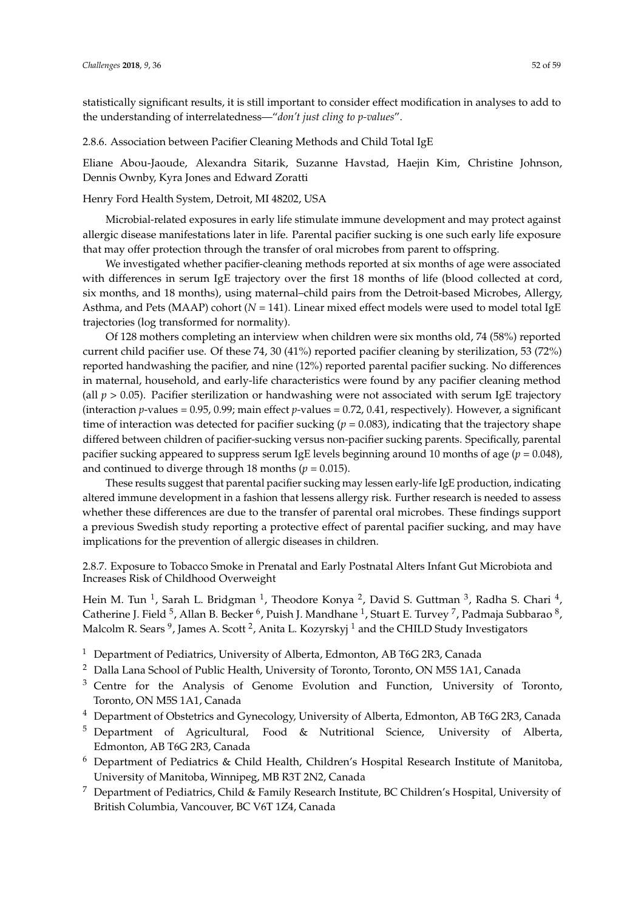statistically significant results, it is still important to consider effect modification in analyses to add to the understanding of interrelatedness—"*don't just cling to p-values*".

2.8.6. Association between Pacifier Cleaning Methods and Child Total IgE

Eliane Abou-Jaoude, Alexandra Sitarik, Suzanne Havstad, Haejin Kim, Christine Johnson, Dennis Ownby, Kyra Jones and Edward Zoratti

#### Henry Ford Health System, Detroit, MI 48202, USA

Microbial-related exposures in early life stimulate immune development and may protect against allergic disease manifestations later in life. Parental pacifier sucking is one such early life exposure that may offer protection through the transfer of oral microbes from parent to offspring.

We investigated whether pacifier-cleaning methods reported at six months of age were associated with differences in serum IgE trajectory over the first 18 months of life (blood collected at cord, six months, and 18 months), using maternal–child pairs from the Detroit-based Microbes, Allergy, Asthma, and Pets (MAAP) cohort ( $N = 141$ ). Linear mixed effect models were used to model total IgE trajectories (log transformed for normality).

Of 128 mothers completing an interview when children were six months old, 74 (58%) reported current child pacifier use. Of these 74, 30 (41%) reported pacifier cleaning by sterilization, 53 (72%) reported handwashing the pacifier, and nine (12%) reported parental pacifier sucking. No differences in maternal, household, and early-life characteristics were found by any pacifier cleaning method (all *p* > 0.05). Pacifier sterilization or handwashing were not associated with serum IgE trajectory (interaction *p*-values = 0.95, 0.99; main effect *p*-values = 0.72, 0.41, respectively). However, a significant time of interaction was detected for pacifier sucking  $(p = 0.083)$ , indicating that the trajectory shape differed between children of pacifier-sucking versus non-pacifier sucking parents. Specifically, parental pacifier sucking appeared to suppress serum IgE levels beginning around 10 months of age (*p* = 0.048), and continued to diverge through 18 months ( $p = 0.015$ ).

These results suggest that parental pacifier sucking may lessen early-life IgE production, indicating altered immune development in a fashion that lessens allergy risk. Further research is needed to assess whether these differences are due to the transfer of parental oral microbes. These findings support a previous Swedish study reporting a protective effect of parental pacifier sucking, and may have implications for the prevention of allergic diseases in children.

2.8.7. Exposure to Tobacco Smoke in Prenatal and Early Postnatal Alters Infant Gut Microbiota and Increases Risk of Childhood Overweight

Hein M. Tun <sup>1</sup>, Sarah L. Bridgman <sup>1</sup>, Theodore Konya <sup>2</sup>, David S. Guttman <sup>3</sup>, Radha S. Chari <sup>4</sup>, Catherine J. Field  $^5$ , Allan B. Becker  $^6$ , Puish J. Mandhane  $^1$ , Stuart E. Turvey  $^7$ , Padmaja Subbarao  $^8$ , Malcolm R. Sears <sup>9</sup>, James A. Scott <sup>2</sup>, Anita L. Kozyrskyj <sup>1</sup> and the CHILD Study Investigators

- <sup>1</sup> Department of Pediatrics, University of Alberta, Edmonton, AB T6G 2R3, Canada
- <sup>2</sup> Dalla Lana School of Public Health, University of Toronto, Toronto, ON M5S 1A1, Canada
- <sup>3</sup> Centre for the Analysis of Genome Evolution and Function, University of Toronto, Toronto, ON M5S 1A1, Canada
- <sup>4</sup> Department of Obstetrics and Gynecology, University of Alberta, Edmonton, AB T6G 2R3, Canada
- <sup>5</sup> Department of Agricultural, Food & Nutritional Science, University of Alberta, Edmonton, AB T6G 2R3, Canada
- <sup>6</sup> Department of Pediatrics & Child Health, Children's Hospital Research Institute of Manitoba, University of Manitoba, Winnipeg, MB R3T 2N2, Canada
- <sup>7</sup> Department of Pediatrics, Child & Family Research Institute, BC Children's Hospital, University of British Columbia, Vancouver, BC V6T 1Z4, Canada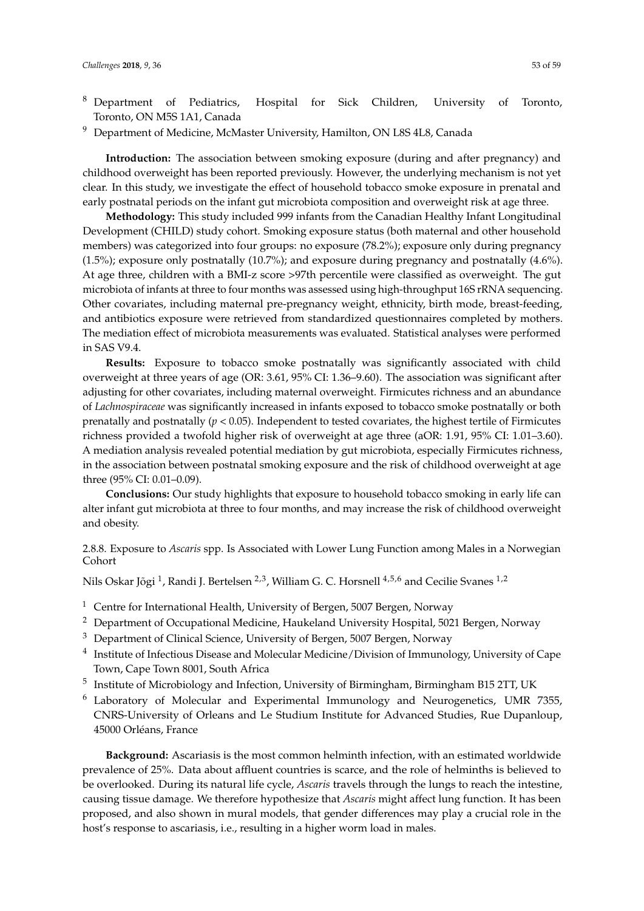- <sup>8</sup> Department of Pediatrics, Hospital for Sick Children, University of Toronto, Toronto, ON M5S 1A1, Canada
- <sup>9</sup> Department of Medicine, McMaster University, Hamilton, ON L8S 4L8, Canada

**Introduction:** The association between smoking exposure (during and after pregnancy) and childhood overweight has been reported previously. However, the underlying mechanism is not yet clear. In this study, we investigate the effect of household tobacco smoke exposure in prenatal and early postnatal periods on the infant gut microbiota composition and overweight risk at age three.

**Methodology:** This study included 999 infants from the Canadian Healthy Infant Longitudinal Development (CHILD) study cohort. Smoking exposure status (both maternal and other household members) was categorized into four groups: no exposure (78.2%); exposure only during pregnancy (1.5%); exposure only postnatally (10.7%); and exposure during pregnancy and postnatally (4.6%). At age three, children with a BMI-z score >97th percentile were classified as overweight. The gut microbiota of infants at three to four months was assessed using high-throughput 16S rRNA sequencing. Other covariates, including maternal pre-pregnancy weight, ethnicity, birth mode, breast-feeding, and antibiotics exposure were retrieved from standardized questionnaires completed by mothers. The mediation effect of microbiota measurements was evaluated. Statistical analyses were performed in SAS V9.4.

**Results:** Exposure to tobacco smoke postnatally was significantly associated with child overweight at three years of age (OR: 3.61, 95% CI: 1.36–9.60). The association was significant after adjusting for other covariates, including maternal overweight. Firmicutes richness and an abundance of *Lachnospiraceae* was significantly increased in infants exposed to tobacco smoke postnatally or both prenatally and postnatally (*p* < 0.05). Independent to tested covariates, the highest tertile of Firmicutes richness provided a twofold higher risk of overweight at age three (aOR: 1.91, 95% CI: 1.01–3.60). A mediation analysis revealed potential mediation by gut microbiota, especially Firmicutes richness, in the association between postnatal smoking exposure and the risk of childhood overweight at age three (95% CI: 0.01–0.09).

**Conclusions:** Our study highlights that exposure to household tobacco smoking in early life can alter infant gut microbiota at three to four months, and may increase the risk of childhood overweight and obesity.

2.8.8. Exposure to *Ascaris* spp. Is Associated with Lower Lung Function among Males in a Norwegian Cohort

Nils Oskar Jõgi <sup>1</sup>, Randi J. Bertelsen <sup>2,3</sup>, William G. C. Horsnell <sup>4,5,6</sup> and Cecilie Svanes <sup>1,2</sup>

- <sup>1</sup> Centre for International Health, University of Bergen, 5007 Bergen, Norway
- <sup>2</sup> Department of Occupational Medicine, Haukeland University Hospital, 5021 Bergen, Norway
- <sup>3</sup> Department of Clinical Science, University of Bergen, 5007 Bergen, Norway
- <sup>4</sup> Institute of Infectious Disease and Molecular Medicine/Division of Immunology, University of Cape Town, Cape Town 8001, South Africa
- <sup>5</sup> Institute of Microbiology and Infection, University of Birmingham, Birmingham B15 2TT, UK
- <sup>6</sup> Laboratory of Molecular and Experimental Immunology and Neurogenetics, UMR 7355, CNRS-University of Orleans and Le Studium Institute for Advanced Studies, Rue Dupanloup, 45000 Orléans, France

**Background:** Ascariasis is the most common helminth infection, with an estimated worldwide prevalence of 25%. Data about affluent countries is scarce, and the role of helminths is believed to be overlooked. During its natural life cycle, *Ascaris* travels through the lungs to reach the intestine, causing tissue damage. We therefore hypothesize that *Ascaris* might affect lung function. It has been proposed, and also shown in mural models, that gender differences may play a crucial role in the host's response to ascariasis, i.e., resulting in a higher worm load in males.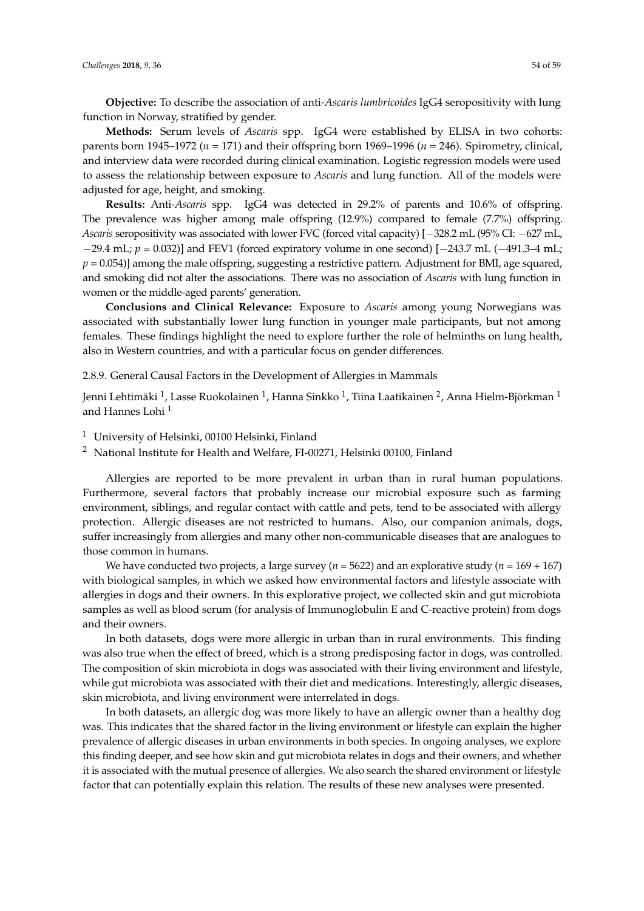*Challenges* **2018**, *9*, 36 54 of 59

**Objective:** To describe the association of anti-*Ascaris lumbricoides* IgG4 seropositivity with lung function in Norway, stratified by gender.

**Methods:** Serum levels of *Ascaris* spp. IgG4 were established by ELISA in two cohorts: parents born 1945–1972 (*n* = 171) and their offspring born 1969–1996 (*n* = 246). Spirometry, clinical, and interview data were recorded during clinical examination. Logistic regression models were used to assess the relationship between exposure to *Ascaris* and lung function. All of the models were adjusted for age, height, and smoking.

**Results:** Anti-*Ascaris* spp. IgG4 was detected in 29.2% of parents and 10.6% of offspring. The prevalence was higher among male offspring (12.9%) compared to female (7.7%) offspring. *Ascaris* seropositivity was associated with lower FVC (forced vital capacity) [−328.2 mL (95% CI: −627 mL, −29.4 mL; *p* = 0.032)] and FEV1 (forced expiratory volume in one second) [−243.7 mL (−491.3–4 mL;  $p = 0.054$ ] among the male offspring, suggesting a restrictive pattern. Adjustment for BMI, age squared, and smoking did not alter the associations. There was no association of *Ascaris* with lung function in women or the middle-aged parents' generation.

**Conclusions and Clinical Relevance:** Exposure to *Ascaris* among young Norwegians was associated with substantially lower lung function in younger male participants, but not among females. These findings highlight the need to explore further the role of helminths on lung health, also in Western countries, and with a particular focus on gender differences.

2.8.9. General Causal Factors in the Development of Allergies in Mammals

Jenni Lehtimäki <sup>1</sup>, Lasse Ruokolainen <sup>1</sup>, Hanna Sinkko <sup>1</sup>, Tiina Laatikainen <sup>2</sup>, Anna Hielm-Björkman <sup>1</sup> and Hannes Lohi<sup>1</sup>

- <sup>1</sup> University of Helsinki, 00100 Helsinki, Finland
- <sup>2</sup> National Institute for Health and Welfare, FI-00271, Helsinki 00100, Finland

Allergies are reported to be more prevalent in urban than in rural human populations. Furthermore, several factors that probably increase our microbial exposure such as farming environment, siblings, and regular contact with cattle and pets, tend to be associated with allergy protection. Allergic diseases are not restricted to humans. Also, our companion animals, dogs, suffer increasingly from allergies and many other non-communicable diseases that are analogues to those common in humans.

We have conducted two projects, a large survey (*n* = 5622) and an explorative study (*n* = 169 + 167) with biological samples, in which we asked how environmental factors and lifestyle associate with allergies in dogs and their owners. In this explorative project, we collected skin and gut microbiota samples as well as blood serum (for analysis of Immunoglobulin E and C-reactive protein) from dogs and their owners.

In both datasets, dogs were more allergic in urban than in rural environments. This finding was also true when the effect of breed, which is a strong predisposing factor in dogs, was controlled. The composition of skin microbiota in dogs was associated with their living environment and lifestyle, while gut microbiota was associated with their diet and medications. Interestingly, allergic diseases, skin microbiota, and living environment were interrelated in dogs.

In both datasets, an allergic dog was more likely to have an allergic owner than a healthy dog was. This indicates that the shared factor in the living environment or lifestyle can explain the higher prevalence of allergic diseases in urban environments in both species. In ongoing analyses, we explore this finding deeper, and see how skin and gut microbiota relates in dogs and their owners, and whether it is associated with the mutual presence of allergies. We also search the shared environment or lifestyle factor that can potentially explain this relation. The results of these new analyses were presented.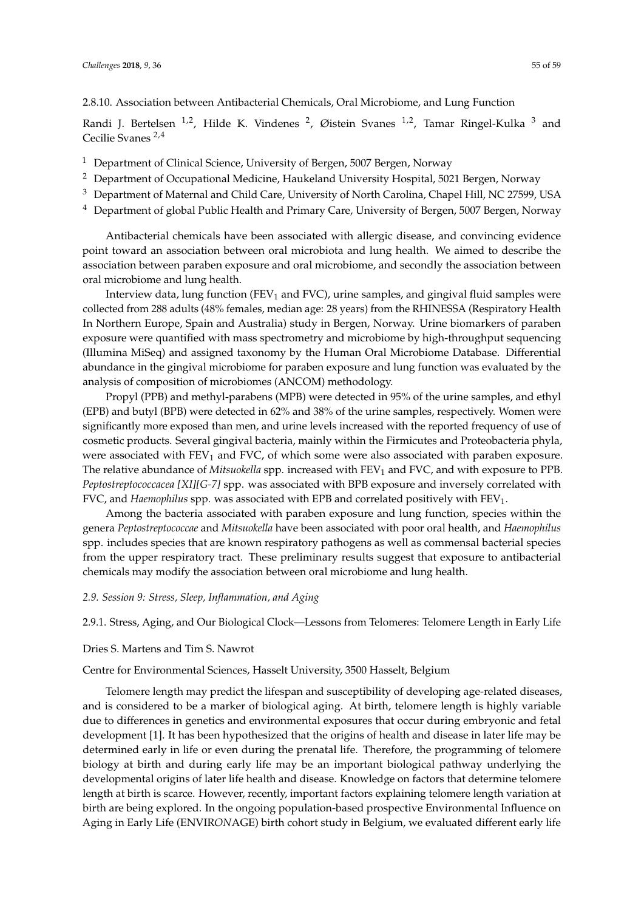2.8.10. Association between Antibacterial Chemicals, Oral Microbiome, and Lung Function

Randi J. Bertelsen <sup>1,2</sup>, Hilde K. Vindenes <sup>2</sup>, Øistein Svanes <sup>1,2</sup>, Tamar Ringel-Kulka <sup>3</sup> and Cecilie Svanes 2,4

- <sup>1</sup> Department of Clinical Science, University of Bergen, 5007 Bergen, Norway
- <sup>2</sup> Department of Occupational Medicine, Haukeland University Hospital, 5021 Bergen, Norway
- <sup>3</sup> Department of Maternal and Child Care, University of North Carolina, Chapel Hill, NC 27599, USA
- <sup>4</sup> Department of global Public Health and Primary Care, University of Bergen, 5007 Bergen, Norway

Antibacterial chemicals have been associated with allergic disease, and convincing evidence point toward an association between oral microbiota and lung health. We aimed to describe the association between paraben exposure and oral microbiome, and secondly the association between oral microbiome and lung health.

Interview data, lung function (FEV<sub>1</sub> and FVC), urine samples, and gingival fluid samples were collected from 288 adults (48% females, median age: 28 years) from the RHINESSA (Respiratory Health In Northern Europe, Spain and Australia) study in Bergen, Norway. Urine biomarkers of paraben exposure were quantified with mass spectrometry and microbiome by high-throughput sequencing (Illumina MiSeq) and assigned taxonomy by the Human Oral Microbiome Database. Differential abundance in the gingival microbiome for paraben exposure and lung function was evaluated by the analysis of composition of microbiomes (ANCOM) methodology.

Propyl (PPB) and methyl-parabens (MPB) were detected in 95% of the urine samples, and ethyl (EPB) and butyl (BPB) were detected in 62% and 38% of the urine samples, respectively. Women were significantly more exposed than men, and urine levels increased with the reported frequency of use of cosmetic products. Several gingival bacteria, mainly within the Firmicutes and Proteobacteria phyla, were associated with  $FEV<sub>1</sub>$  and FVC, of which some were also associated with paraben exposure. The relative abundance of *Mitsuokella* spp. increased with FEV<sub>1</sub> and FVC, and with exposure to PPB. *Peptostreptococcacea [XI][G-7]* spp. was associated with BPB exposure and inversely correlated with FVC, and *Haemophilus* spp. was associated with EPB and correlated positively with FEV1.

Among the bacteria associated with paraben exposure and lung function, species within the genera *Peptostreptococcae* and *Mitsuokella* have been associated with poor oral health, and *Haemophilus* spp. includes species that are known respiratory pathogens as well as commensal bacterial species from the upper respiratory tract. These preliminary results suggest that exposure to antibacterial chemicals may modify the association between oral microbiome and lung health.

# *2.9. Session 9: Stress, Sleep, Inflammation, and Aging*

2.9.1. Stress, Aging, and Our Biological Clock—Lessons from Telomeres: Telomere Length in Early Life

# Dries S. Martens and Tim S. Nawrot

# Centre for Environmental Sciences, Hasselt University, 3500 Hasselt, Belgium

Telomere length may predict the lifespan and susceptibility of developing age-related diseases, and is considered to be a marker of biological aging. At birth, telomere length is highly variable due to differences in genetics and environmental exposures that occur during embryonic and fetal development [1]. It has been hypothesized that the origins of health and disease in later life may be determined early in life or even during the prenatal life. Therefore, the programming of telomere biology at birth and during early life may be an important biological pathway underlying the developmental origins of later life health and disease. Knowledge on factors that determine telomere length at birth is scarce. However, recently, important factors explaining telomere length variation at birth are being explored. In the ongoing population-based prospective Environmental Influence on Aging in Early Life (ENVIR*ON*AGE) birth cohort study in Belgium, we evaluated different early life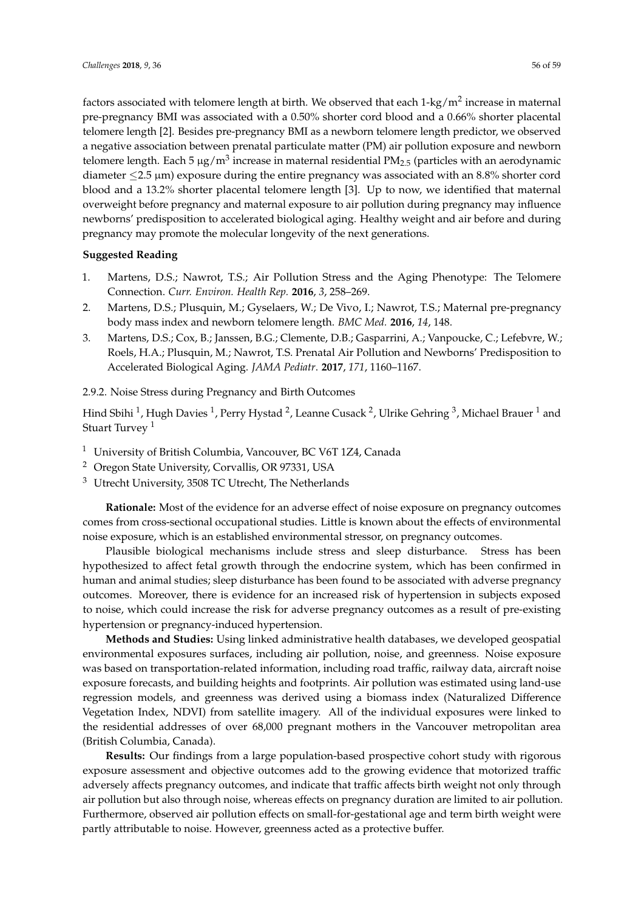factors associated with telomere length at birth. We observed that each 1-kg/m<sup>2</sup> increase in maternal pre-pregnancy BMI was associated with a 0.50% shorter cord blood and a 0.66% shorter placental telomere length [2]. Besides pre-pregnancy BMI as a newborn telomere length predictor, we observed a negative association between prenatal particulate matter (PM) air pollution exposure and newborn telomere length. Each 5  $\mu$ g/m<sup>3</sup> increase in maternal residential PM<sub>2.5</sub> (particles with an aerodynamic diameter  $\leq$ 2.5 µm) exposure during the entire pregnancy was associated with an 8.8% shorter cord blood and a 13.2% shorter placental telomere length [3]. Up to now, we identified that maternal overweight before pregnancy and maternal exposure to air pollution during pregnancy may influence newborns' predisposition to accelerated biological aging. Healthy weight and air before and during pregnancy may promote the molecular longevity of the next generations.

#### **Suggested Reading**

- 1. Martens, D.S.; Nawrot, T.S.; Air Pollution Stress and the Aging Phenotype: The Telomere Connection. *Curr. Environ. Health Rep.* **2016**, *3*, 258–269.
- 2. Martens, D.S.; Plusquin, M.; Gyselaers, W.; De Vivo, I.; Nawrot, T.S.; Maternal pre-pregnancy body mass index and newborn telomere length. *BMC Med.* **2016**, *14*, 148.
- 3. Martens, D.S.; Cox, B.; Janssen, B.G.; Clemente, D.B.; Gasparrini, A.; Vanpoucke, C.; Lefebvre, W.; Roels, H.A.; Plusquin, M.; Nawrot, T.S. Prenatal Air Pollution and Newborns' Predisposition to Accelerated Biological Aging. *JAMA Pediatr*. **2017**, *171*, 1160–1167.

2.9.2. Noise Stress during Pregnancy and Birth Outcomes

Hind Sbihi <sup>1</sup>, Hugh Davies <sup>1</sup>, Perry Hystad <sup>2</sup>, Leanne Cusack <sup>2</sup>, Ulrike Gehring <sup>3</sup>, Michael Brauer <sup>1</sup> and Stuart Turvey<sup>1</sup>

- <sup>1</sup> University of British Columbia, Vancouver, BC V6T 1Z4, Canada
- <sup>2</sup> Oregon State University, Corvallis, OR 97331, USA
- <sup>3</sup> Utrecht University, 3508 TC Utrecht, The Netherlands

**Rationale:** Most of the evidence for an adverse effect of noise exposure on pregnancy outcomes comes from cross-sectional occupational studies. Little is known about the effects of environmental noise exposure, which is an established environmental stressor, on pregnancy outcomes.

Plausible biological mechanisms include stress and sleep disturbance. Stress has been hypothesized to affect fetal growth through the endocrine system, which has been confirmed in human and animal studies; sleep disturbance has been found to be associated with adverse pregnancy outcomes. Moreover, there is evidence for an increased risk of hypertension in subjects exposed to noise, which could increase the risk for adverse pregnancy outcomes as a result of pre-existing hypertension or pregnancy-induced hypertension.

**Methods and Studies:** Using linked administrative health databases, we developed geospatial environmental exposures surfaces, including air pollution, noise, and greenness. Noise exposure was based on transportation-related information, including road traffic, railway data, aircraft noise exposure forecasts, and building heights and footprints. Air pollution was estimated using land-use regression models, and greenness was derived using a biomass index (Naturalized Difference Vegetation Index, NDVI) from satellite imagery. All of the individual exposures were linked to the residential addresses of over 68,000 pregnant mothers in the Vancouver metropolitan area (British Columbia, Canada).

**Results:** Our findings from a large population-based prospective cohort study with rigorous exposure assessment and objective outcomes add to the growing evidence that motorized traffic adversely affects pregnancy outcomes, and indicate that traffic affects birth weight not only through air pollution but also through noise, whereas effects on pregnancy duration are limited to air pollution. Furthermore, observed air pollution effects on small-for-gestational age and term birth weight were partly attributable to noise. However, greenness acted as a protective buffer.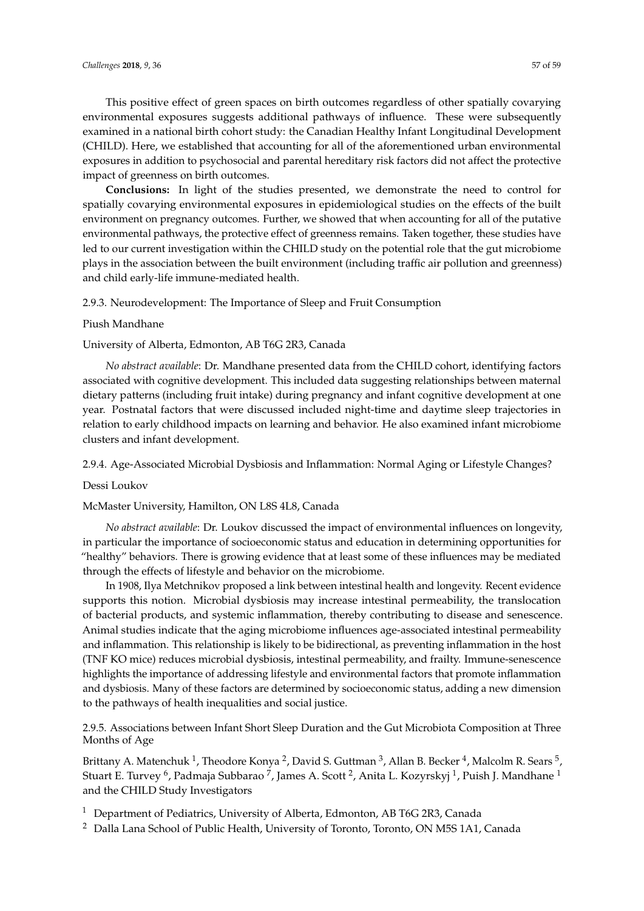This positive effect of green spaces on birth outcomes regardless of other spatially covarying environmental exposures suggests additional pathways of influence. These were subsequently examined in a national birth cohort study: the Canadian Healthy Infant Longitudinal Development (CHILD). Here, we established that accounting for all of the aforementioned urban environmental exposures in addition to psychosocial and parental hereditary risk factors did not affect the protective impact of greenness on birth outcomes.

**Conclusions:** In light of the studies presented, we demonstrate the need to control for spatially covarying environmental exposures in epidemiological studies on the effects of the built environment on pregnancy outcomes. Further, we showed that when accounting for all of the putative environmental pathways, the protective effect of greenness remains. Taken together, these studies have led to our current investigation within the CHILD study on the potential role that the gut microbiome plays in the association between the built environment (including traffic air pollution and greenness) and child early-life immune-mediated health.

2.9.3. Neurodevelopment: The Importance of Sleep and Fruit Consumption

# Piush Mandhane

University of Alberta, Edmonton, AB T6G 2R3, Canada

*No abstract available*: Dr. Mandhane presented data from the CHILD cohort, identifying factors associated with cognitive development. This included data suggesting relationships between maternal dietary patterns (including fruit intake) during pregnancy and infant cognitive development at one year. Postnatal factors that were discussed included night-time and daytime sleep trajectories in relation to early childhood impacts on learning and behavior. He also examined infant microbiome clusters and infant development.

2.9.4. Age-Associated Microbial Dysbiosis and Inflammation: Normal Aging or Lifestyle Changes?

# Dessi Loukov

# McMaster University, Hamilton, ON L8S 4L8, Canada

*No abstract available*: Dr. Loukov discussed the impact of environmental influences on longevity, in particular the importance of socioeconomic status and education in determining opportunities for "healthy" behaviors. There is growing evidence that at least some of these influences may be mediated through the effects of lifestyle and behavior on the microbiome.

In 1908, Ilya Metchnikov proposed a link between intestinal health and longevity. Recent evidence supports this notion. Microbial dysbiosis may increase intestinal permeability, the translocation of bacterial products, and systemic inflammation, thereby contributing to disease and senescence. Animal studies indicate that the aging microbiome influences age-associated intestinal permeability and inflammation. This relationship is likely to be bidirectional, as preventing inflammation in the host (TNF KO mice) reduces microbial dysbiosis, intestinal permeability, and frailty. Immune-senescence highlights the importance of addressing lifestyle and environmental factors that promote inflammation and dysbiosis. Many of these factors are determined by socioeconomic status, adding a new dimension to the pathways of health inequalities and social justice.

2.9.5. Associations between Infant Short Sleep Duration and the Gut Microbiota Composition at Three Months of Age

Brittany A. Matenchuk <sup>1</sup>, Theodore Konya <sup>2</sup>, David S. Guttman <sup>3</sup>, Allan B. Becker <sup>4</sup>, Malcolm R. Sears <sup>5</sup>, Stuart E. Turvey  $^6$ , Padmaja Subbarao  $^7$ , James A. Scott  $^2$ , Anita L. Kozyrskyj  $^1$ , Puish J. Mandhane  $^1$ and the CHILD Study Investigators

<sup>1</sup> Department of Pediatrics, University of Alberta, Edmonton, AB T6G 2R3, Canada

<sup>2</sup> Dalla Lana School of Public Health, University of Toronto, Toronto, ON M5S 1A1, Canada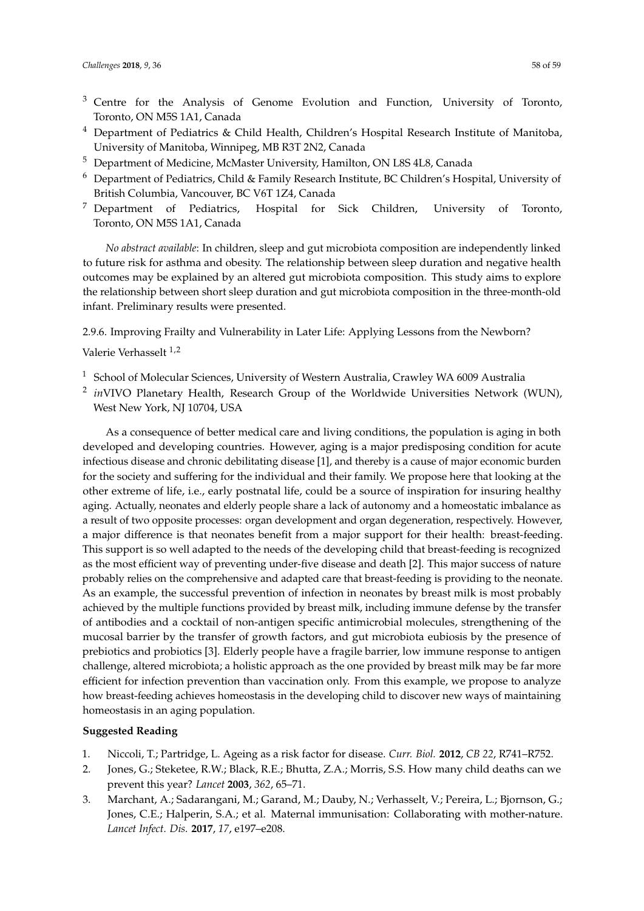- <sup>3</sup> Centre for the Analysis of Genome Evolution and Function, University of Toronto, Toronto, ON M5S 1A1, Canada
- $4$  Department of Pediatrics & Child Health, Children's Hospital Research Institute of Manitoba, University of Manitoba, Winnipeg, MB R3T 2N2, Canada
- <sup>5</sup> Department of Medicine, McMaster University, Hamilton, ON L8S 4L8, Canada
- <sup>6</sup> Department of Pediatrics, Child & Family Research Institute, BC Children's Hospital, University of British Columbia, Vancouver, BC V6T 1Z4, Canada
- <sup>7</sup> Department of Pediatrics, Hospital for Sick Children, University of Toronto, Toronto, ON M5S 1A1, Canada

*No abstract available*: In children, sleep and gut microbiota composition are independently linked to future risk for asthma and obesity. The relationship between sleep duration and negative health outcomes may be explained by an altered gut microbiota composition. This study aims to explore the relationship between short sleep duration and gut microbiota composition in the three-month-old infant. Preliminary results were presented.

2.9.6. Improving Frailty and Vulnerability in Later Life: Applying Lessons from the Newborn?

Valerie Verhasselt 1,2

- <sup>1</sup> School of Molecular Sciences, University of Western Australia, Crawley WA 6009 Australia
- 2 *in*VIVO Planetary Health, Research Group of the Worldwide Universities Network (WUN), West New York, NJ 10704, USA

As a consequence of better medical care and living conditions, the population is aging in both developed and developing countries. However, aging is a major predisposing condition for acute infectious disease and chronic debilitating disease [1], and thereby is a cause of major economic burden for the society and suffering for the individual and their family. We propose here that looking at the other extreme of life, i.e., early postnatal life, could be a source of inspiration for insuring healthy aging. Actually, neonates and elderly people share a lack of autonomy and a homeostatic imbalance as a result of two opposite processes: organ development and organ degeneration, respectively. However, a major difference is that neonates benefit from a major support for their health: breast-feeding. This support is so well adapted to the needs of the developing child that breast-feeding is recognized as the most efficient way of preventing under-five disease and death [2]. This major success of nature probably relies on the comprehensive and adapted care that breast-feeding is providing to the neonate. As an example, the successful prevention of infection in neonates by breast milk is most probably achieved by the multiple functions provided by breast milk, including immune defense by the transfer of antibodies and a cocktail of non-antigen specific antimicrobial molecules, strengthening of the mucosal barrier by the transfer of growth factors, and gut microbiota eubiosis by the presence of prebiotics and probiotics [3]. Elderly people have a fragile barrier, low immune response to antigen challenge, altered microbiota; a holistic approach as the one provided by breast milk may be far more efficient for infection prevention than vaccination only. From this example, we propose to analyze how breast-feeding achieves homeostasis in the developing child to discover new ways of maintaining homeostasis in an aging population.

#### **Suggested Reading**

- 1. Niccoli, T.; Partridge, L. Ageing as a risk factor for disease. *Curr. Biol.* **2012**, *CB 22*, R741–R752.
- 2. Jones, G.; Steketee, R.W.; Black, R.E.; Bhutta, Z.A.; Morris, S.S. How many child deaths can we prevent this year? *Lancet* **2003**, *362*, 65–71.
- 3. Marchant, A.; Sadarangani, M.; Garand, M.; Dauby, N.; Verhasselt, V.; Pereira, L.; Bjornson, G.; Jones, C.E.; Halperin, S.A.; et al. Maternal immunisation: Collaborating with mother-nature. *Lancet Infect. Dis.* **2017**, *17*, e197–e208.